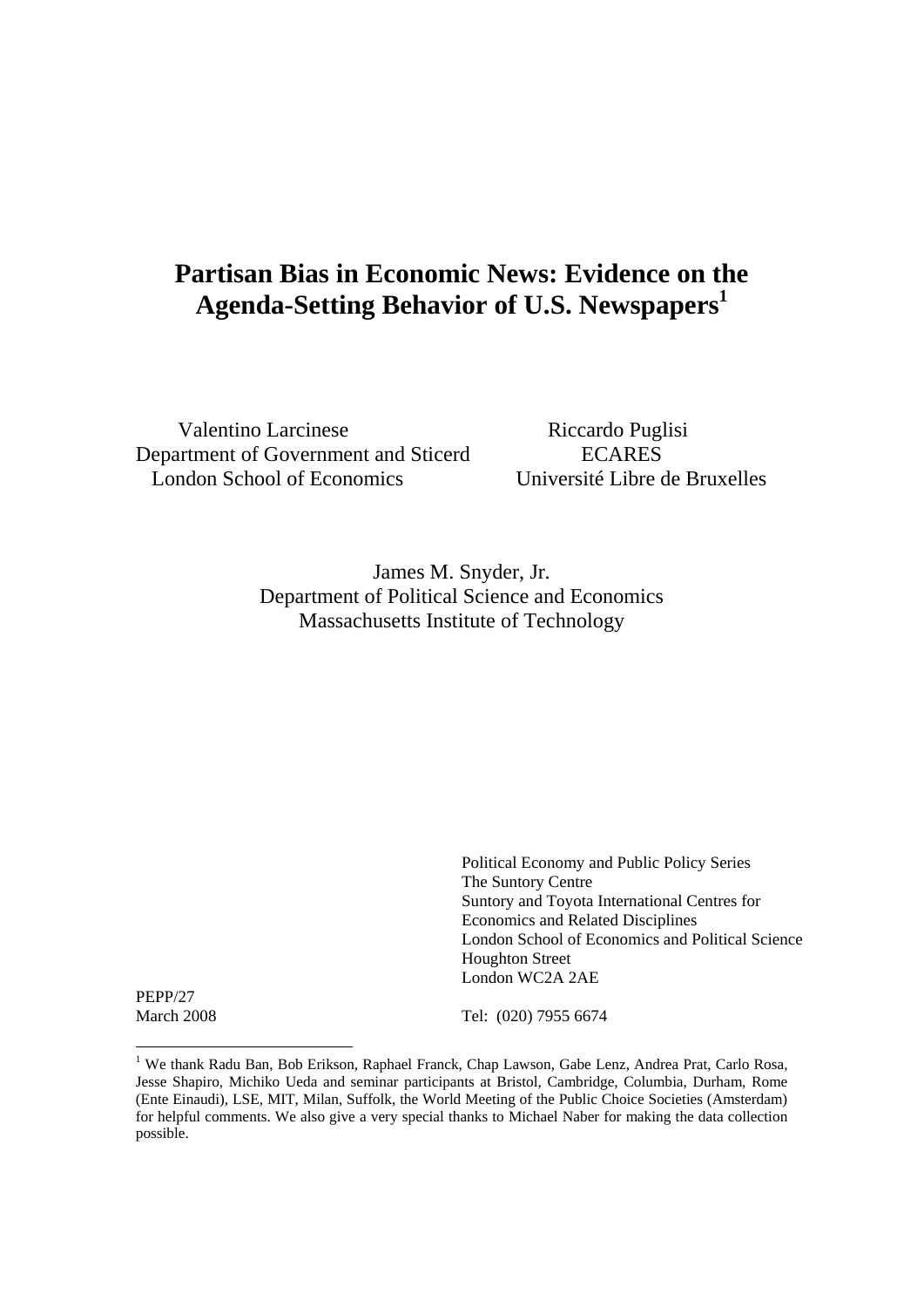# **Partisan Bias in Economic News: Evidence on the Agenda-Setting Behavior of U.S. Newspapers1**

Valentino Larcinese Riccardo Puglisi Department of Government and Sticerd ECARES London School of Economics Université Libre de Bruxelles

James M. Snyder, Jr. Department of Political Science and Economics Massachusetts Institute of Technology

> Political Economy and Public Policy Series The Suntory Centre Suntory and Toyota International Centres for Economics and Related Disciplines London School of Economics and Political Science Houghton Street London WC2A 2AE

PEPP/27

March 2008 Tel: (020) 7955 6674

<sup>&</sup>lt;sup>1</sup> We thank Radu Ban, Bob Erikson, Raphael Franck, Chap Lawson, Gabe Lenz, Andrea Prat, Carlo Rosa, Jesse Shapiro, Michiko Ueda and seminar participants at Bristol, Cambridge, Columbia, Durham, Rome (Ente Einaudi), LSE, MIT, Milan, Suffolk, the World Meeting of the Public Choice Societies (Amsterdam) for helpful comments. We also give a very special thanks to Michael Naber for making the data collection possible.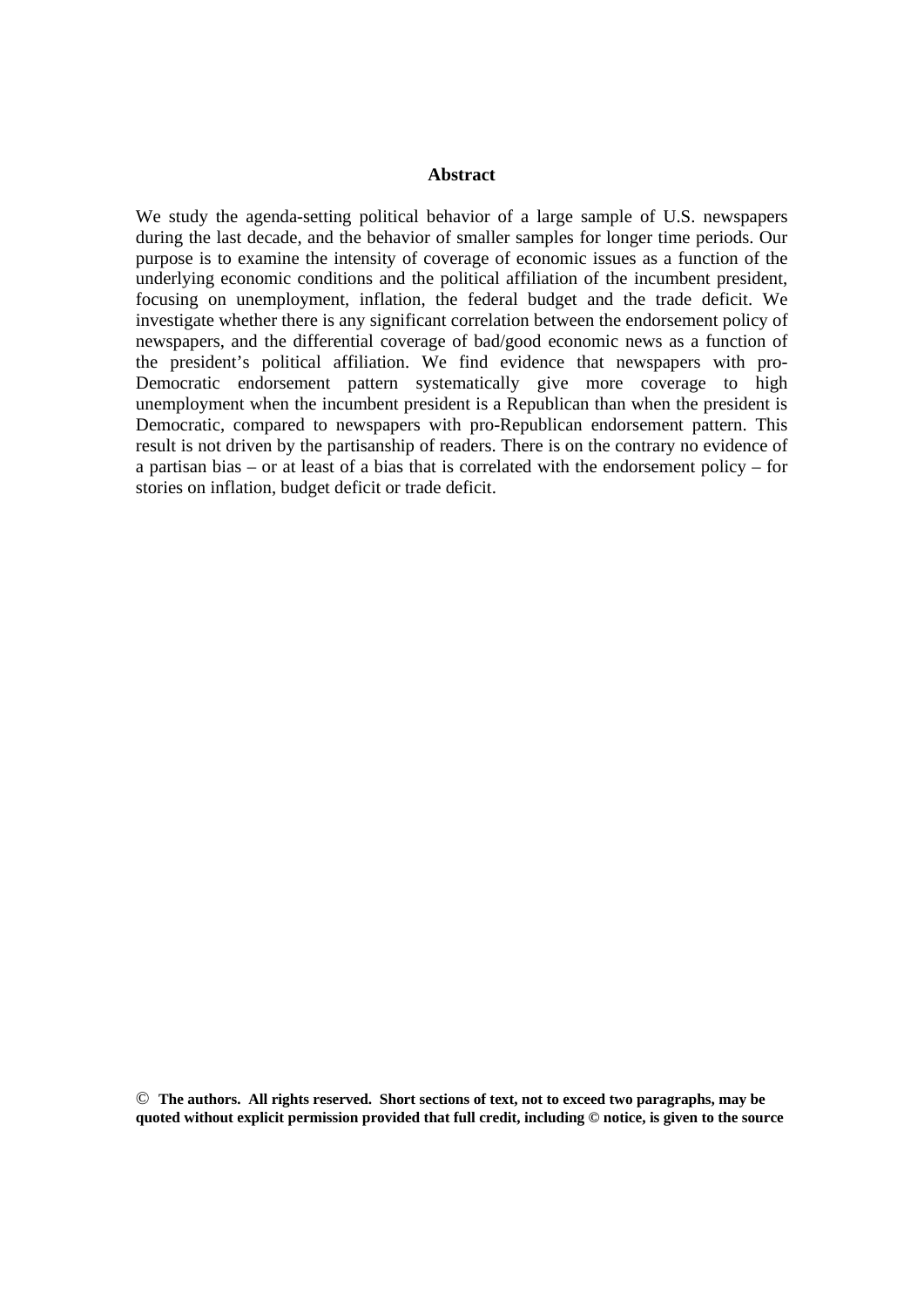#### **Abstract**

We study the agenda-setting political behavior of a large sample of U.S. newspapers during the last decade, and the behavior of smaller samples for longer time periods. Our purpose is to examine the intensity of coverage of economic issues as a function of the underlying economic conditions and the political affiliation of the incumbent president, focusing on unemployment, inflation, the federal budget and the trade deficit. We investigate whether there is any significant correlation between the endorsement policy of newspapers, and the differential coverage of bad/good economic news as a function of the president's political affiliation. We find evidence that newspapers with pro-Democratic endorsement pattern systematically give more coverage to high unemployment when the incumbent president is a Republican than when the president is Democratic, compared to newspapers with pro-Republican endorsement pattern. This result is not driven by the partisanship of readers. There is on the contrary no evidence of a partisan bias – or at least of a bias that is correlated with the endorsement policy – for stories on inflation, budget deficit or trade deficit.

© **The authors. All rights reserved. Short sections of text, not to exceed two paragraphs, may be quoted without explicit permission provided that full credit, including © notice, is given to the source**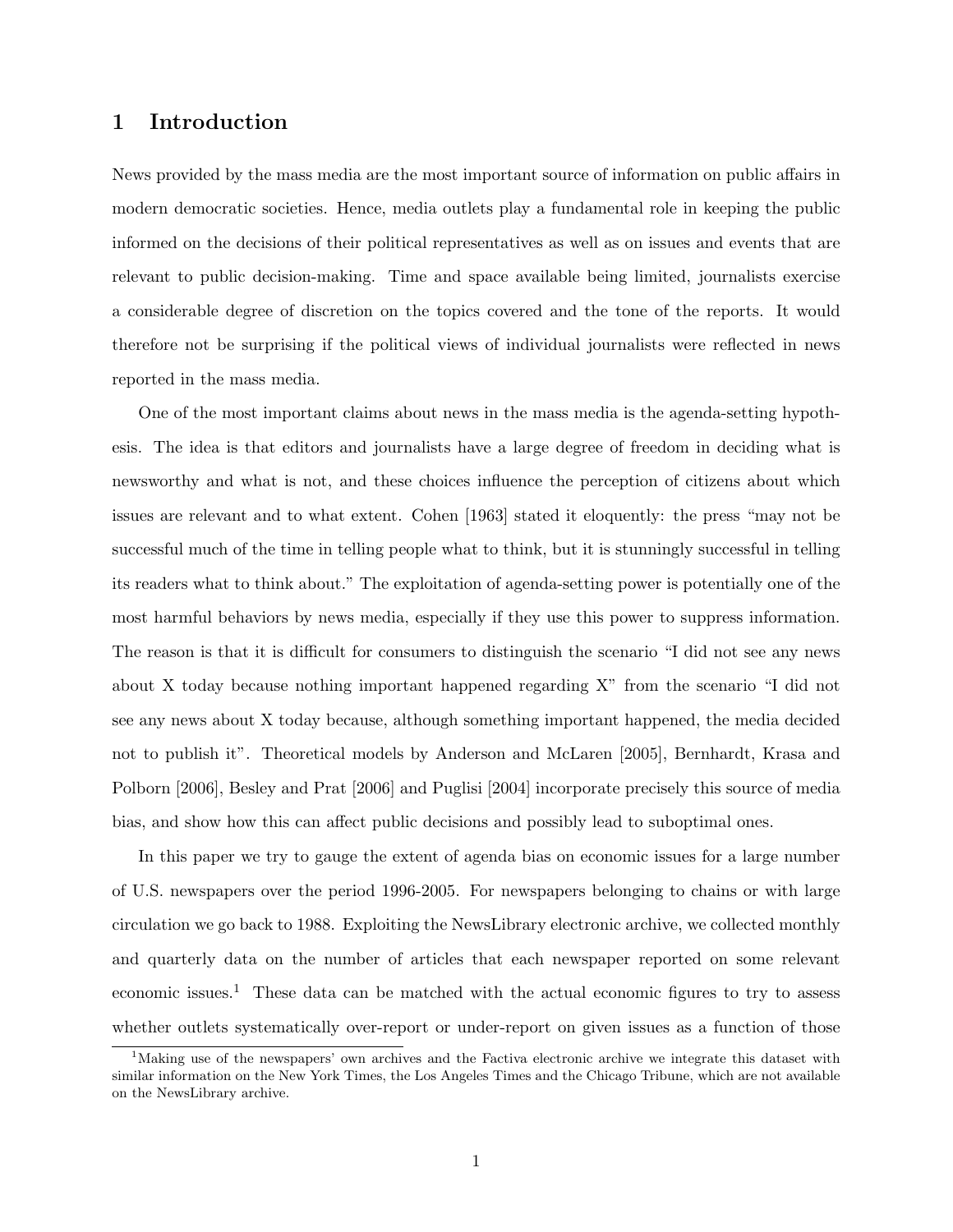### 1 Introduction

News provided by the mass media are the most important source of information on public affairs in modern democratic societies. Hence, media outlets play a fundamental role in keeping the public informed on the decisions of their political representatives as well as on issues and events that are relevant to public decision-making. Time and space available being limited, journalists exercise a considerable degree of discretion on the topics covered and the tone of the reports. It would therefore not be surprising if the political views of individual journalists were reflected in news reported in the mass media.

One of the most important claims about news in the mass media is the agenda-setting hypothesis. The idea is that editors and journalists have a large degree of freedom in deciding what is newsworthy and what is not, and these choices influence the perception of citizens about which issues are relevant and to what extent. Cohen [1963] stated it eloquently: the press "may not be successful much of the time in telling people what to think, but it is stunningly successful in telling its readers what to think about." The exploitation of agenda-setting power is potentially one of the most harmful behaviors by news media, especially if they use this power to suppress information. The reason is that it is difficult for consumers to distinguish the scenario "I did not see any news about X today because nothing important happened regarding X" from the scenario "I did not see any news about X today because, although something important happened, the media decided not to publish it". Theoretical models by Anderson and McLaren [2005], Bernhardt, Krasa and Polborn [2006], Besley and Prat [2006] and Puglisi [2004] incorporate precisely this source of media bias, and show how this can affect public decisions and possibly lead to suboptimal ones.

In this paper we try to gauge the extent of agenda bias on economic issues for a large number of U.S. newspapers over the period 1996-2005. For newspapers belonging to chains or with large circulation we go back to 1988. Exploiting the NewsLibrary electronic archive, we collected monthly and quarterly data on the number of articles that each newspaper reported on some relevant economic issues.<sup>1</sup> These data can be matched with the actual economic figures to try to assess whether outlets systematically over-report or under-report on given issues as a function of those

<sup>&</sup>lt;sup>1</sup>Making use of the newspapers' own archives and the Factiva electronic archive we integrate this dataset with similar information on the New York Times, the Los Angeles Times and the Chicago Tribune, which are not available on the NewsLibrary archive.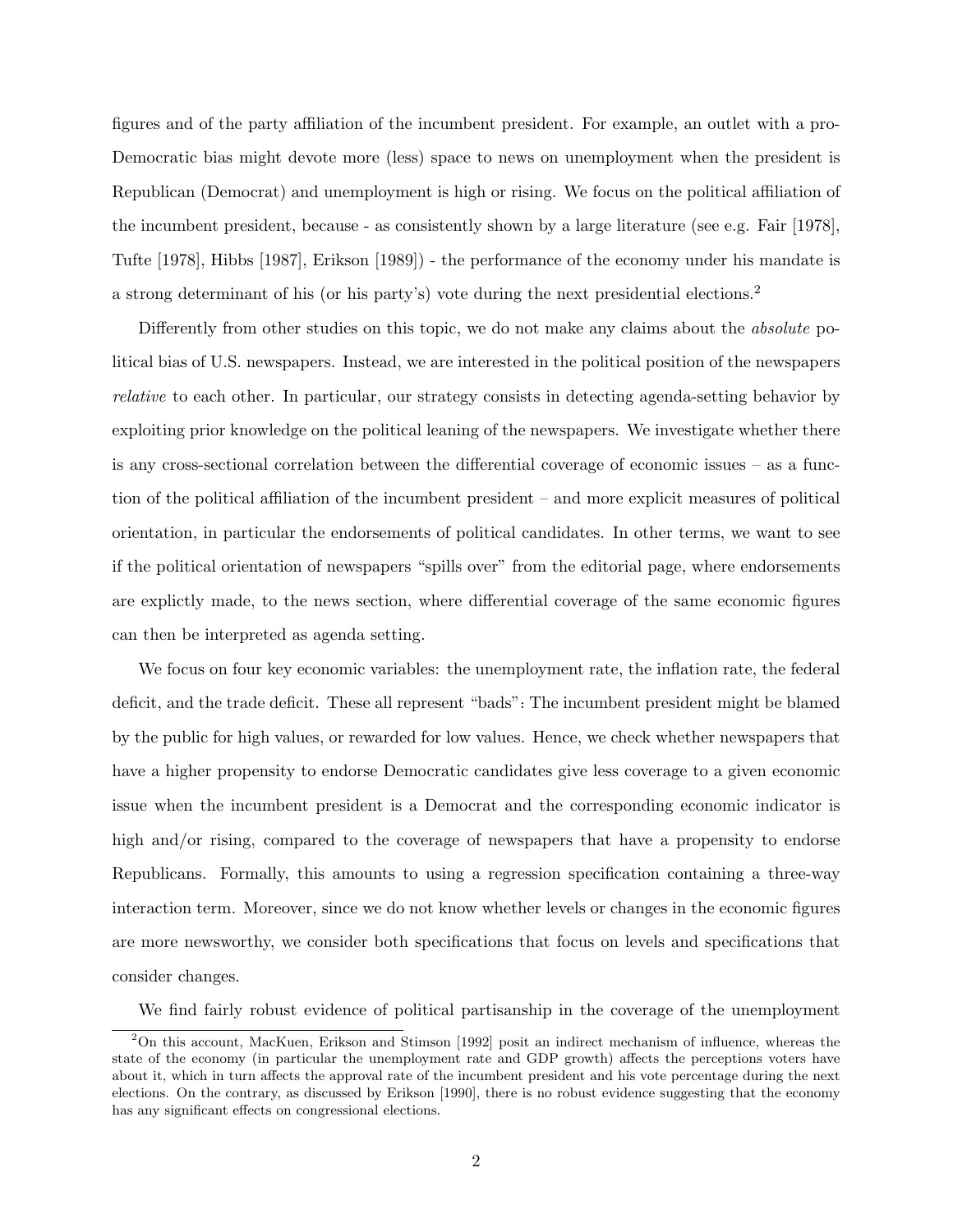figures and of the party affiliation of the incumbent president. For example, an outlet with a pro-Democratic bias might devote more (less) space to news on unemployment when the president is Republican (Democrat) and unemployment is high or rising. We focus on the political affiliation of the incumbent president, because - as consistently shown by a large literature (see e.g. Fair [1978], Tufte [1978], Hibbs [1987], Erikson [1989]) - the performance of the economy under his mandate is a strong determinant of his (or his party's) vote during the next presidential elections.<sup>2</sup>

Differently from other studies on this topic, we do not make any claims about the *absolute* political bias of U.S. newspapers. Instead, we are interested in the political position of the newspapers relative to each other. In particular, our strategy consists in detecting agenda-setting behavior by exploiting prior knowledge on the political leaning of the newspapers. We investigate whether there is any cross-sectional correlation between the differential coverage of economic issues – as a function of the political affiliation of the incumbent president – and more explicit measures of political orientation, in particular the endorsements of political candidates. In other terms, we want to see if the political orientation of newspapers "spills over" from the editorial page, where endorsements are explictly made, to the news section, where differential coverage of the same economic figures can then be interpreted as agenda setting.

We focus on four key economic variables: the unemployment rate, the inflation rate, the federal deficit, and the trade deficit. These all represent "bads": The incumbent president might be blamed by the public for high values, or rewarded for low values. Hence, we check whether newspapers that have a higher propensity to endorse Democratic candidates give less coverage to a given economic issue when the incumbent president is a Democrat and the corresponding economic indicator is high and/or rising, compared to the coverage of newspapers that have a propensity to endorse Republicans. Formally, this amounts to using a regression specification containing a three-way interaction term. Moreover, since we do not know whether levels or changes in the economic figures are more newsworthy, we consider both specifications that focus on levels and specifications that consider changes.

We find fairly robust evidence of political partisanship in the coverage of the unemployment

<sup>2</sup>On this account, MacKuen, Erikson and Stimson [1992] posit an indirect mechanism of influence, whereas the state of the economy (in particular the unemployment rate and GDP growth) affects the perceptions voters have about it, which in turn affects the approval rate of the incumbent president and his vote percentage during the next elections. On the contrary, as discussed by Erikson [1990], there is no robust evidence suggesting that the economy has any significant effects on congressional elections.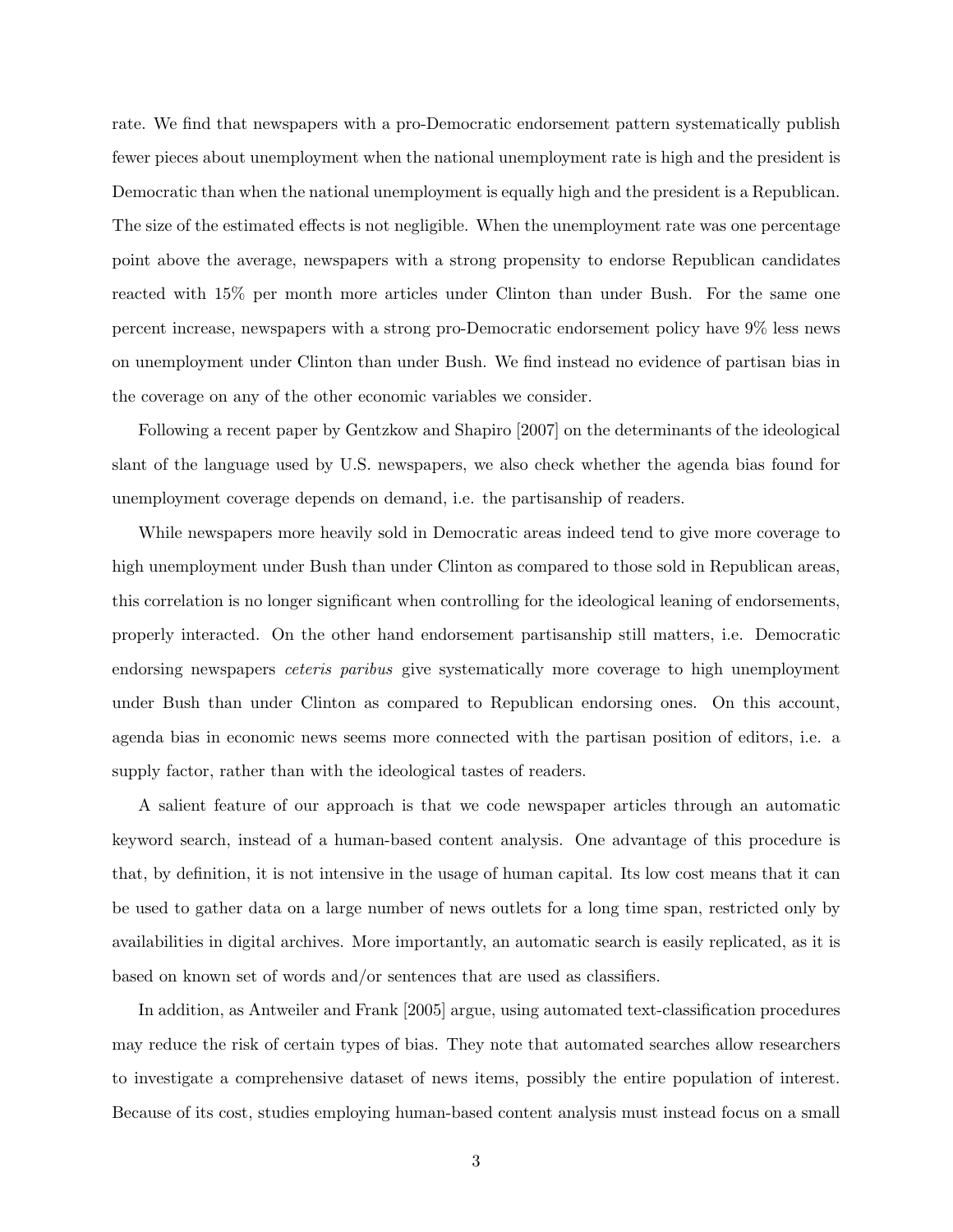rate. We find that newspapers with a pro-Democratic endorsement pattern systematically publish fewer pieces about unemployment when the national unemployment rate is high and the president is Democratic than when the national unemployment is equally high and the president is a Republican. The size of the estimated effects is not negligible. When the unemployment rate was one percentage point above the average, newspapers with a strong propensity to endorse Republican candidates reacted with 15% per month more articles under Clinton than under Bush. For the same one percent increase, newspapers with a strong pro-Democratic endorsement policy have 9% less news on unemployment under Clinton than under Bush. We find instead no evidence of partisan bias in the coverage on any of the other economic variables we consider.

Following a recent paper by Gentzkow and Shapiro [2007] on the determinants of the ideological slant of the language used by U.S. newspapers, we also check whether the agenda bias found for unemployment coverage depends on demand, i.e. the partisanship of readers.

While newspapers more heavily sold in Democratic areas indeed tend to give more coverage to high unemployment under Bush than under Clinton as compared to those sold in Republican areas, this correlation is no longer significant when controlling for the ideological leaning of endorsements, properly interacted. On the other hand endorsement partisanship still matters, i.e. Democratic endorsing newspapers ceteris paribus give systematically more coverage to high unemployment under Bush than under Clinton as compared to Republican endorsing ones. On this account, agenda bias in economic news seems more connected with the partisan position of editors, i.e. a supply factor, rather than with the ideological tastes of readers.

A salient feature of our approach is that we code newspaper articles through an automatic keyword search, instead of a human-based content analysis. One advantage of this procedure is that, by definition, it is not intensive in the usage of human capital. Its low cost means that it can be used to gather data on a large number of news outlets for a long time span, restricted only by availabilities in digital archives. More importantly, an automatic search is easily replicated, as it is based on known set of words and/or sentences that are used as classifiers.

In addition, as Antweiler and Frank [2005] argue, using automated text-classification procedures may reduce the risk of certain types of bias. They note that automated searches allow researchers to investigate a comprehensive dataset of news items, possibly the entire population of interest. Because of its cost, studies employing human-based content analysis must instead focus on a small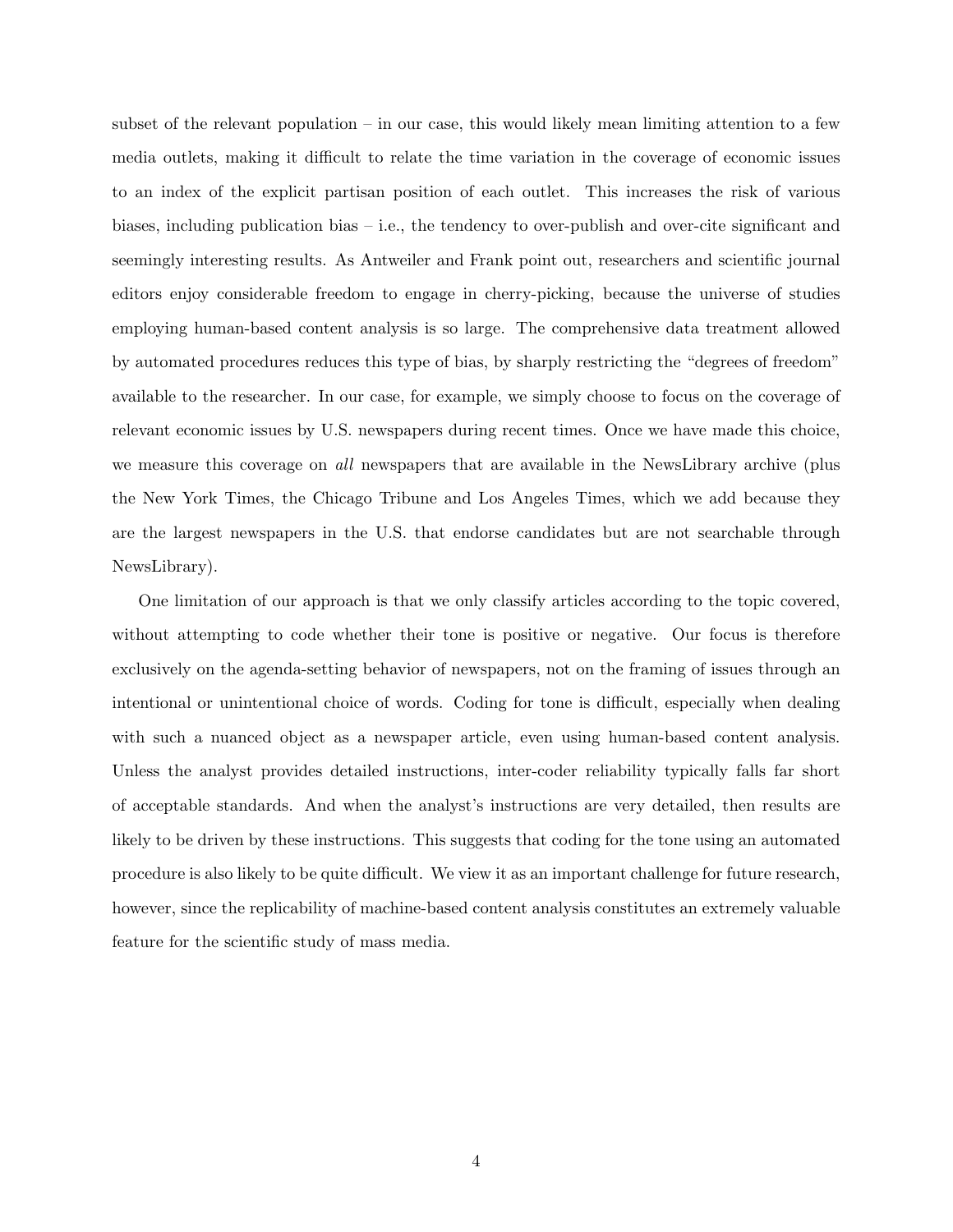subset of the relevant population – in our case, this would likely mean limiting attention to a few media outlets, making it difficult to relate the time variation in the coverage of economic issues to an index of the explicit partisan position of each outlet. This increases the risk of various biases, including publication bias – i.e., the tendency to over-publish and over-cite significant and seemingly interesting results. As Antweiler and Frank point out, researchers and scientific journal editors enjoy considerable freedom to engage in cherry-picking, because the universe of studies employing human-based content analysis is so large. The comprehensive data treatment allowed by automated procedures reduces this type of bias, by sharply restricting the "degrees of freedom" available to the researcher. In our case, for example, we simply choose to focus on the coverage of relevant economic issues by U.S. newspapers during recent times. Once we have made this choice, we measure this coverage on *all* newspapers that are available in the NewsLibrary archive (plus the New York Times, the Chicago Tribune and Los Angeles Times, which we add because they are the largest newspapers in the U.S. that endorse candidates but are not searchable through NewsLibrary).

One limitation of our approach is that we only classify articles according to the topic covered, without attempting to code whether their tone is positive or negative. Our focus is therefore exclusively on the agenda-setting behavior of newspapers, not on the framing of issues through an intentional or unintentional choice of words. Coding for tone is difficult, especially when dealing with such a nuanced object as a newspaper article, even using human-based content analysis. Unless the analyst provides detailed instructions, inter-coder reliability typically falls far short of acceptable standards. And when the analyst's instructions are very detailed, then results are likely to be driven by these instructions. This suggests that coding for the tone using an automated procedure is also likely to be quite difficult. We view it as an important challenge for future research, however, since the replicability of machine-based content analysis constitutes an extremely valuable feature for the scientific study of mass media.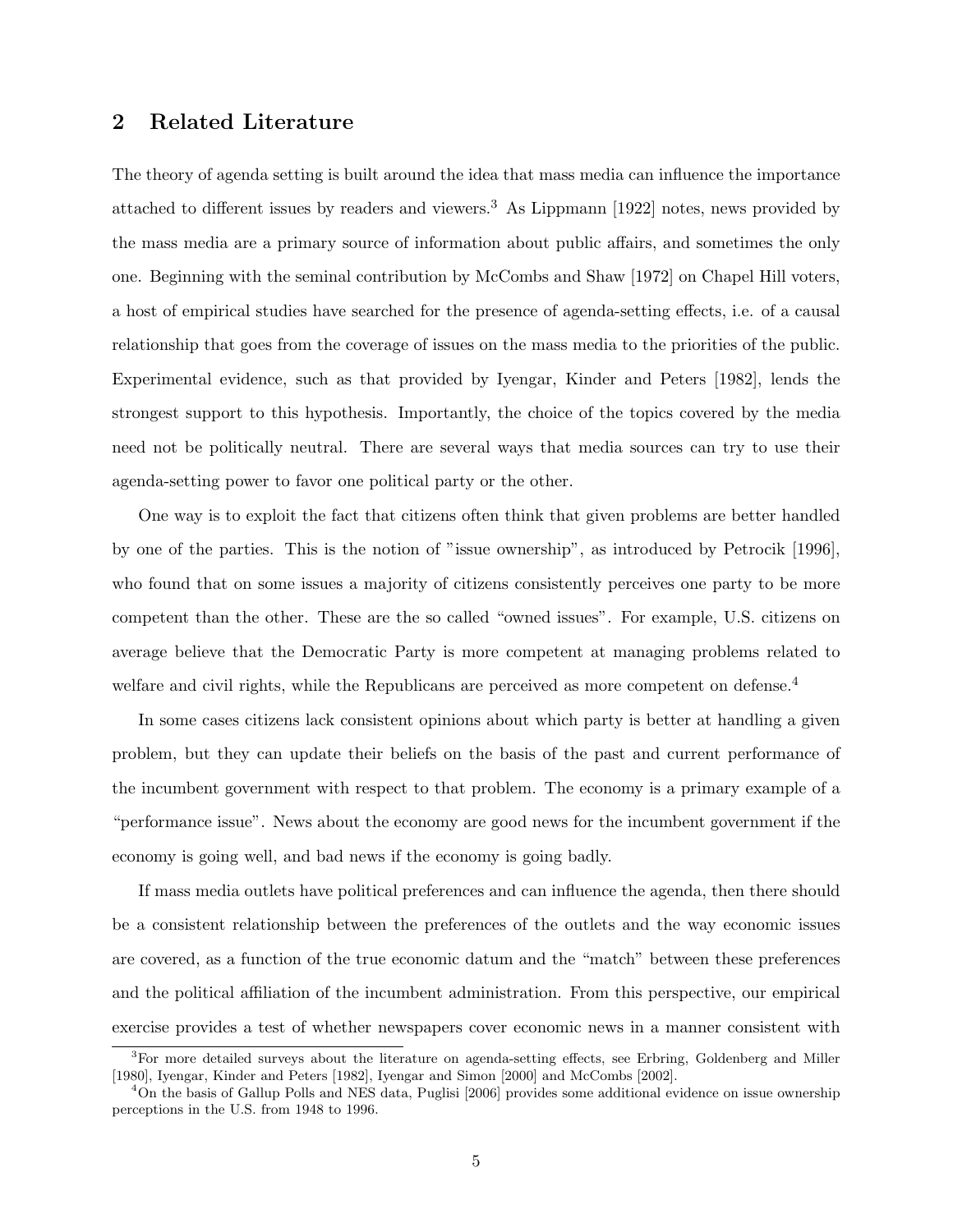### 2 Related Literature

The theory of agenda setting is built around the idea that mass media can influence the importance attached to different issues by readers and viewers.<sup>3</sup> As Lippmann [1922] notes, news provided by the mass media are a primary source of information about public affairs, and sometimes the only one. Beginning with the seminal contribution by McCombs and Shaw [1972] on Chapel Hill voters, a host of empirical studies have searched for the presence of agenda-setting effects, i.e. of a causal relationship that goes from the coverage of issues on the mass media to the priorities of the public. Experimental evidence, such as that provided by Iyengar, Kinder and Peters [1982], lends the strongest support to this hypothesis. Importantly, the choice of the topics covered by the media need not be politically neutral. There are several ways that media sources can try to use their agenda-setting power to favor one political party or the other.

One way is to exploit the fact that citizens often think that given problems are better handled by one of the parties. This is the notion of "issue ownership", as introduced by Petrocik [1996], who found that on some issues a majority of citizens consistently perceives one party to be more competent than the other. These are the so called "owned issues". For example, U.S. citizens on average believe that the Democratic Party is more competent at managing problems related to welfare and civil rights, while the Republicans are perceived as more competent on defense.<sup>4</sup>

In some cases citizens lack consistent opinions about which party is better at handling a given problem, but they can update their beliefs on the basis of the past and current performance of the incumbent government with respect to that problem. The economy is a primary example of a "performance issue". News about the economy are good news for the incumbent government if the economy is going well, and bad news if the economy is going badly.

If mass media outlets have political preferences and can influence the agenda, then there should be a consistent relationship between the preferences of the outlets and the way economic issues are covered, as a function of the true economic datum and the "match" between these preferences and the political affiliation of the incumbent administration. From this perspective, our empirical exercise provides a test of whether newspapers cover economic news in a manner consistent with

<sup>&</sup>lt;sup>3</sup>For more detailed surveys about the literature on agenda-setting effects, see Erbring, Goldenberg and Miller [1980], Iyengar, Kinder and Peters [1982], Iyengar and Simon [2000] and McCombs [2002].

<sup>4</sup>On the basis of Gallup Polls and NES data, Puglisi [2006] provides some additional evidence on issue ownership perceptions in the U.S. from 1948 to 1996.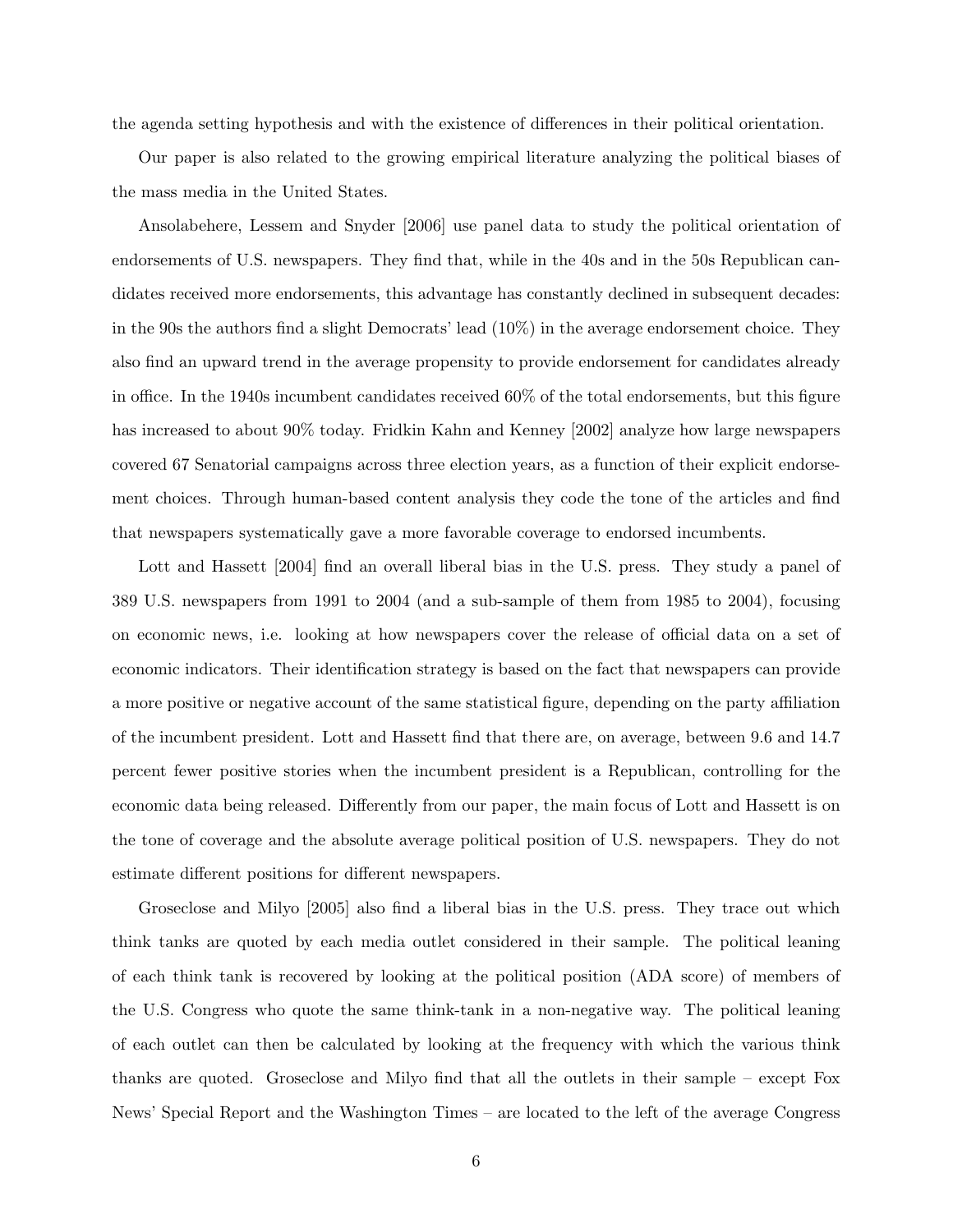the agenda setting hypothesis and with the existence of differences in their political orientation.

Our paper is also related to the growing empirical literature analyzing the political biases of the mass media in the United States.

Ansolabehere, Lessem and Snyder [2006] use panel data to study the political orientation of endorsements of U.S. newspapers. They find that, while in the 40s and in the 50s Republican candidates received more endorsements, this advantage has constantly declined in subsequent decades: in the 90s the authors find a slight Democrats' lead (10%) in the average endorsement choice. They also find an upward trend in the average propensity to provide endorsement for candidates already in office. In the 1940s incumbent candidates received 60% of the total endorsements, but this figure has increased to about 90% today. Fridkin Kahn and Kenney [2002] analyze how large newspapers covered 67 Senatorial campaigns across three election years, as a function of their explicit endorsement choices. Through human-based content analysis they code the tone of the articles and find that newspapers systematically gave a more favorable coverage to endorsed incumbents.

Lott and Hassett [2004] find an overall liberal bias in the U.S. press. They study a panel of 389 U.S. newspapers from 1991 to 2004 (and a sub-sample of them from 1985 to 2004), focusing on economic news, i.e. looking at how newspapers cover the release of official data on a set of economic indicators. Their identification strategy is based on the fact that newspapers can provide a more positive or negative account of the same statistical figure, depending on the party affiliation of the incumbent president. Lott and Hassett find that there are, on average, between 9.6 and 14.7 percent fewer positive stories when the incumbent president is a Republican, controlling for the economic data being released. Differently from our paper, the main focus of Lott and Hassett is on the tone of coverage and the absolute average political position of U.S. newspapers. They do not estimate different positions for different newspapers.

Groseclose and Milyo [2005] also find a liberal bias in the U.S. press. They trace out which think tanks are quoted by each media outlet considered in their sample. The political leaning of each think tank is recovered by looking at the political position (ADA score) of members of the U.S. Congress who quote the same think-tank in a non-negative way. The political leaning of each outlet can then be calculated by looking at the frequency with which the various think thanks are quoted. Groseclose and Milyo find that all the outlets in their sample – except Fox News' Special Report and the Washington Times – are located to the left of the average Congress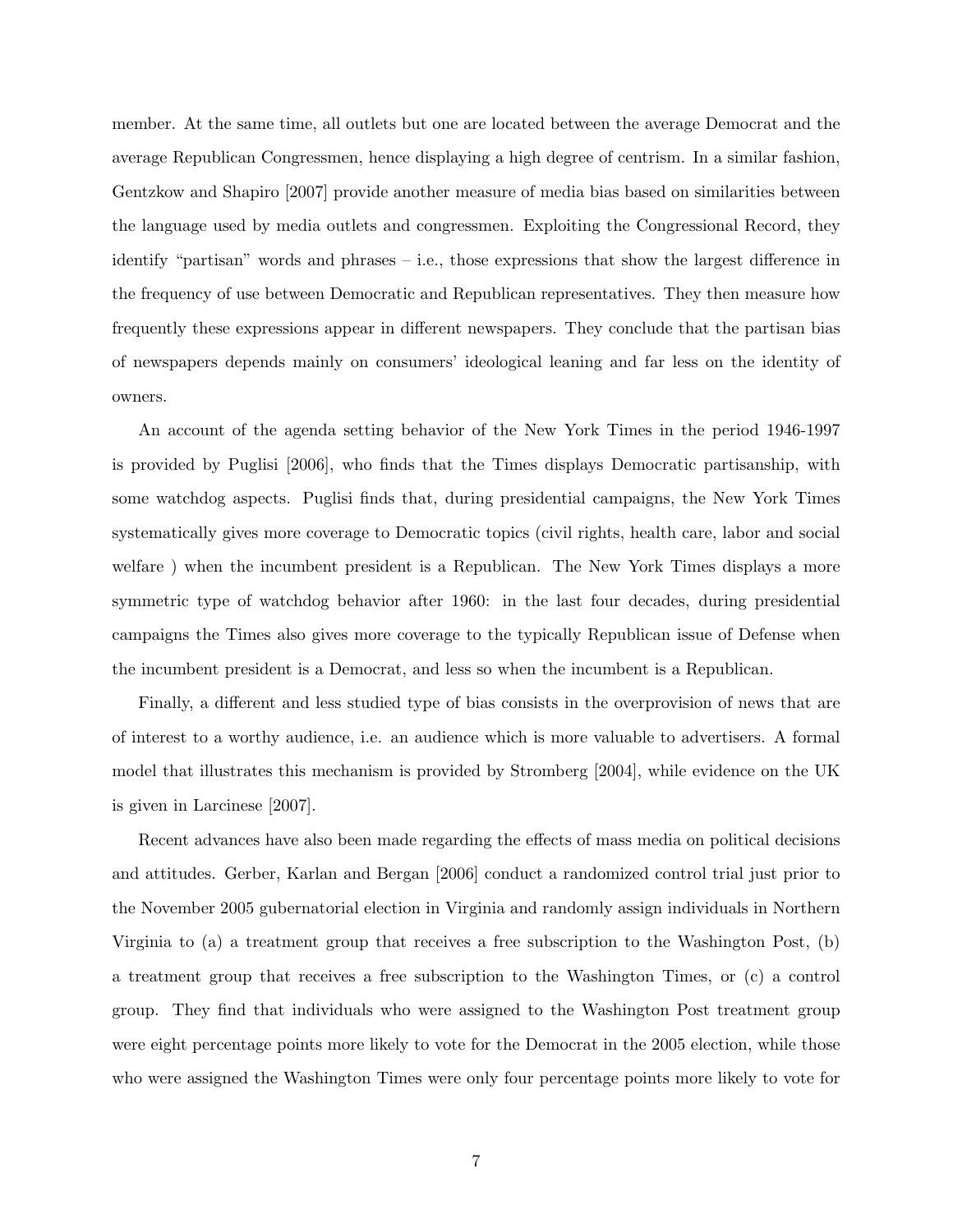member. At the same time, all outlets but one are located between the average Democrat and the average Republican Congressmen, hence displaying a high degree of centrism. In a similar fashion, Gentzkow and Shapiro [2007] provide another measure of media bias based on similarities between the language used by media outlets and congressmen. Exploiting the Congressional Record, they identify "partisan" words and phrases – i.e., those expressions that show the largest difference in the frequency of use between Democratic and Republican representatives. They then measure how frequently these expressions appear in different newspapers. They conclude that the partisan bias of newspapers depends mainly on consumers' ideological leaning and far less on the identity of owners.

An account of the agenda setting behavior of the New York Times in the period 1946-1997 is provided by Puglisi [2006], who finds that the Times displays Democratic partisanship, with some watchdog aspects. Puglisi finds that, during presidential campaigns, the New York Times systematically gives more coverage to Democratic topics (civil rights, health care, labor and social welfare ) when the incumbent president is a Republican. The New York Times displays a more symmetric type of watchdog behavior after 1960: in the last four decades, during presidential campaigns the Times also gives more coverage to the typically Republican issue of Defense when the incumbent president is a Democrat, and less so when the incumbent is a Republican.

Finally, a different and less studied type of bias consists in the overprovision of news that are of interest to a worthy audience, i.e. an audience which is more valuable to advertisers. A formal model that illustrates this mechanism is provided by Stromberg [2004], while evidence on the UK is given in Larcinese [2007].

Recent advances have also been made regarding the effects of mass media on political decisions and attitudes. Gerber, Karlan and Bergan [2006] conduct a randomized control trial just prior to the November 2005 gubernatorial election in Virginia and randomly assign individuals in Northern Virginia to (a) a treatment group that receives a free subscription to the Washington Post, (b) a treatment group that receives a free subscription to the Washington Times, or (c) a control group. They find that individuals who were assigned to the Washington Post treatment group were eight percentage points more likely to vote for the Democrat in the 2005 election, while those who were assigned the Washington Times were only four percentage points more likely to vote for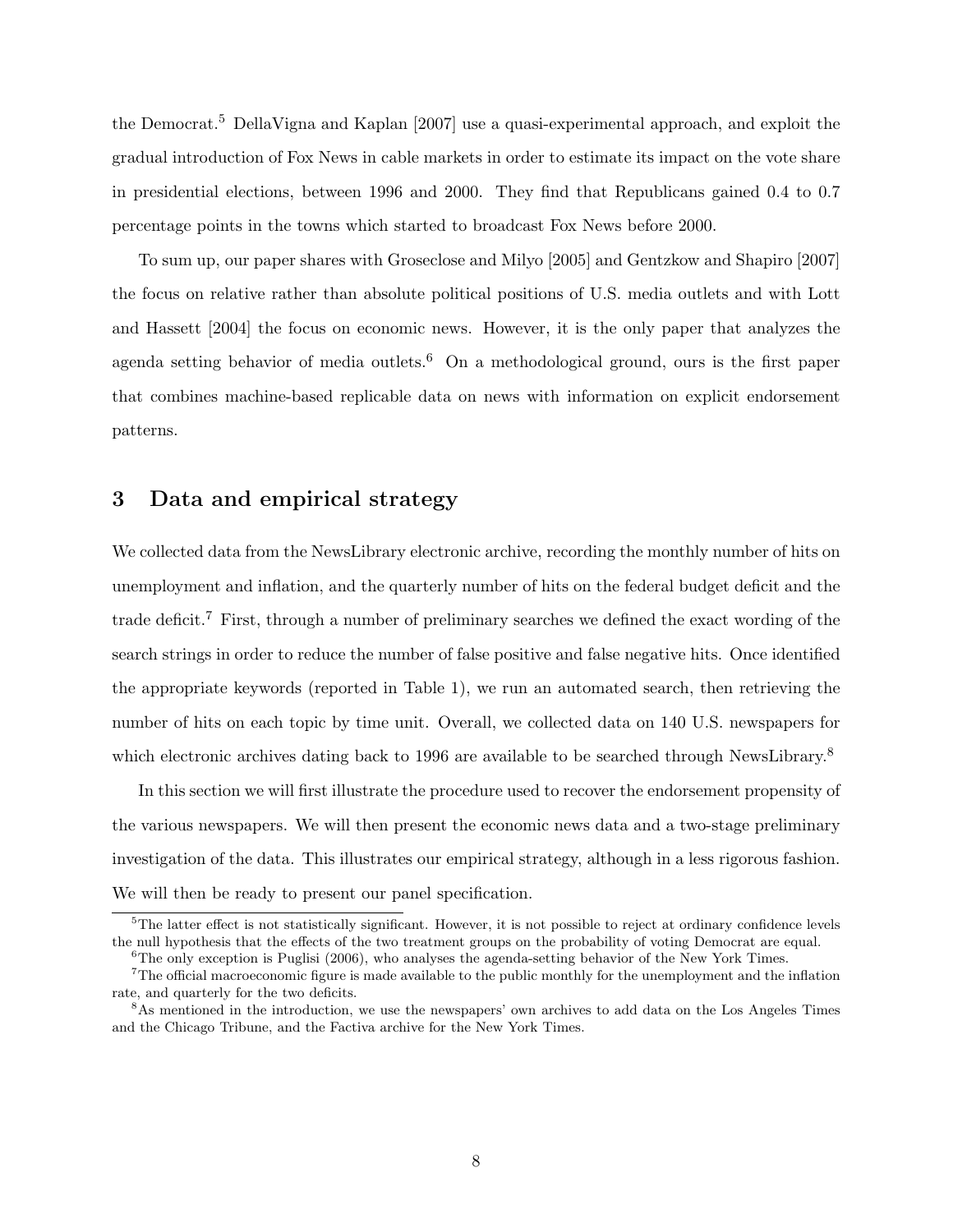the Democrat.<sup>5</sup> DellaVigna and Kaplan [2007] use a quasi-experimental approach, and exploit the gradual introduction of Fox News in cable markets in order to estimate its impact on the vote share in presidential elections, between 1996 and 2000. They find that Republicans gained 0.4 to 0.7 percentage points in the towns which started to broadcast Fox News before 2000.

To sum up, our paper shares with Groseclose and Milyo [2005] and Gentzkow and Shapiro [2007] the focus on relative rather than absolute political positions of U.S. media outlets and with Lott and Hassett [2004] the focus on economic news. However, it is the only paper that analyzes the agenda setting behavior of media outlets.<sup>6</sup> On a methodological ground, ours is the first paper that combines machine-based replicable data on news with information on explicit endorsement patterns.

### 3 Data and empirical strategy

We collected data from the NewsLibrary electronic archive, recording the monthly number of hits on unemployment and inflation, and the quarterly number of hits on the federal budget deficit and the trade deficit.<sup>7</sup> First, through a number of preliminary searches we defined the exact wording of the search strings in order to reduce the number of false positive and false negative hits. Once identified the appropriate keywords (reported in Table 1), we run an automated search, then retrieving the number of hits on each topic by time unit. Overall, we collected data on 140 U.S. newspapers for which electronic archives dating back to 1996 are available to be searched through NewsLibrary.<sup>8</sup>

In this section we will first illustrate the procedure used to recover the endorsement propensity of the various newspapers. We will then present the economic news data and a two-stage preliminary investigation of the data. This illustrates our empirical strategy, although in a less rigorous fashion. We will then be ready to present our panel specification.

 $5$ The latter effect is not statistically significant. However, it is not possible to reject at ordinary confidence levels the null hypothesis that the effects of the two treatment groups on the probability of voting Democrat are equal.

 $6$ The only exception is Puglisi (2006), who analyses the agenda-setting behavior of the New York Times.

<sup>7</sup>The official macroeconomic figure is made available to the public monthly for the unemployment and the inflation rate, and quarterly for the two deficits.

<sup>8</sup>As mentioned in the introduction, we use the newspapers' own archives to add data on the Los Angeles Times and the Chicago Tribune, and the Factiva archive for the New York Times.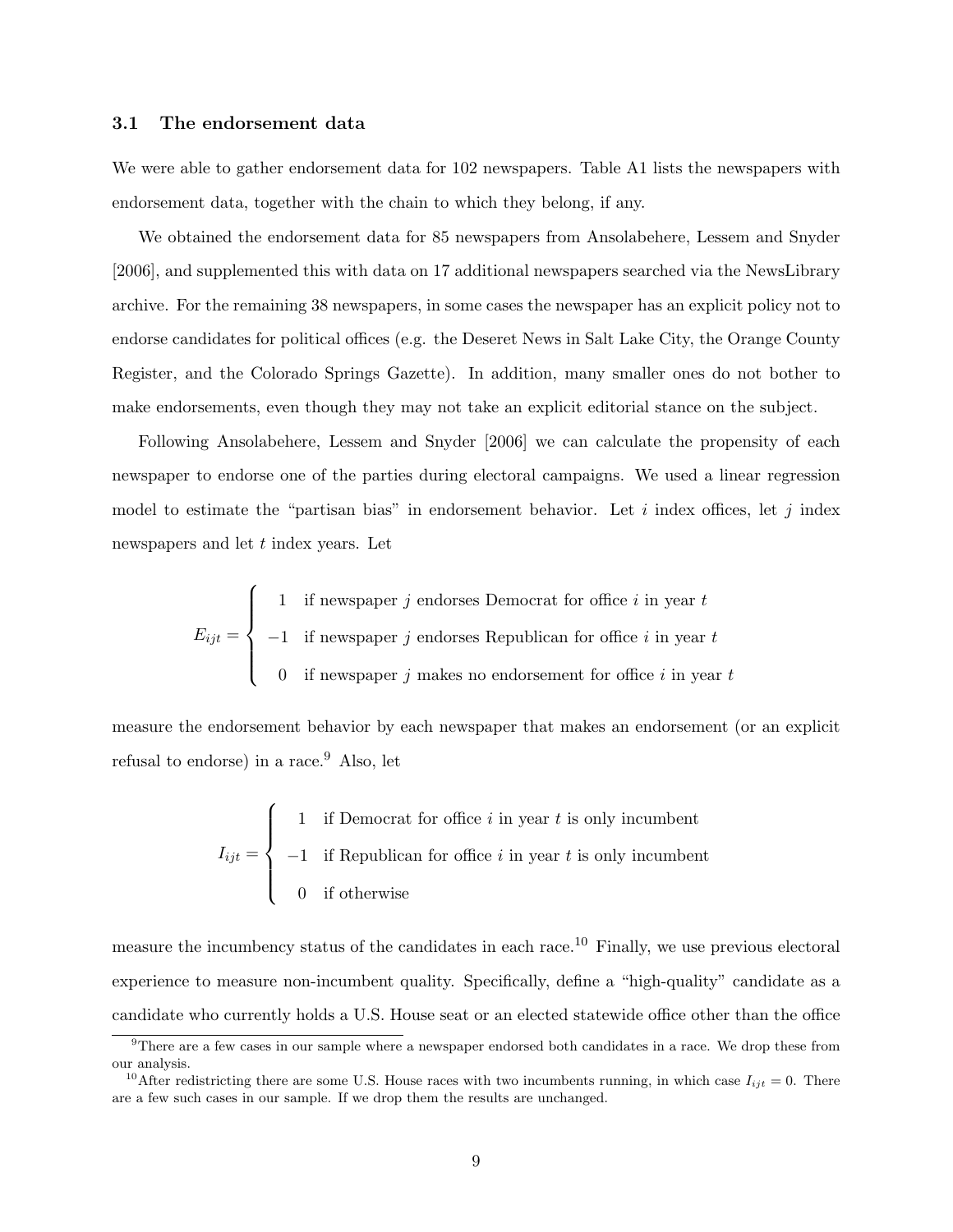#### 3.1 The endorsement data

We were able to gather endorsement data for 102 newspapers. Table A1 lists the newspapers with endorsement data, together with the chain to which they belong, if any.

We obtained the endorsement data for 85 newspapers from Ansolabehere, Lessem and Snyder [2006], and supplemented this with data on 17 additional newspapers searched via the NewsLibrary archive. For the remaining 38 newspapers, in some cases the newspaper has an explicit policy not to endorse candidates for political offices (e.g. the Deseret News in Salt Lake City, the Orange County Register, and the Colorado Springs Gazette). In addition, many smaller ones do not bother to make endorsements, even though they may not take an explicit editorial stance on the subject.

Following Ansolabehere, Lessem and Snyder [2006] we can calculate the propensity of each newspaper to endorse one of the parties during electoral campaigns. We used a linear regression model to estimate the "partisan bias" in endorsement behavior. Let  $i$  index offices, let  $j$  index newspapers and let t index years. Let

$$
E_{ijt} = \begin{cases} 1 & \text{if newspaper } j \text{ endorses } \text{Democrat for office } i \text{ in year } t \\ -1 & \text{if newspaper } j \text{ endorses } \text{Republican for office } i \text{ in year } t \\ 0 & \text{if newspaper } j \text{ makes no endorsement for office } i \text{ in year } t \end{cases}
$$

measure the endorsement behavior by each newspaper that makes an endorsement (or an explicit refusal to endorse) in a race.<sup>9</sup> Also, let

$$
I_{ijt} = \begin{cases} 1 & \text{if Demoncrat for office } i \text{ in year } t \text{ is only incumbent} \\ -1 & \text{if Republican for office } i \text{ in year } t \text{ is only incumbent} \\ 0 & \text{if otherwise} \end{cases}
$$

measure the incumbency status of the candidates in each race.<sup>10</sup> Finally, we use previous electoral experience to measure non-incumbent quality. Specifically, define a "high-quality" candidate as a candidate who currently holds a U.S. House seat or an elected statewide office other than the office

<sup>&</sup>lt;sup>9</sup>There are a few cases in our sample where a newspaper endorsed both candidates in a race. We drop these from our analysis.

<sup>&</sup>lt;sup>10</sup>After redistricting there are some U.S. House races with two incumbents running, in which case  $I_{ijt} = 0$ . There are a few such cases in our sample. If we drop them the results are unchanged.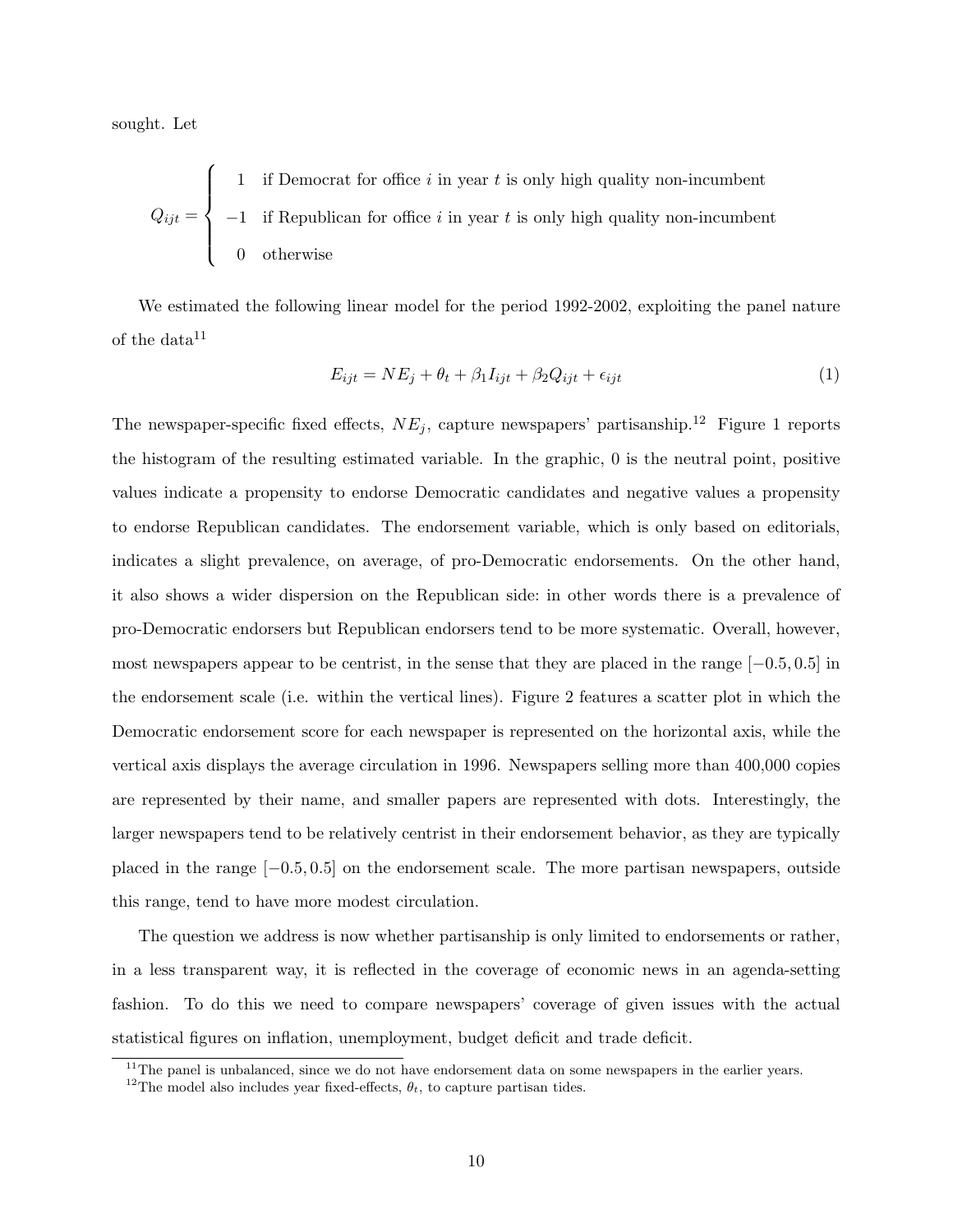sought. Let

$$
Q_{ijt} = \begin{cases} 1 & \text{if Demoncraft for office } i \text{ in year } t \text{ is only high quality non-incumbent} \\ -1 & \text{if Republican for office } i \text{ in year } t \text{ is only high quality non-incumbent} \\ 0 & \text{otherwise} \end{cases}
$$

We estimated the following linear model for the period 1992-2002, exploiting the panel nature of the data<sup>11</sup>

$$
E_{ijt} = NE_j + \theta_t + \beta_1 I_{ijt} + \beta_2 Q_{ijt} + \epsilon_{ijt}
$$
\n<sup>(1)</sup>

The newspaper-specific fixed effects,  $NE<sub>j</sub>$ , capture newspapers' partisanship.<sup>12</sup> Figure 1 reports the histogram of the resulting estimated variable. In the graphic, 0 is the neutral point, positive values indicate a propensity to endorse Democratic candidates and negative values a propensity to endorse Republican candidates. The endorsement variable, which is only based on editorials, indicates a slight prevalence, on average, of pro-Democratic endorsements. On the other hand, it also shows a wider dispersion on the Republican side: in other words there is a prevalence of pro-Democratic endorsers but Republican endorsers tend to be more systematic. Overall, however, most newspapers appear to be centrist, in the sense that they are placed in the range  $[-0.5, 0.5]$  in the endorsement scale (i.e. within the vertical lines). Figure 2 features a scatter plot in which the Democratic endorsement score for each newspaper is represented on the horizontal axis, while the vertical axis displays the average circulation in 1996. Newspapers selling more than 400,000 copies are represented by their name, and smaller papers are represented with dots. Interestingly, the larger newspapers tend to be relatively centrist in their endorsement behavior, as they are typically placed in the range [−0.5, 0.5] on the endorsement scale. The more partisan newspapers, outside this range, tend to have more modest circulation.

The question we address is now whether partisanship is only limited to endorsements or rather, in a less transparent way, it is reflected in the coverage of economic news in an agenda-setting fashion. To do this we need to compare newspapers' coverage of given issues with the actual statistical figures on inflation, unemployment, budget deficit and trade deficit.

 $11$ The panel is unbalanced, since we do not have endorsement data on some newspapers in the earlier years.

<sup>&</sup>lt;sup>12</sup>The model also includes year fixed-effects,  $\theta_t$ , to capture partisan tides.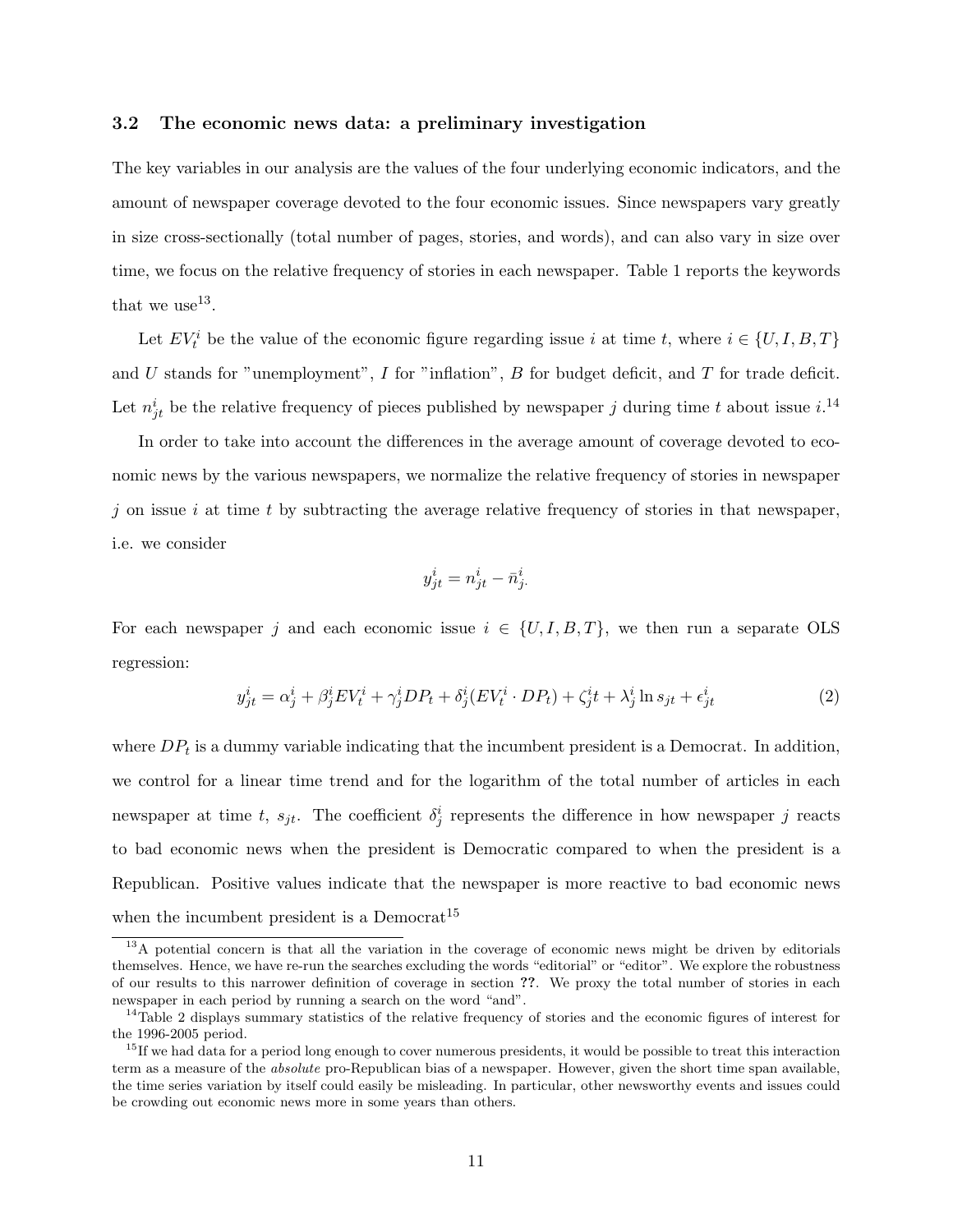#### 3.2 The economic news data: a preliminary investigation

The key variables in our analysis are the values of the four underlying economic indicators, and the amount of newspaper coverage devoted to the four economic issues. Since newspapers vary greatly in size cross-sectionally (total number of pages, stories, and words), and can also vary in size over time, we focus on the relative frequency of stories in each newspaper. Table 1 reports the keywords that we use<sup>13</sup>.

Let  $EV_t^i$  be the value of the economic figure regarding issue i at time t, where  $i \in \{U, I, B, T\}$ and  $U$  stands for "unemployment",  $I$  for "inflation",  $B$  for budget deficit, and  $T$  for trade deficit. Let  $n_{jt}^i$  be the relative frequency of pieces published by newspaper j during time t about issue  $i$ .<sup>14</sup>

In order to take into account the differences in the average amount of coverage devoted to economic news by the various newspapers, we normalize the relative frequency of stories in newspaper j on issue i at time t by subtracting the average relative frequency of stories in that newspaper, i.e. we consider

$$
y_{jt}^i = n_{jt}^i - \bar{n}_{j}^i.
$$

For each newspaper j and each economic issue  $i \in \{U, I, B, T\}$ , we then run a separate OLS regression:

$$
y_{jt}^i = \alpha_j^i + \beta_j^i E V_t^i + \gamma_j^i D P_t + \delta_j^i (E V_t^i \cdot D P_t) + \zeta_j^i t + \lambda_j^i \ln s_{jt} + \epsilon_{jt}^i
$$
 (2)

where  $DP_t$  is a dummy variable indicating that the incumbent president is a Democrat. In addition, we control for a linear time trend and for the logarithm of the total number of articles in each newspaper at time t,  $s_{jt}$ . The coefficient  $\delta_j^i$  represents the difference in how newspaper j reacts to bad economic news when the president is Democratic compared to when the president is a Republican. Positive values indicate that the newspaper is more reactive to bad economic news when the incumbent president is a Democrat<sup>15</sup>

<sup>&</sup>lt;sup>13</sup>A potential concern is that all the variation in the coverage of economic news might be driven by editorials themselves. Hence, we have re-run the searches excluding the words "editorial" or "editor". We explore the robustness of our results to this narrower definition of coverage in section ??. We proxy the total number of stories in each newspaper in each period by running a search on the word "and".

<sup>&</sup>lt;sup>14</sup>Table 2 displays summary statistics of the relative frequency of stories and the economic figures of interest for the 1996-2005 period.

 $15$ If we had data for a period long enough to cover numerous presidents, it would be possible to treat this interaction term as a measure of the absolute pro-Republican bias of a newspaper. However, given the short time span available, the time series variation by itself could easily be misleading. In particular, other newsworthy events and issues could be crowding out economic news more in some years than others.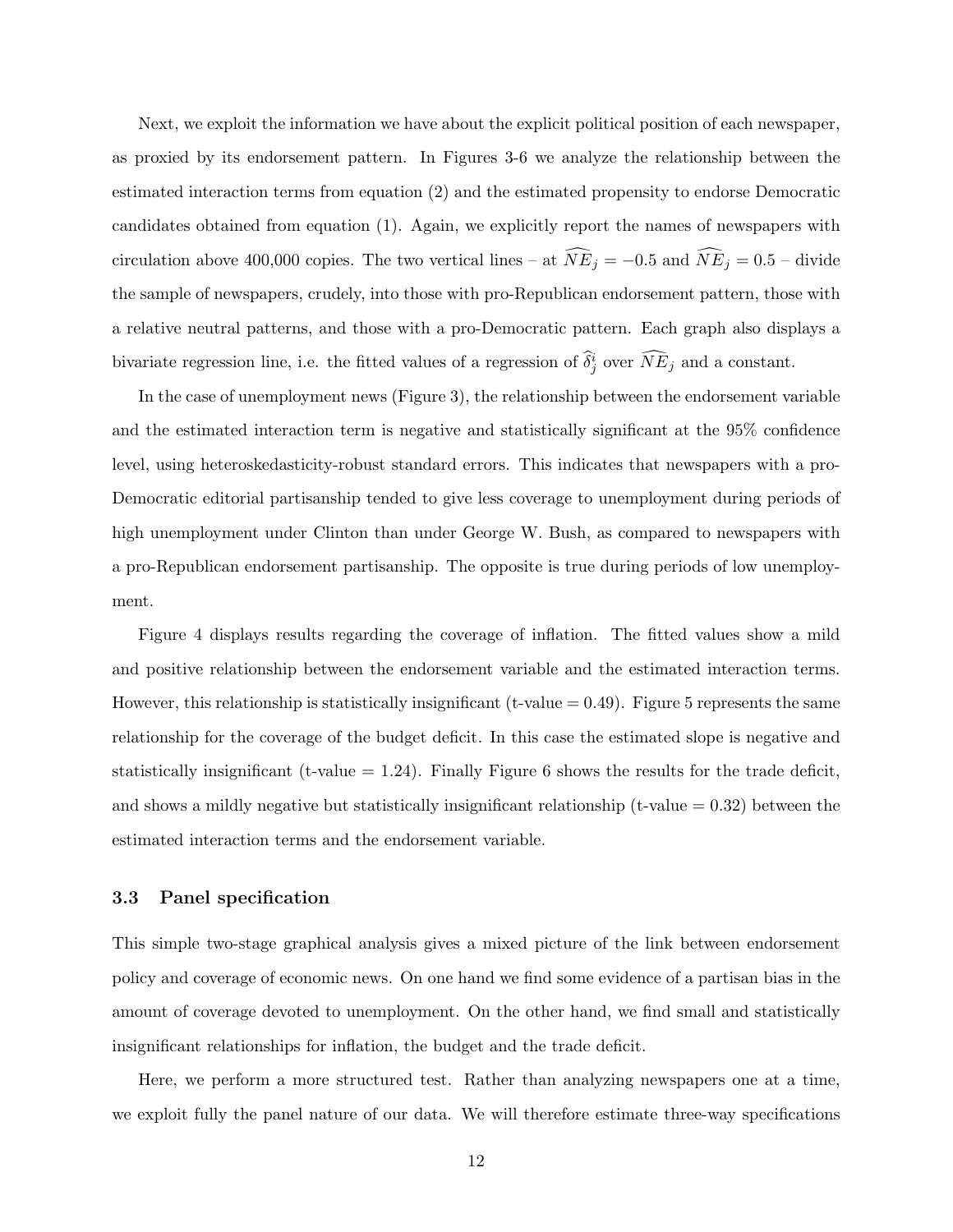Next, we exploit the information we have about the explicit political position of each newspaper, as proxied by its endorsement pattern. In Figures 3-6 we analyze the relationship between the estimated interaction terms from equation (2) and the estimated propensity to endorse Democratic candidates obtained from equation (1). Again, we explicitly report the names of newspapers with circulation above 400,000 copies. The two vertical lines – at  $\widehat{NE}_j = -0.5$  and  $\widehat{NE}_j = 0.5$  – divide the sample of newspapers, crudely, into those with pro-Republican endorsement pattern, those with a relative neutral patterns, and those with a pro-Democratic pattern. Each graph also displays a bivariate regression line, i.e. the fitted values of a regression of  $\hat{\delta}_j^i$  over  $\widehat{NE}_j$  and a constant.

In the case of unemployment news (Figure 3), the relationship between the endorsement variable and the estimated interaction term is negative and statistically significant at the 95% confidence level, using heteroskedasticity-robust standard errors. This indicates that newspapers with a pro-Democratic editorial partisanship tended to give less coverage to unemployment during periods of high unemployment under Clinton than under George W. Bush, as compared to newspapers with a pro-Republican endorsement partisanship. The opposite is true during periods of low unemployment.

Figure 4 displays results regarding the coverage of inflation. The fitted values show a mild and positive relationship between the endorsement variable and the estimated interaction terms. However, this relationship is statistically insignificant (t-value  $= 0.49$ ). Figure 5 represents the same relationship for the coverage of the budget deficit. In this case the estimated slope is negative and statistically insignificant (t-value  $= 1.24$ ). Finally Figure 6 shows the results for the trade deficit, and shows a mildly negative but statistically insignificant relationship (t-value  $= 0.32$ ) between the estimated interaction terms and the endorsement variable.

#### 3.3 Panel specification

This simple two-stage graphical analysis gives a mixed picture of the link between endorsement policy and coverage of economic news. On one hand we find some evidence of a partisan bias in the amount of coverage devoted to unemployment. On the other hand, we find small and statistically insignificant relationships for inflation, the budget and the trade deficit.

Here, we perform a more structured test. Rather than analyzing newspapers one at a time, we exploit fully the panel nature of our data. We will therefore estimate three-way specifications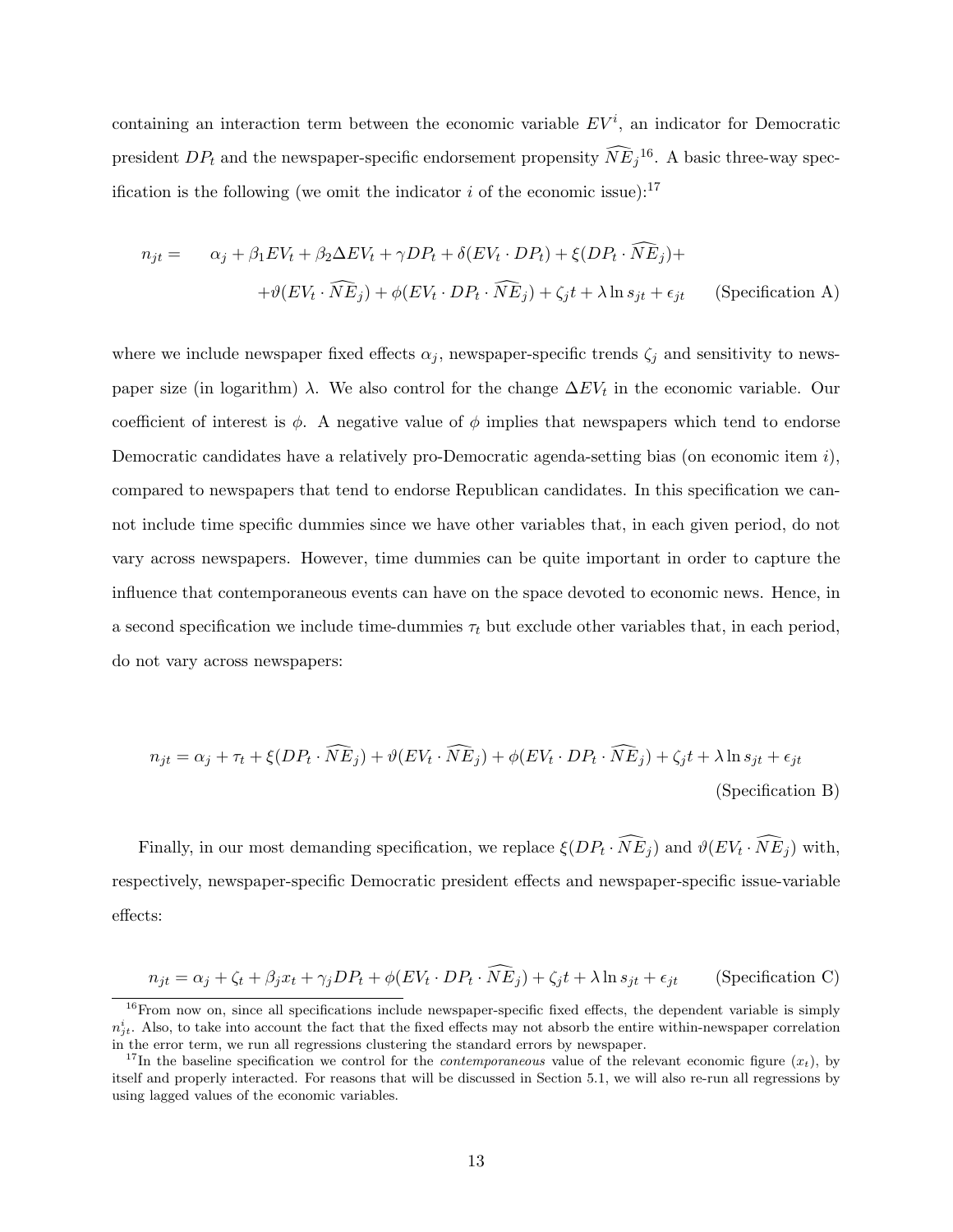containing an interaction term between the economic variable  $EV<sup>i</sup>$ , an indicator for Democratic president  $DP_t$  and the newspaper-specific endorsement propensity  $\widehat{NE}_j^{16}$ . A basic three-way specification is the following (we omit the indicator i of the economic issue):<sup>17</sup>

$$
n_{jt} = \alpha_j + \beta_1 EV_t + \beta_2 \Delta EV_t + \gamma DP_t + \delta (EV_t \cdot DP_t) + \xi (DP_t \cdot \widehat{NE}_j) +
$$
  
+  $\vartheta (EV_t \cdot \widehat{NE}_j) + \phi (EV_t \cdot DP_t \cdot \widehat{NE}_j) + \zeta_j t + \lambda \ln s_{jt} + \epsilon_{jt}$  (Specification A)

where we include newspaper fixed effects  $\alpha_j$ , newspaper-specific trends  $\zeta_j$  and sensitivity to newspaper size (in logarithm)  $\lambda$ . We also control for the change  $\Delta EV_t$  in the economic variable. Our coefficient of interest is  $\phi$ . A negative value of  $\phi$  implies that newspapers which tend to endorse Democratic candidates have a relatively pro-Democratic agenda-setting bias (on economic item  $i$ ), compared to newspapers that tend to endorse Republican candidates. In this specification we cannot include time specific dummies since we have other variables that, in each given period, do not vary across newspapers. However, time dummies can be quite important in order to capture the influence that contemporaneous events can have on the space devoted to economic news. Hence, in a second specification we include time-dummies  $\tau_t$  but exclude other variables that, in each period, do not vary across newspapers:

$$
n_{jt} = \alpha_j + \tau_t + \xi (DP_t \cdot \widehat{NE}_j) + \vartheta (EV_t \cdot \widehat{NE}_j) + \varphi (EV_t \cdot DP_t \cdot \widehat{NE}_j) + \zeta_j t + \lambda \ln s_{jt} + \epsilon_{jt}
$$
\n(Specification B)

Finally, in our most demanding specification, we replace  $\xi(DP_t \cdot NE_j)$  and  $\vartheta(EV_t \cdot NE_j)$  with, respectively, newspaper-specific Democratic president effects and newspaper-specific issue-variable effects:

$$
n_{jt} = \alpha_j + \zeta_t + \beta_j x_t + \gamma_j DP_t + \phi(EV_t \cdot DP_t \cdot N\bar{E}_j) + \zeta_j t + \lambda \ln s_{jt} + \epsilon_{jt}
$$
 (Specification C)

<sup>&</sup>lt;sup>16</sup>From now on, since all specifications include newspaper-specific fixed effects, the dependent variable is simply  $n_{jt}^i$ . Also, to take into account the fact that the fixed effects may not absorb the entire within-newspaper correlation in the error term, we run all regressions clustering the standard errors by newspaper.

<sup>&</sup>lt;sup>17</sup>In the baseline specification we control for the *contemporaneous* value of the relevant economic figure  $(x_t)$ , by itself and properly interacted. For reasons that will be discussed in Section 5.1, we will also re-run all regressions by using lagged values of the economic variables.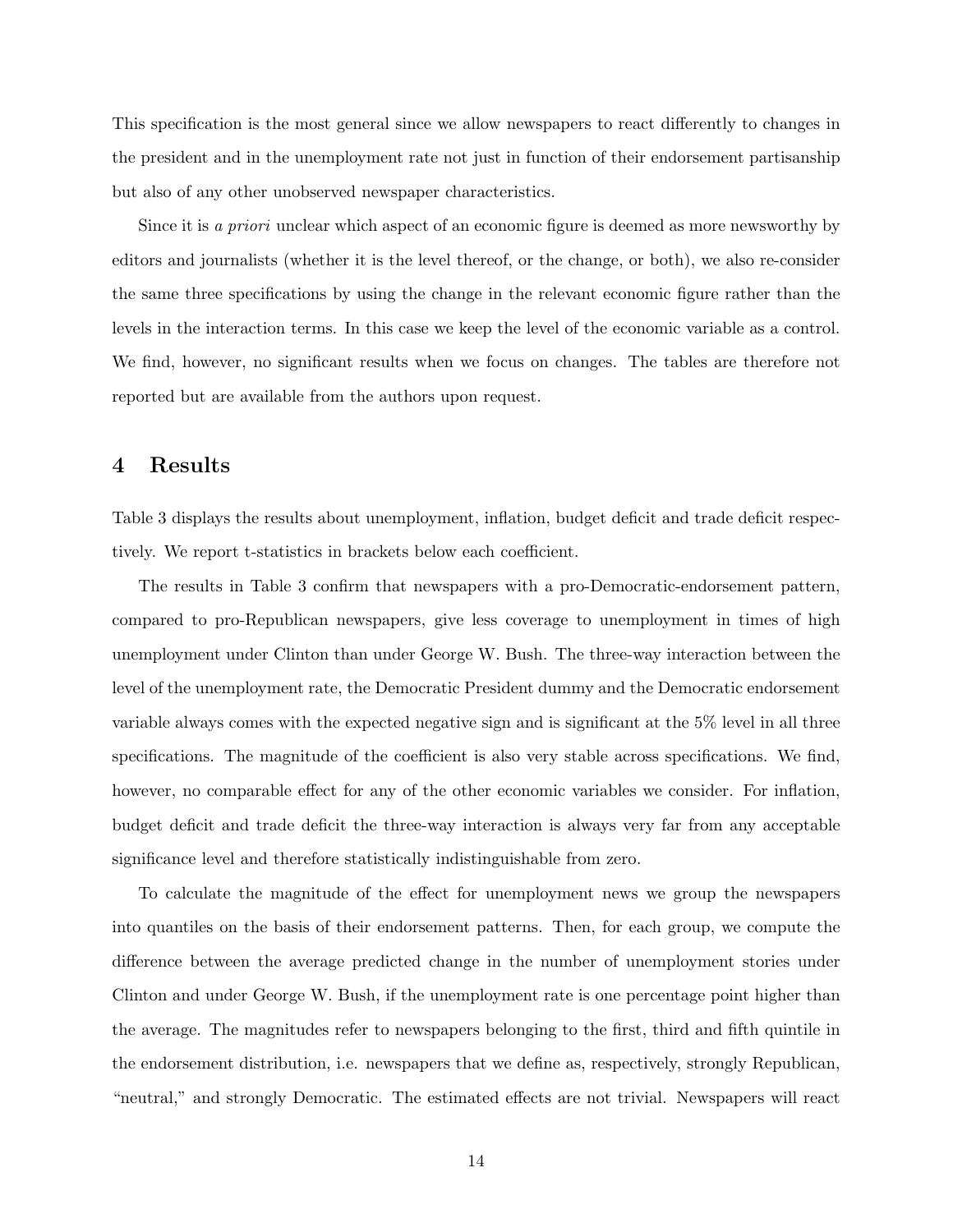This specification is the most general since we allow newspapers to react differently to changes in the president and in the unemployment rate not just in function of their endorsement partisanship but also of any other unobserved newspaper characteristics.

Since it is a priori unclear which aspect of an economic figure is deemed as more newsworthy by editors and journalists (whether it is the level thereof, or the change, or both), we also re-consider the same three specifications by using the change in the relevant economic figure rather than the levels in the interaction terms. In this case we keep the level of the economic variable as a control. We find, however, no significant results when we focus on changes. The tables are therefore not reported but are available from the authors upon request.

### 4 Results

Table 3 displays the results about unemployment, inflation, budget deficit and trade deficit respectively. We report t-statistics in brackets below each coefficient.

The results in Table 3 confirm that newspapers with a pro-Democratic-endorsement pattern, compared to pro-Republican newspapers, give less coverage to unemployment in times of high unemployment under Clinton than under George W. Bush. The three-way interaction between the level of the unemployment rate, the Democratic President dummy and the Democratic endorsement variable always comes with the expected negative sign and is significant at the 5% level in all three specifications. The magnitude of the coefficient is also very stable across specifications. We find, however, no comparable effect for any of the other economic variables we consider. For inflation, budget deficit and trade deficit the three-way interaction is always very far from any acceptable significance level and therefore statistically indistinguishable from zero.

To calculate the magnitude of the effect for unemployment news we group the newspapers into quantiles on the basis of their endorsement patterns. Then, for each group, we compute the difference between the average predicted change in the number of unemployment stories under Clinton and under George W. Bush, if the unemployment rate is one percentage point higher than the average. The magnitudes refer to newspapers belonging to the first, third and fifth quintile in the endorsement distribution, i.e. newspapers that we define as, respectively, strongly Republican, "neutral," and strongly Democratic. The estimated effects are not trivial. Newspapers will react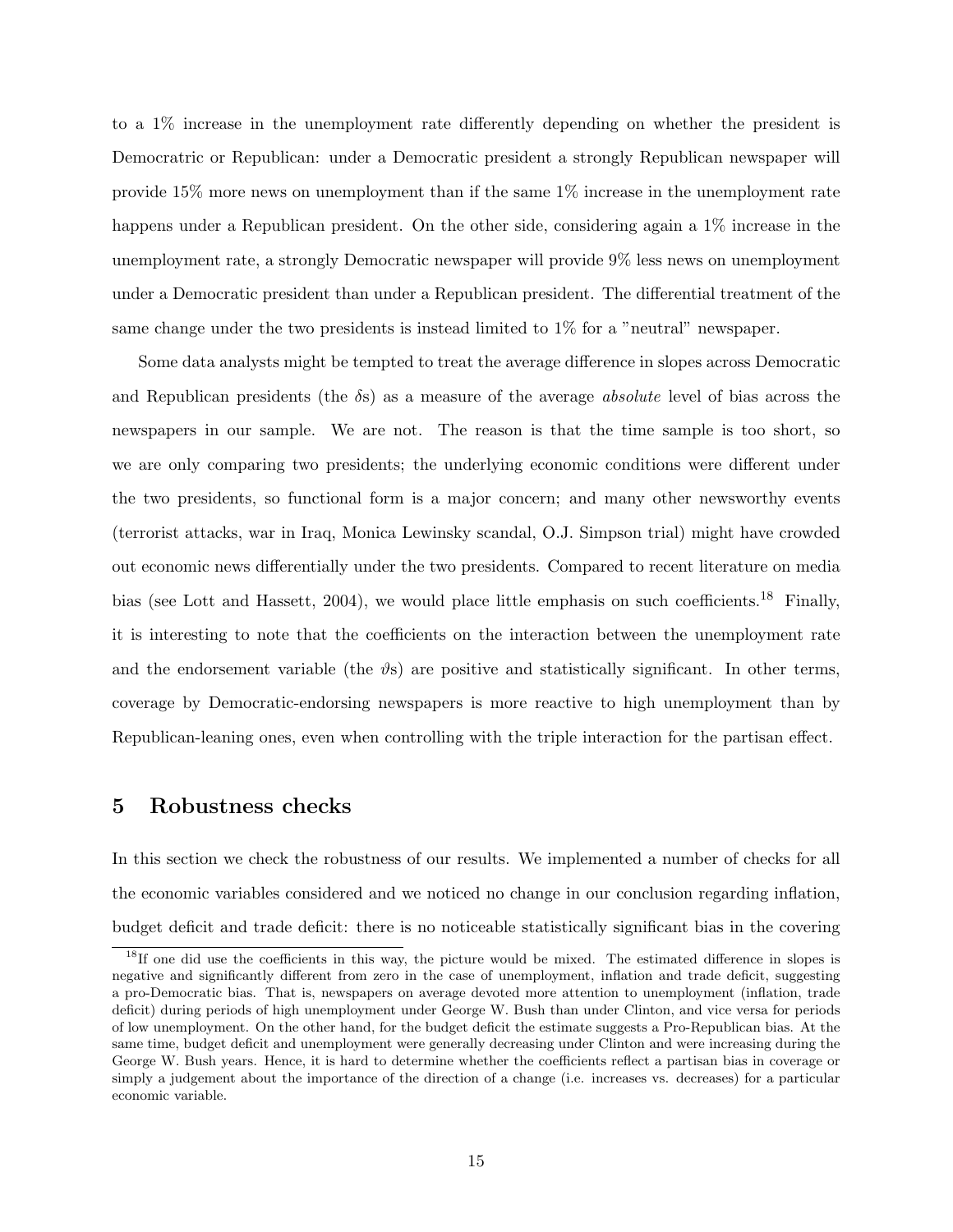to a 1% increase in the unemployment rate differently depending on whether the president is Democratric or Republican: under a Democratic president a strongly Republican newspaper will provide 15% more news on unemployment than if the same 1% increase in the unemployment rate happens under a Republican president. On the other side, considering again a 1\% increase in the unemployment rate, a strongly Democratic newspaper will provide 9% less news on unemployment under a Democratic president than under a Republican president. The differential treatment of the same change under the two presidents is instead limited to 1% for a "neutral" newspaper.

Some data analysts might be tempted to treat the average difference in slopes across Democratic and Republican presidents (the  $\delta$ s) as a measure of the average *absolute* level of bias across the newspapers in our sample. We are not. The reason is that the time sample is too short, so we are only comparing two presidents; the underlying economic conditions were different under the two presidents, so functional form is a major concern; and many other newsworthy events (terrorist attacks, war in Iraq, Monica Lewinsky scandal, O.J. Simpson trial) might have crowded out economic news differentially under the two presidents. Compared to recent literature on media bias (see Lott and Hassett, 2004), we would place little emphasis on such coefficients.<sup>18</sup> Finally, it is interesting to note that the coefficients on the interaction between the unemployment rate and the endorsement variable (the  $\vartheta$ s) are positive and statistically significant. In other terms, coverage by Democratic-endorsing newspapers is more reactive to high unemployment than by Republican-leaning ones, even when controlling with the triple interaction for the partisan effect.

### 5 Robustness checks

In this section we check the robustness of our results. We implemented a number of checks for all the economic variables considered and we noticed no change in our conclusion regarding inflation, budget deficit and trade deficit: there is no noticeable statistically significant bias in the covering

<sup>&</sup>lt;sup>18</sup>If one did use the coefficients in this way, the picture would be mixed. The estimated difference in slopes is negative and significantly different from zero in the case of unemployment, inflation and trade deficit, suggesting a pro-Democratic bias. That is, newspapers on average devoted more attention to unemployment (inflation, trade deficit) during periods of high unemployment under George W. Bush than under Clinton, and vice versa for periods of low unemployment. On the other hand, for the budget deficit the estimate suggests a Pro-Republican bias. At the same time, budget deficit and unemployment were generally decreasing under Clinton and were increasing during the George W. Bush years. Hence, it is hard to determine whether the coefficients reflect a partisan bias in coverage or simply a judgement about the importance of the direction of a change (i.e. increases vs. decreases) for a particular economic variable.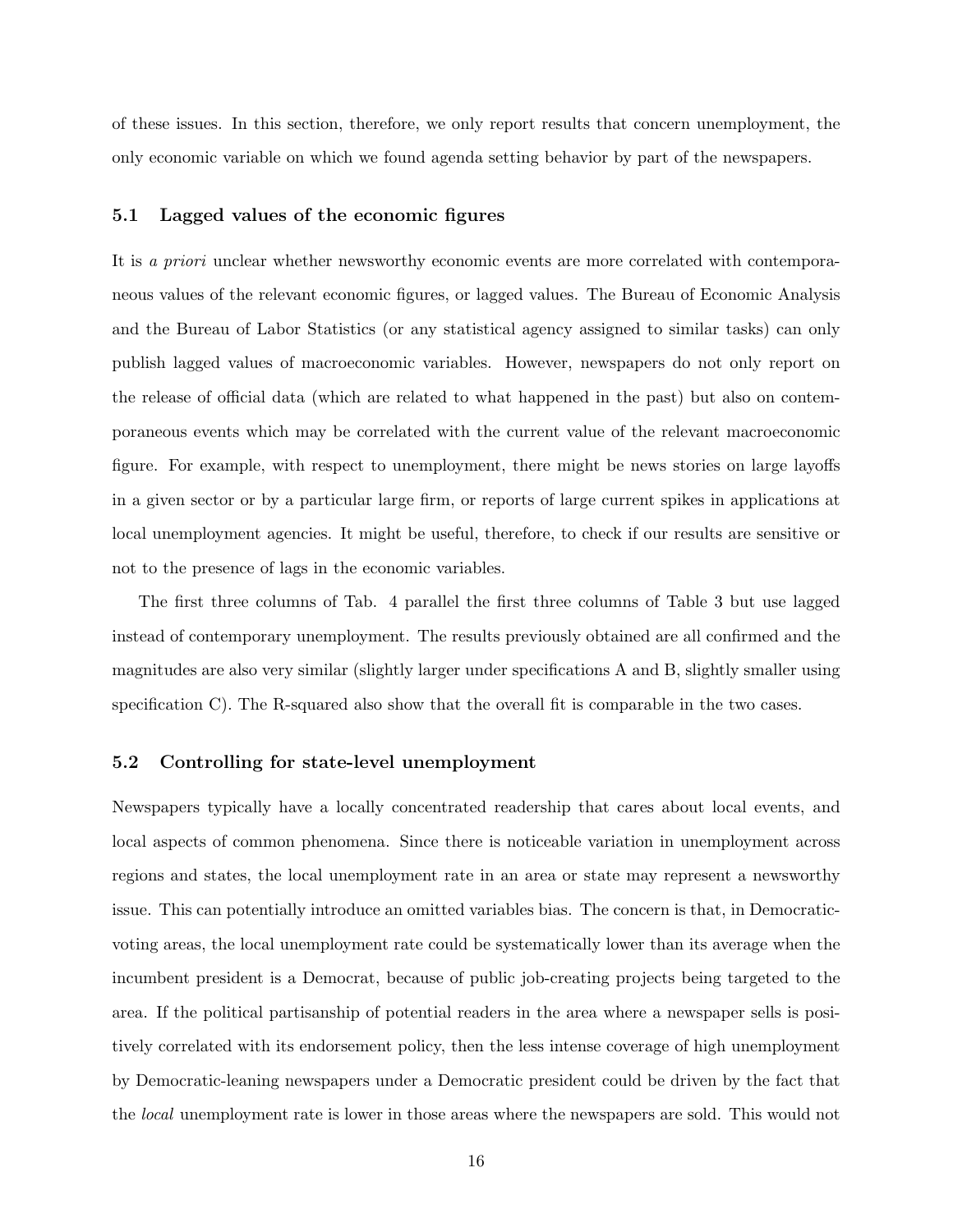of these issues. In this section, therefore, we only report results that concern unemployment, the only economic variable on which we found agenda setting behavior by part of the newspapers.

#### 5.1 Lagged values of the economic figures

It is a priori unclear whether newsworthy economic events are more correlated with contemporaneous values of the relevant economic figures, or lagged values. The Bureau of Economic Analysis and the Bureau of Labor Statistics (or any statistical agency assigned to similar tasks) can only publish lagged values of macroeconomic variables. However, newspapers do not only report on the release of official data (which are related to what happened in the past) but also on contemporaneous events which may be correlated with the current value of the relevant macroeconomic figure. For example, with respect to unemployment, there might be news stories on large layoffs in a given sector or by a particular large firm, or reports of large current spikes in applications at local unemployment agencies. It might be useful, therefore, to check if our results are sensitive or not to the presence of lags in the economic variables.

The first three columns of Tab. 4 parallel the first three columns of Table 3 but use lagged instead of contemporary unemployment. The results previously obtained are all confirmed and the magnitudes are also very similar (slightly larger under specifications A and B, slightly smaller using specification C). The R-squared also show that the overall fit is comparable in the two cases.

#### 5.2 Controlling for state-level unemployment

Newspapers typically have a locally concentrated readership that cares about local events, and local aspects of common phenomena. Since there is noticeable variation in unemployment across regions and states, the local unemployment rate in an area or state may represent a newsworthy issue. This can potentially introduce an omitted variables bias. The concern is that, in Democraticvoting areas, the local unemployment rate could be systematically lower than its average when the incumbent president is a Democrat, because of public job-creating projects being targeted to the area. If the political partisanship of potential readers in the area where a newspaper sells is positively correlated with its endorsement policy, then the less intense coverage of high unemployment by Democratic-leaning newspapers under a Democratic president could be driven by the fact that the local unemployment rate is lower in those areas where the newspapers are sold. This would not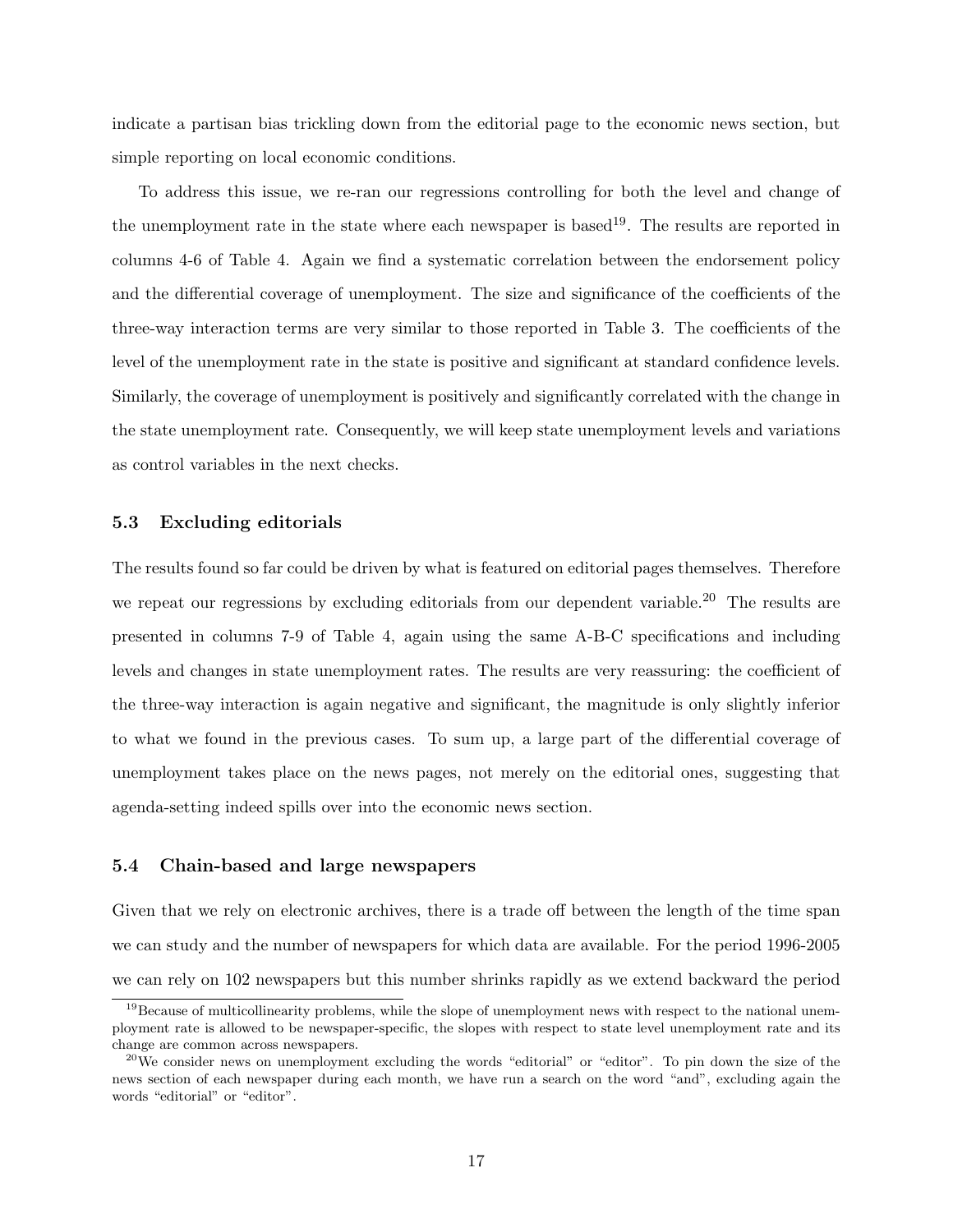indicate a partisan bias trickling down from the editorial page to the economic news section, but simple reporting on local economic conditions.

To address this issue, we re-ran our regressions controlling for both the level and change of the unemployment rate in the state where each newspaper is based<sup>19</sup>. The results are reported in columns 4-6 of Table 4. Again we find a systematic correlation between the endorsement policy and the differential coverage of unemployment. The size and significance of the coefficients of the three-way interaction terms are very similar to those reported in Table 3. The coefficients of the level of the unemployment rate in the state is positive and significant at standard confidence levels. Similarly, the coverage of unemployment is positively and significantly correlated with the change in the state unemployment rate. Consequently, we will keep state unemployment levels and variations as control variables in the next checks.

### 5.3 Excluding editorials

The results found so far could be driven by what is featured on editorial pages themselves. Therefore we repeat our regressions by excluding editorials from our dependent variable.<sup>20</sup> The results are presented in columns 7-9 of Table 4, again using the same A-B-C specifications and including levels and changes in state unemployment rates. The results are very reassuring: the coefficient of the three-way interaction is again negative and significant, the magnitude is only slightly inferior to what we found in the previous cases. To sum up, a large part of the differential coverage of unemployment takes place on the news pages, not merely on the editorial ones, suggesting that agenda-setting indeed spills over into the economic news section.

#### 5.4 Chain-based and large newspapers

Given that we rely on electronic archives, there is a trade off between the length of the time span we can study and the number of newspapers for which data are available. For the period 1996-2005 we can rely on 102 newspapers but this number shrinks rapidly as we extend backward the period

<sup>&</sup>lt;sup>19</sup>Because of multicollinearity problems, while the slope of unemployment news with respect to the national unemployment rate is allowed to be newspaper-specific, the slopes with respect to state level unemployment rate and its change are common across newspapers.

 $^{20}$ We consider news on unemployment excluding the words "editorial" or "editor". To pin down the size of the news section of each newspaper during each month, we have run a search on the word "and", excluding again the words "editorial" or "editor".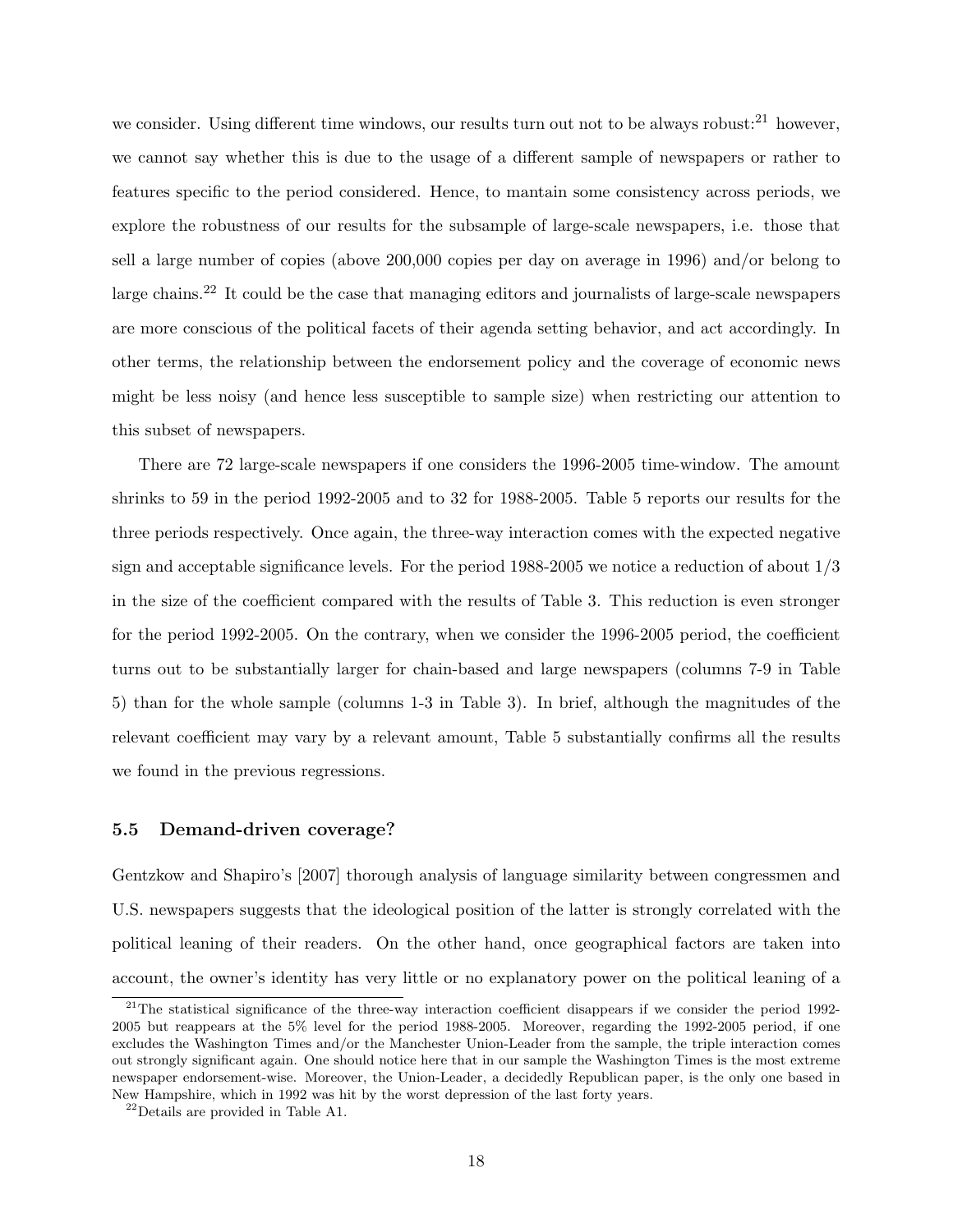we consider. Using different time windows, our results turn out not to be always robust:<sup>21</sup> however, we cannot say whether this is due to the usage of a different sample of newspapers or rather to features specific to the period considered. Hence, to mantain some consistency across periods, we explore the robustness of our results for the subsample of large-scale newspapers, i.e. those that sell a large number of copies (above 200,000 copies per day on average in 1996) and/or belong to large chains.<sup>22</sup> It could be the case that managing editors and journalists of large-scale newspapers are more conscious of the political facets of their agenda setting behavior, and act accordingly. In other terms, the relationship between the endorsement policy and the coverage of economic news might be less noisy (and hence less susceptible to sample size) when restricting our attention to this subset of newspapers.

There are 72 large-scale newspapers if one considers the 1996-2005 time-window. The amount shrinks to 59 in the period 1992-2005 and to 32 for 1988-2005. Table 5 reports our results for the three periods respectively. Once again, the three-way interaction comes with the expected negative sign and acceptable significance levels. For the period 1988-2005 we notice a reduction of about 1/3 in the size of the coefficient compared with the results of Table 3. This reduction is even stronger for the period 1992-2005. On the contrary, when we consider the 1996-2005 period, the coefficient turns out to be substantially larger for chain-based and large newspapers (columns 7-9 in Table 5) than for the whole sample (columns 1-3 in Table 3). In brief, although the magnitudes of the relevant coefficient may vary by a relevant amount, Table 5 substantially confirms all the results we found in the previous regressions.

#### 5.5 Demand-driven coverage?

Gentzkow and Shapiro's [2007] thorough analysis of language similarity between congressmen and U.S. newspapers suggests that the ideological position of the latter is strongly correlated with the political leaning of their readers. On the other hand, once geographical factors are taken into account, the owner's identity has very little or no explanatory power on the political leaning of a

 $21$ The statistical significance of the three-way interaction coefficient disappears if we consider the period 1992-2005 but reappears at the 5% level for the period 1988-2005. Moreover, regarding the 1992-2005 period, if one excludes the Washington Times and/or the Manchester Union-Leader from the sample, the triple interaction comes out strongly significant again. One should notice here that in our sample the Washington Times is the most extreme newspaper endorsement-wise. Moreover, the Union-Leader, a decidedly Republican paper, is the only one based in New Hampshire, which in 1992 was hit by the worst depression of the last forty years.

<sup>22</sup>Details are provided in Table A1.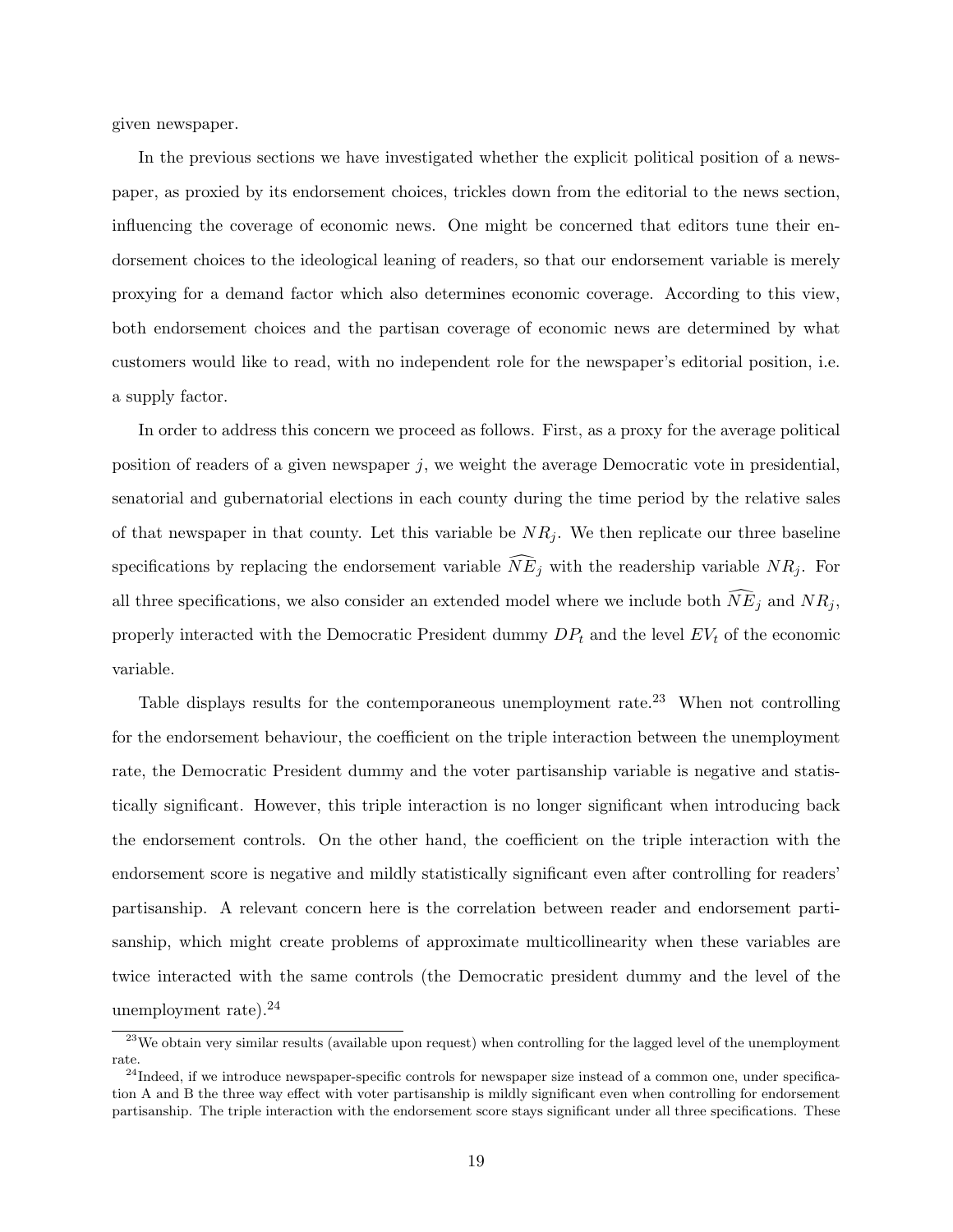given newspaper.

In the previous sections we have investigated whether the explicit political position of a newspaper, as proxied by its endorsement choices, trickles down from the editorial to the news section, influencing the coverage of economic news. One might be concerned that editors tune their endorsement choices to the ideological leaning of readers, so that our endorsement variable is merely proxying for a demand factor which also determines economic coverage. According to this view, both endorsement choices and the partisan coverage of economic news are determined by what customers would like to read, with no independent role for the newspaper's editorial position, i.e. a supply factor.

In order to address this concern we proceed as follows. First, as a proxy for the average political position of readers of a given newspaper  $j$ , we weight the average Democratic vote in presidential, senatorial and gubernatorial elections in each county during the time period by the relative sales of that newspaper in that county. Let this variable be  $NR_i$ . We then replicate our three baseline specifications by replacing the endorsement variable  $\widehat{NE}_i$  with the readership variable  $NR_i$ . For all three specifications, we also consider an extended model where we include both  $N\bar{E}_j$  and  $NR_j$ , properly interacted with the Democratic President dummy  $DP_t$  and the level  $EV_t$  of the economic variable.

Table displays results for the contemporaneous unemployment rate.<sup>23</sup> When not controlling for the endorsement behaviour, the coefficient on the triple interaction between the unemployment rate, the Democratic President dummy and the voter partisanship variable is negative and statistically significant. However, this triple interaction is no longer significant when introducing back the endorsement controls. On the other hand, the coefficient on the triple interaction with the endorsement score is negative and mildly statistically significant even after controlling for readers' partisanship. A relevant concern here is the correlation between reader and endorsement partisanship, which might create problems of approximate multicollinearity when these variables are twice interacted with the same controls (the Democratic president dummy and the level of the unemployment rate).<sup>24</sup>

 $23$ We obtain very similar results (available upon request) when controlling for the lagged level of the unemployment rate.

 $^{24}$ Indeed, if we introduce newspaper-specific controls for newspaper size instead of a common one, under specification A and B the three way effect with voter partisanship is mildly significant even when controlling for endorsement partisanship. The triple interaction with the endorsement score stays significant under all three specifications. These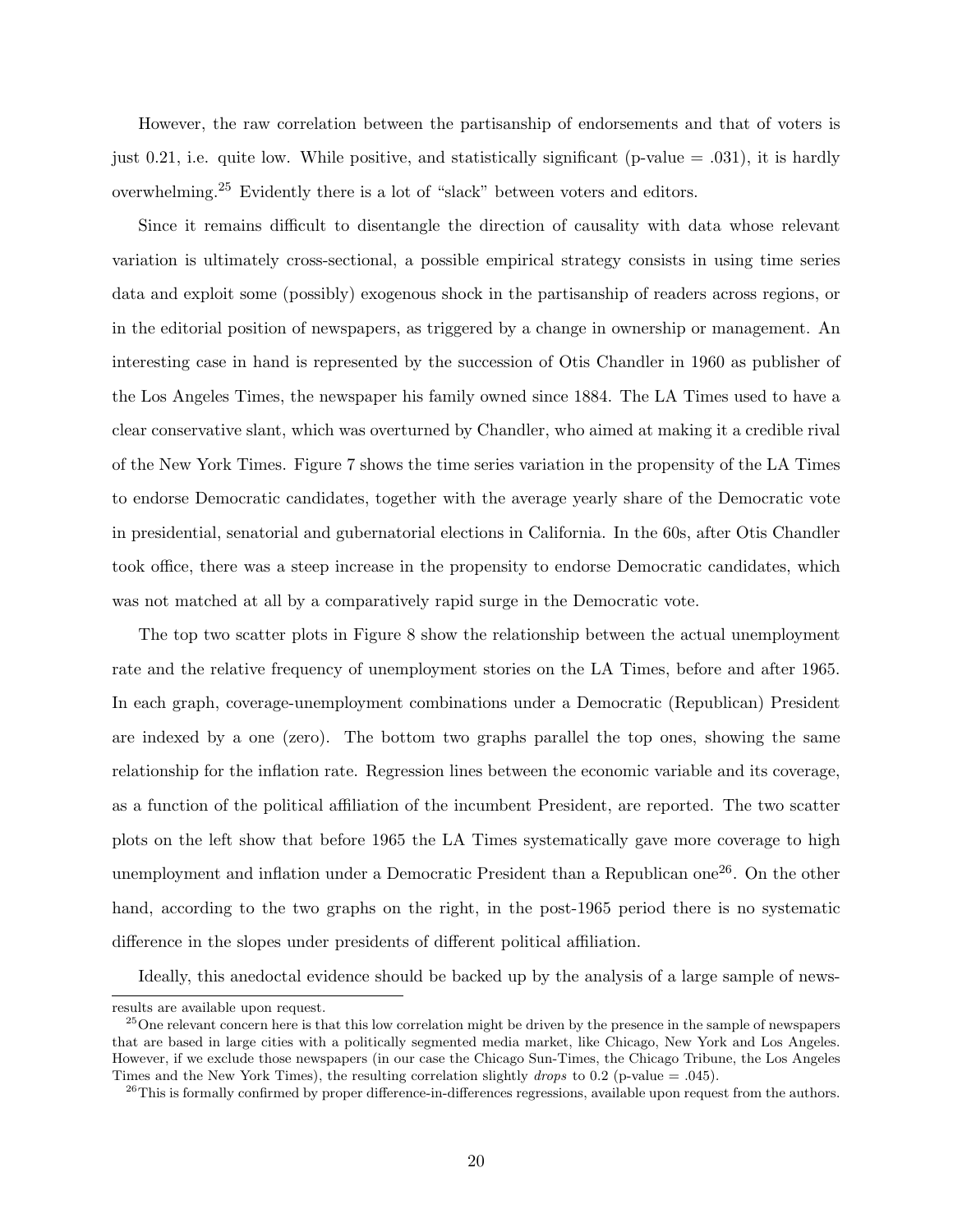However, the raw correlation between the partisanship of endorsements and that of voters is just 0.21, i.e. quite low. While positive, and statistically significant (p-value  $= .031$ ), it is hardly overwhelming.<sup>25</sup> Evidently there is a lot of "slack" between voters and editors.

Since it remains difficult to disentangle the direction of causality with data whose relevant variation is ultimately cross-sectional, a possible empirical strategy consists in using time series data and exploit some (possibly) exogenous shock in the partisanship of readers across regions, or in the editorial position of newspapers, as triggered by a change in ownership or management. An interesting case in hand is represented by the succession of Otis Chandler in 1960 as publisher of the Los Angeles Times, the newspaper his family owned since 1884. The LA Times used to have a clear conservative slant, which was overturned by Chandler, who aimed at making it a credible rival of the New York Times. Figure 7 shows the time series variation in the propensity of the LA Times to endorse Democratic candidates, together with the average yearly share of the Democratic vote in presidential, senatorial and gubernatorial elections in California. In the 60s, after Otis Chandler took office, there was a steep increase in the propensity to endorse Democratic candidates, which was not matched at all by a comparatively rapid surge in the Democratic vote.

The top two scatter plots in Figure 8 show the relationship between the actual unemployment rate and the relative frequency of unemployment stories on the LA Times, before and after 1965. In each graph, coverage-unemployment combinations under a Democratic (Republican) President are indexed by a one (zero). The bottom two graphs parallel the top ones, showing the same relationship for the inflation rate. Regression lines between the economic variable and its coverage, as a function of the political affiliation of the incumbent President, are reported. The two scatter plots on the left show that before 1965 the LA Times systematically gave more coverage to high unemployment and inflation under a Democratic President than a Republican one<sup>26</sup>. On the other hand, according to the two graphs on the right, in the post-1965 period there is no systematic difference in the slopes under presidents of different political affiliation.

Ideally, this anedoctal evidence should be backed up by the analysis of a large sample of news-

results are available upon request.

<sup>&</sup>lt;sup>25</sup>One relevant concern here is that this low correlation might be driven by the presence in the sample of newspapers that are based in large cities with a politically segmented media market, like Chicago, New York and Los Angeles. However, if we exclude those newspapers (in our case the Chicago Sun-Times, the Chicago Tribune, the Los Angeles Times and the New York Times), the resulting correlation slightly *drops* to 0.2 (p-value  $= .045$ ).

 $^{26}$ This is formally confirmed by proper difference-in-differences regressions, available upon request from the authors.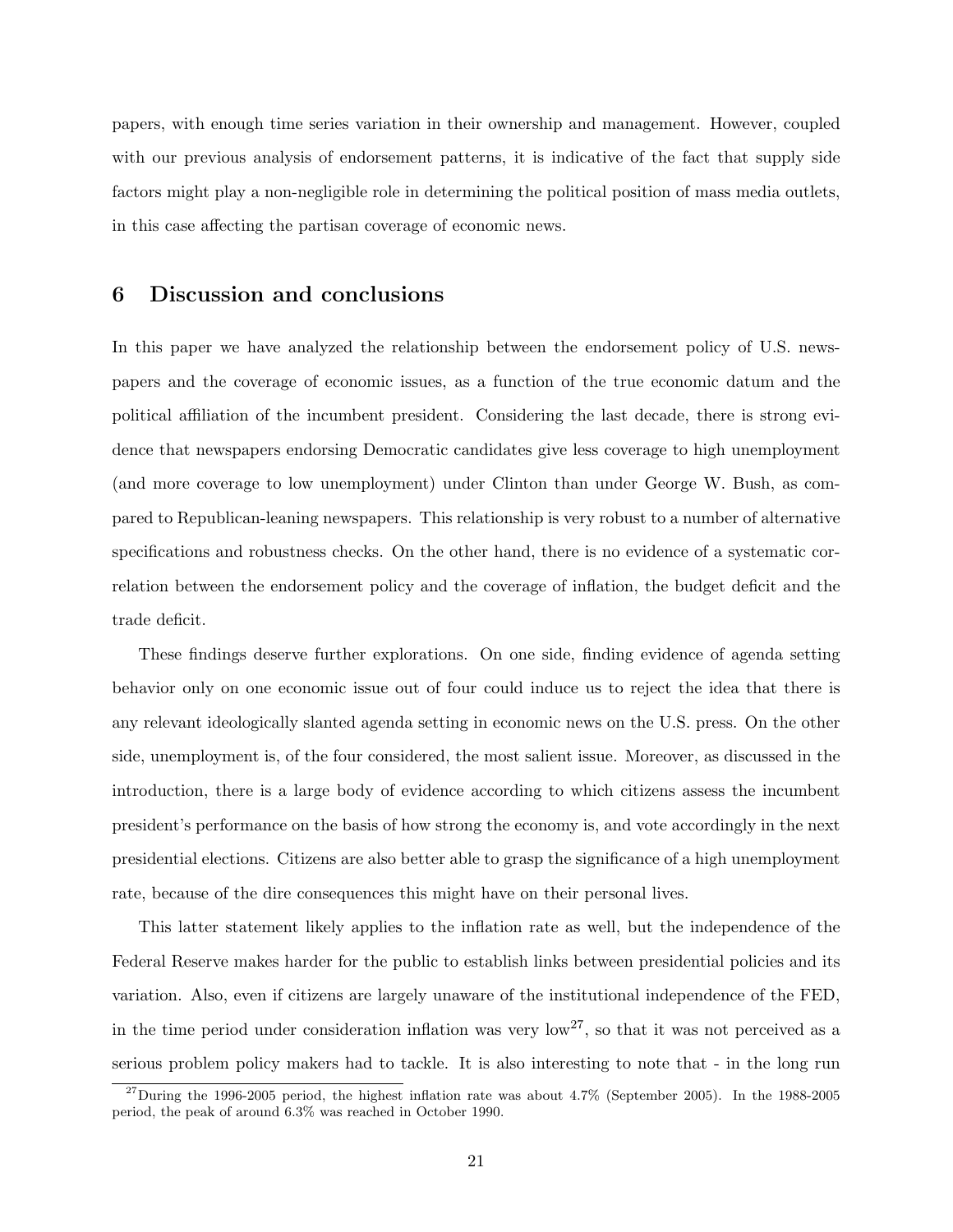papers, with enough time series variation in their ownership and management. However, coupled with our previous analysis of endorsement patterns, it is indicative of the fact that supply side factors might play a non-negligible role in determining the political position of mass media outlets, in this case affecting the partisan coverage of economic news.

### 6 Discussion and conclusions

In this paper we have analyzed the relationship between the endorsement policy of U.S. newspapers and the coverage of economic issues, as a function of the true economic datum and the political affiliation of the incumbent president. Considering the last decade, there is strong evidence that newspapers endorsing Democratic candidates give less coverage to high unemployment (and more coverage to low unemployment) under Clinton than under George W. Bush, as compared to Republican-leaning newspapers. This relationship is very robust to a number of alternative specifications and robustness checks. On the other hand, there is no evidence of a systematic correlation between the endorsement policy and the coverage of inflation, the budget deficit and the trade deficit.

These findings deserve further explorations. On one side, finding evidence of agenda setting behavior only on one economic issue out of four could induce us to reject the idea that there is any relevant ideologically slanted agenda setting in economic news on the U.S. press. On the other side, unemployment is, of the four considered, the most salient issue. Moreover, as discussed in the introduction, there is a large body of evidence according to which citizens assess the incumbent president's performance on the basis of how strong the economy is, and vote accordingly in the next presidential elections. Citizens are also better able to grasp the significance of a high unemployment rate, because of the dire consequences this might have on their personal lives.

This latter statement likely applies to the inflation rate as well, but the independence of the Federal Reserve makes harder for the public to establish links between presidential policies and its variation. Also, even if citizens are largely unaware of the institutional independence of the FED, in the time period under consideration inflation was very low<sup>27</sup>, so that it was not perceived as a serious problem policy makers had to tackle. It is also interesting to note that - in the long run

 $^{27}$ During the 1996-2005 period, the highest inflation rate was about 4.7% (September 2005). In the 1988-2005 period, the peak of around 6.3% was reached in October 1990.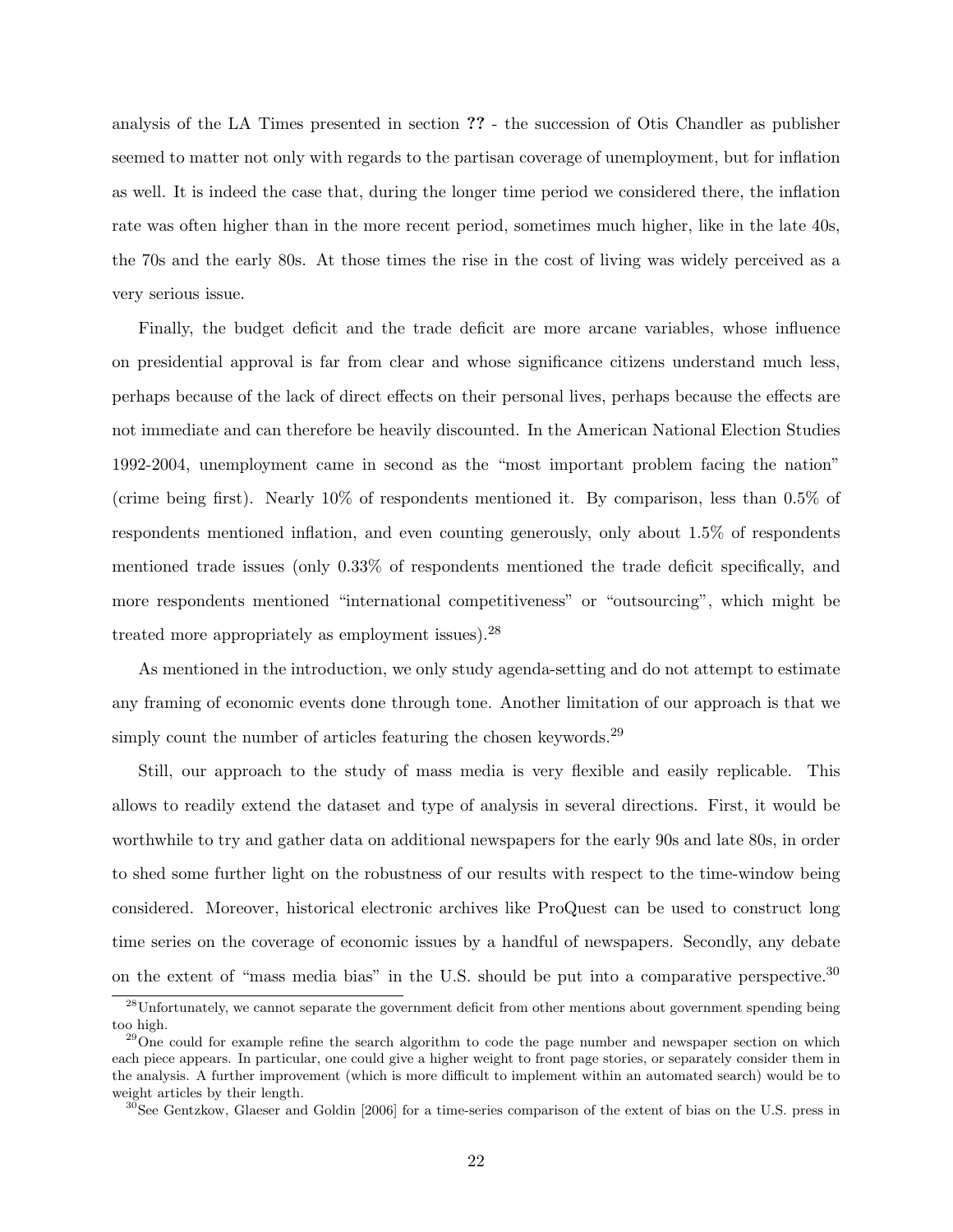analysis of the LA Times presented in section ?? - the succession of Otis Chandler as publisher seemed to matter not only with regards to the partisan coverage of unemployment, but for inflation as well. It is indeed the case that, during the longer time period we considered there, the inflation rate was often higher than in the more recent period, sometimes much higher, like in the late 40s, the 70s and the early 80s. At those times the rise in the cost of living was widely perceived as a very serious issue.

Finally, the budget deficit and the trade deficit are more arcane variables, whose influence on presidential approval is far from clear and whose significance citizens understand much less, perhaps because of the lack of direct effects on their personal lives, perhaps because the effects are not immediate and can therefore be heavily discounted. In the American National Election Studies 1992-2004, unemployment came in second as the "most important problem facing the nation" (crime being first). Nearly 10% of respondents mentioned it. By comparison, less than 0.5% of respondents mentioned inflation, and even counting generously, only about 1.5% of respondents mentioned trade issues (only 0.33% of respondents mentioned the trade deficit specifically, and more respondents mentioned "international competitiveness" or "outsourcing", which might be treated more appropriately as employment issues).<sup>28</sup>

As mentioned in the introduction, we only study agenda-setting and do not attempt to estimate any framing of economic events done through tone. Another limitation of our approach is that we simply count the number of articles featuring the chosen keywords.<sup>29</sup>

Still, our approach to the study of mass media is very flexible and easily replicable. This allows to readily extend the dataset and type of analysis in several directions. First, it would be worthwhile to try and gather data on additional newspapers for the early 90s and late 80s, in order to shed some further light on the robustness of our results with respect to the time-window being considered. Moreover, historical electronic archives like ProQuest can be used to construct long time series on the coverage of economic issues by a handful of newspapers. Secondly, any debate on the extent of "mass media bias" in the U.S. should be put into a comparative perspective.<sup>30</sup>

<sup>28</sup>Unfortunately, we cannot separate the government deficit from other mentions about government spending being too high.

<sup>&</sup>lt;sup>29</sup>One could for example refine the search algorithm to code the page number and newspaper section on which each piece appears. In particular, one could give a higher weight to front page stories, or separately consider them in the analysis. A further improvement (which is more difficult to implement within an automated search) would be to weight articles by their length.

 $30$ See Gentzkow, Glaeser and Goldin [2006] for a time-series comparison of the extent of bias on the U.S. press in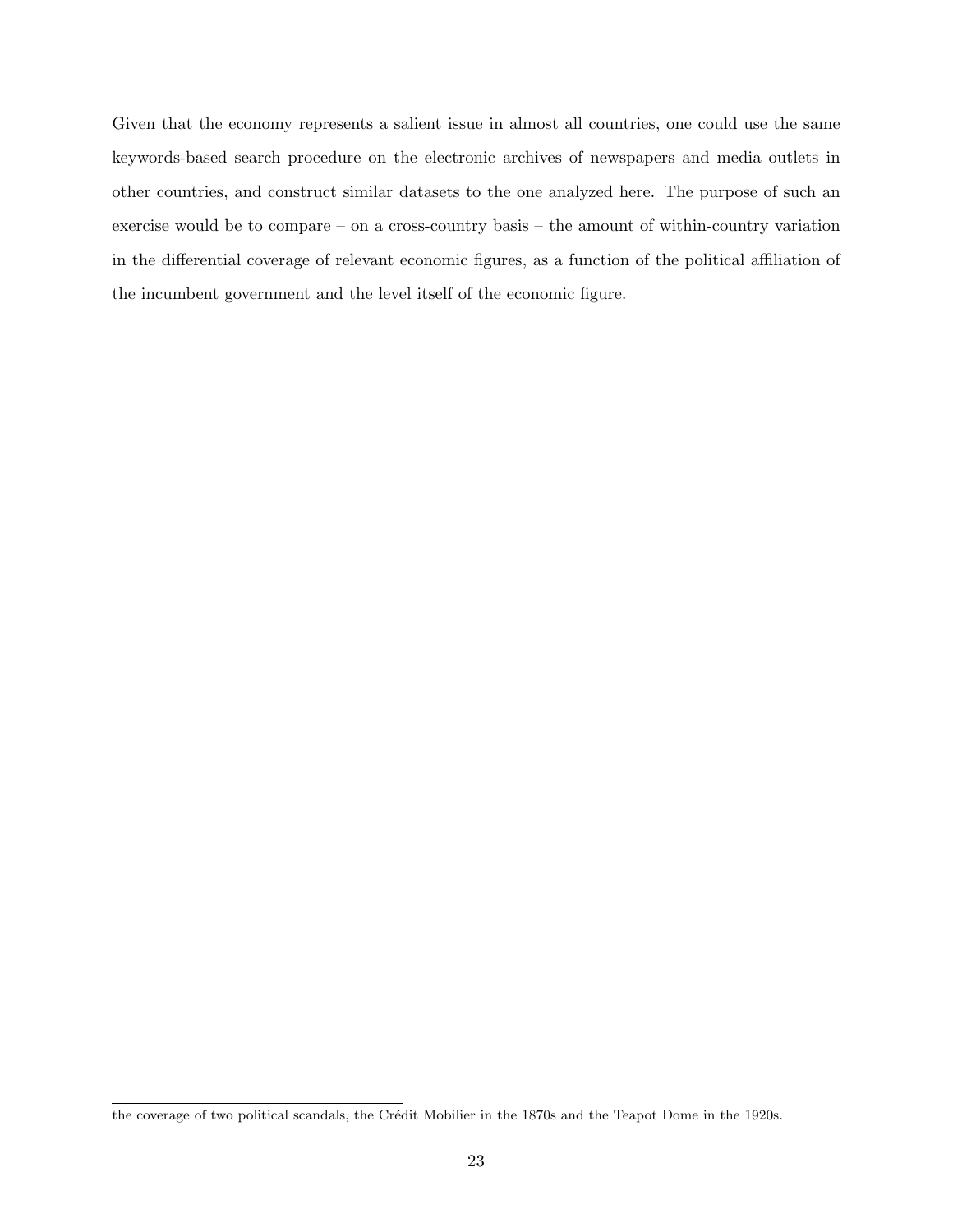Given that the economy represents a salient issue in almost all countries, one could use the same keywords-based search procedure on the electronic archives of newspapers and media outlets in other countries, and construct similar datasets to the one analyzed here. The purpose of such an exercise would be to compare – on a cross-country basis – the amount of within-country variation in the differential coverage of relevant economic figures, as a function of the political affiliation of the incumbent government and the level itself of the economic figure.

the coverage of two political scandals, the Crédit Mobilier in the 1870s and the Teapot Dome in the 1920s.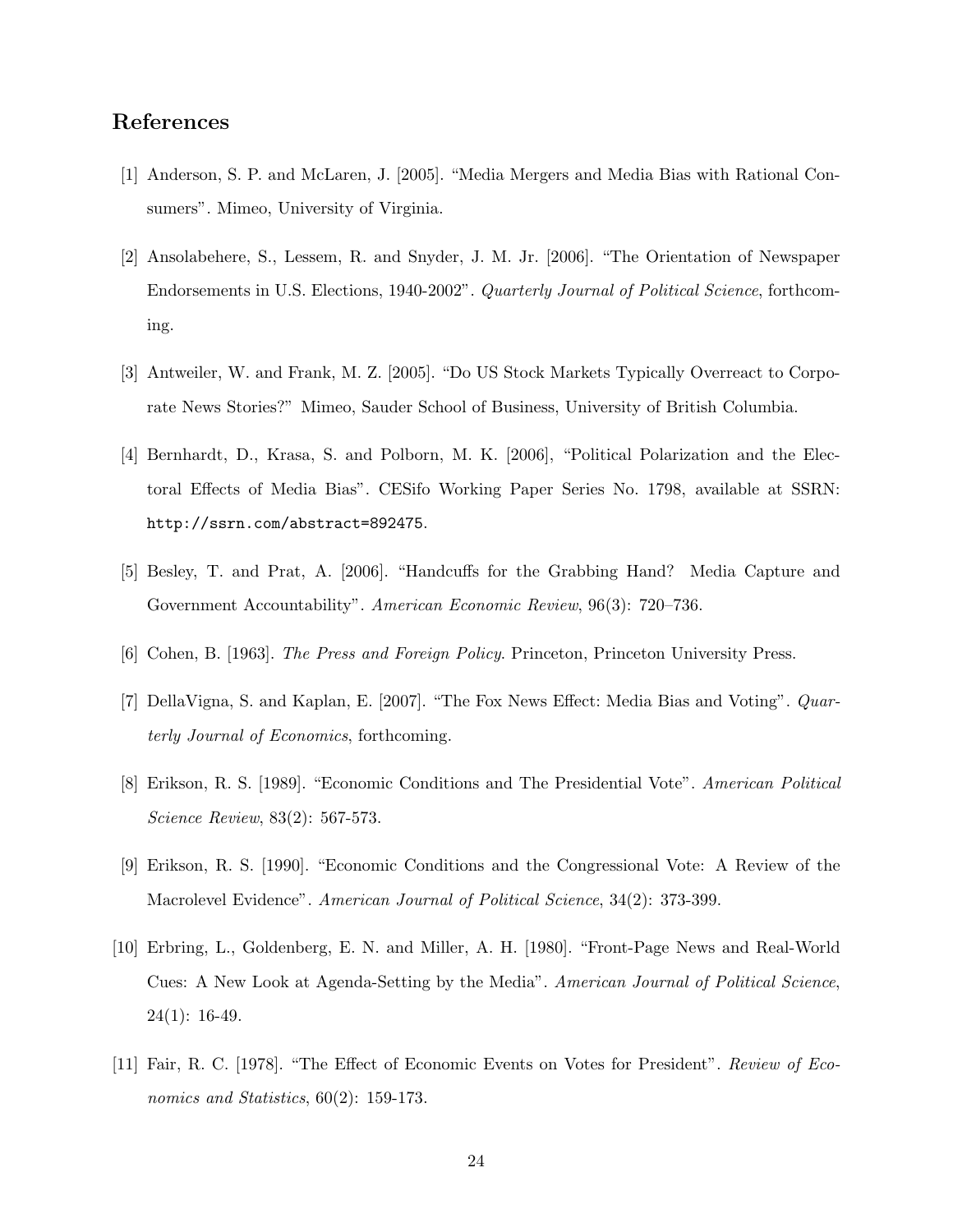# References

- [1] Anderson, S. P. and McLaren, J. [2005]. "Media Mergers and Media Bias with Rational Consumers". Mimeo, University of Virginia.
- [2] Ansolabehere, S., Lessem, R. and Snyder, J. M. Jr. [2006]. "The Orientation of Newspaper Endorsements in U.S. Elections, 1940-2002". Quarterly Journal of Political Science, forthcoming.
- [3] Antweiler, W. and Frank, M. Z. [2005]. "Do US Stock Markets Typically Overreact to Corporate News Stories?" Mimeo, Sauder School of Business, University of British Columbia.
- [4] Bernhardt, D., Krasa, S. and Polborn, M. K. [2006], "Political Polarization and the Electoral Effects of Media Bias". CESifo Working Paper Series No. 1798, available at SSRN: http://ssrn.com/abstract=892475.
- [5] Besley, T. and Prat, A. [2006]. "Handcuffs for the Grabbing Hand? Media Capture and Government Accountability". American Economic Review, 96(3): 720–736.
- [6] Cohen, B. [1963]. The Press and Foreign Policy. Princeton, Princeton University Press.
- [7] DellaVigna, S. and Kaplan, E. [2007]. "The Fox News Effect: Media Bias and Voting". Quarterly Journal of Economics, forthcoming.
- [8] Erikson, R. S. [1989]. "Economic Conditions and The Presidential Vote". American Political Science Review, 83(2): 567-573.
- [9] Erikson, R. S. [1990]. "Economic Conditions and the Congressional Vote: A Review of the Macrolevel Evidence". American Journal of Political Science, 34(2): 373-399.
- [10] Erbring, L., Goldenberg, E. N. and Miller, A. H. [1980]. "Front-Page News and Real-World Cues: A New Look at Agenda-Setting by the Media". American Journal of Political Science,  $24(1): 16-49.$
- [11] Fair, R. C. [1978]. "The Effect of Economic Events on Votes for President". Review of Economics and Statistics, 60(2): 159-173.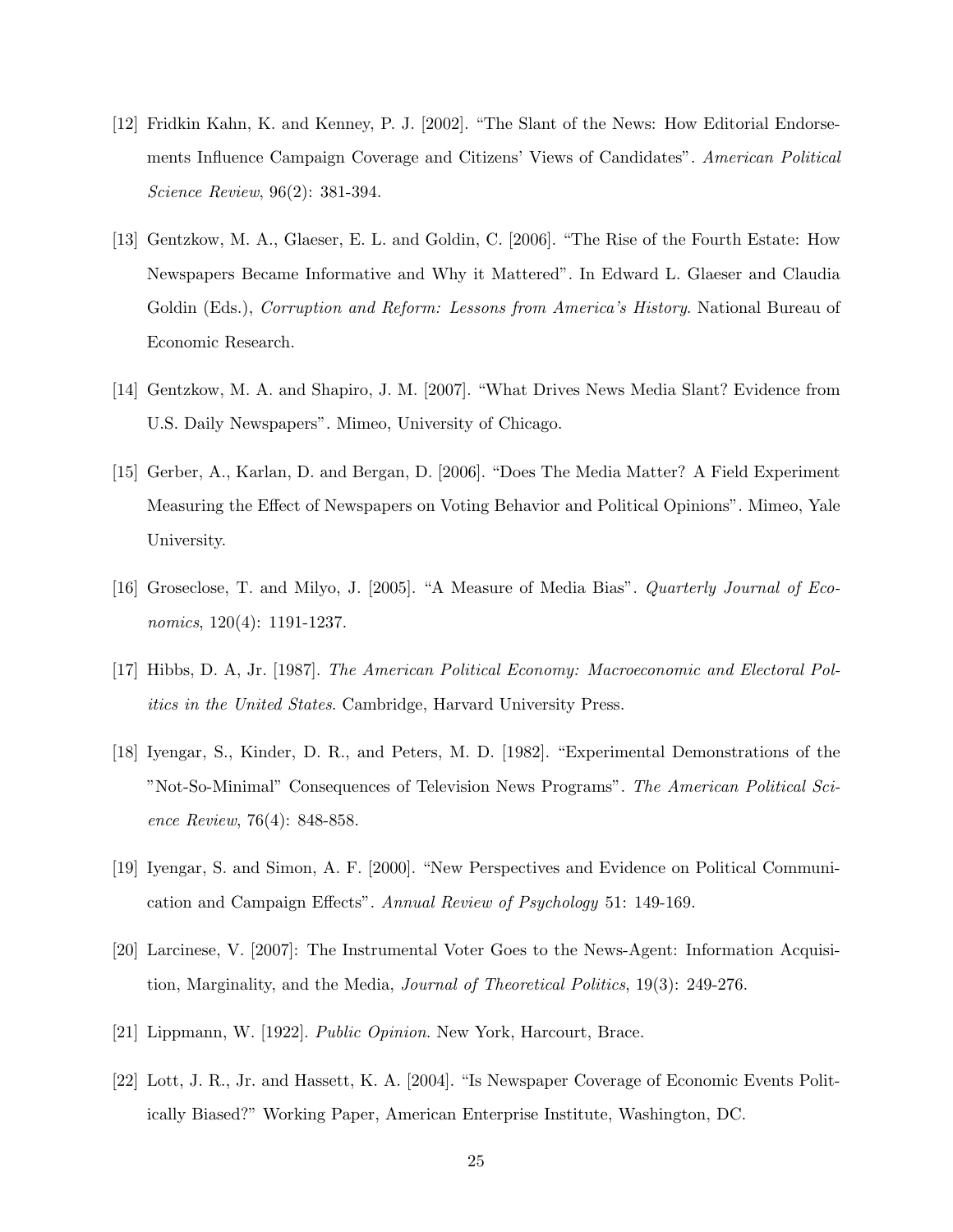- [12] Fridkin Kahn, K. and Kenney, P. J. [2002]. "The Slant of the News: How Editorial Endorsements Influence Campaign Coverage and Citizens' Views of Candidates". American Political Science Review, 96(2): 381-394.
- [13] Gentzkow, M. A., Glaeser, E. L. and Goldin, C. [2006]. "The Rise of the Fourth Estate: How Newspapers Became Informative and Why it Mattered". In Edward L. Glaeser and Claudia Goldin (Eds.), Corruption and Reform: Lessons from America's History. National Bureau of Economic Research.
- [14] Gentzkow, M. A. and Shapiro, J. M. [2007]. "What Drives News Media Slant? Evidence from U.S. Daily Newspapers". Mimeo, University of Chicago.
- [15] Gerber, A., Karlan, D. and Bergan, D. [2006]. "Does The Media Matter? A Field Experiment Measuring the Effect of Newspapers on Voting Behavior and Political Opinions". Mimeo, Yale University.
- [16] Groseclose, T. and Milyo, J. [2005]. "A Measure of Media Bias". Quarterly Journal of Economics, 120(4): 1191-1237.
- [17] Hibbs, D. A, Jr. [1987]. The American Political Economy: Macroeconomic and Electoral Politics in the United States. Cambridge, Harvard University Press.
- [18] Iyengar, S., Kinder, D. R., and Peters, M. D. [1982]. "Experimental Demonstrations of the "Not-So-Minimal" Consequences of Television News Programs". The American Political Science Review, 76(4): 848-858.
- [19] Iyengar, S. and Simon, A. F. [2000]. "New Perspectives and Evidence on Political Communication and Campaign Effects". Annual Review of Psychology 51: 149-169.
- [20] Larcinese, V. [2007]: The Instrumental Voter Goes to the News-Agent: Information Acquisition, Marginality, and the Media, Journal of Theoretical Politics, 19(3): 249-276.
- [21] Lippmann, W. [1922]. Public Opinion. New York, Harcourt, Brace.
- [22] Lott, J. R., Jr. and Hassett, K. A. [2004]. "Is Newspaper Coverage of Economic Events Politically Biased?" Working Paper, American Enterprise Institute, Washington, DC.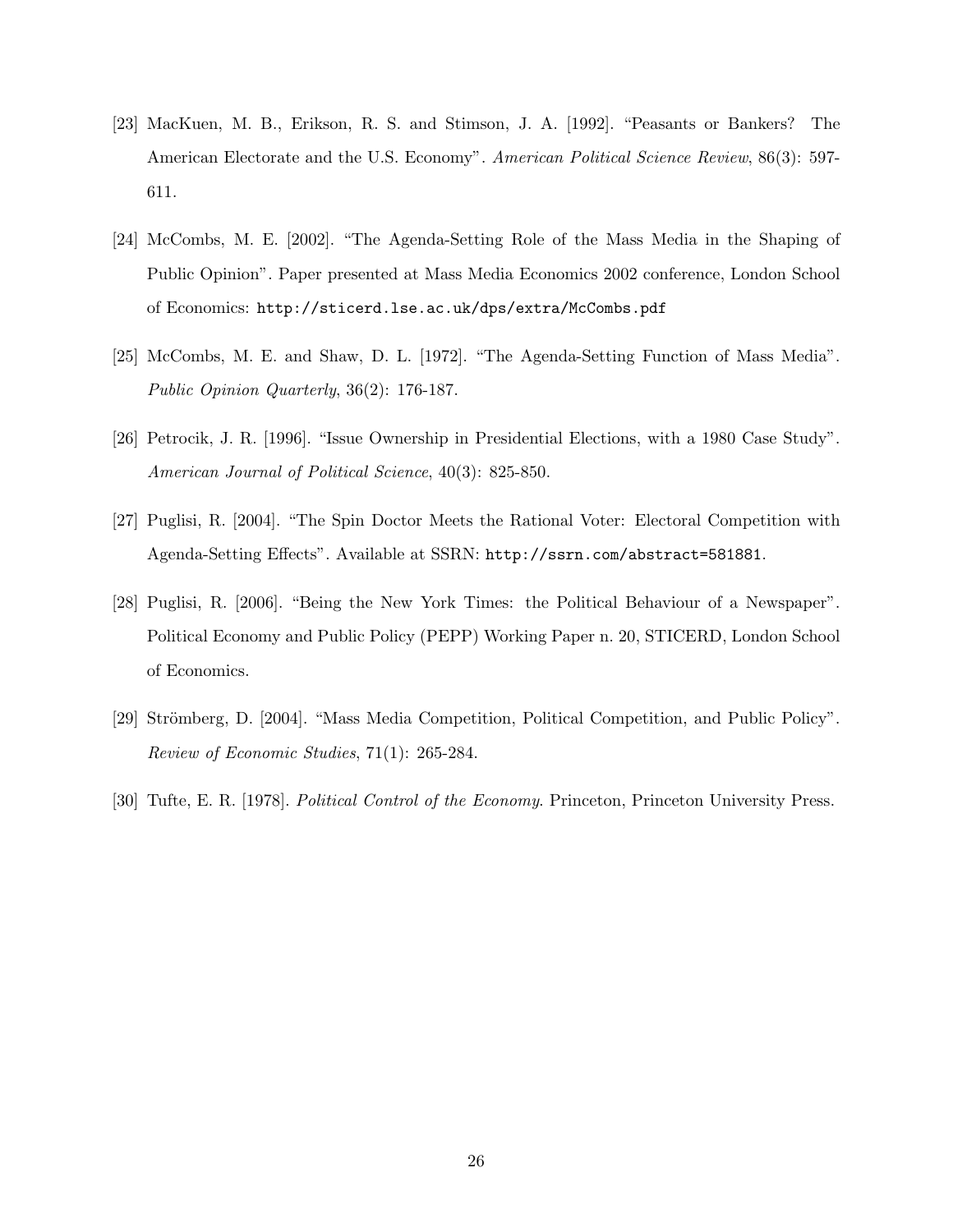- [23] MacKuen, M. B., Erikson, R. S. and Stimson, J. A. [1992]. "Peasants or Bankers? The American Electorate and the U.S. Economy". American Political Science Review, 86(3): 597-611.
- [24] McCombs, M. E. [2002]. "The Agenda-Setting Role of the Mass Media in the Shaping of Public Opinion". Paper presented at Mass Media Economics 2002 conference, London School of Economics: http://sticerd.lse.ac.uk/dps/extra/McCombs.pdf
- [25] McCombs, M. E. and Shaw, D. L. [1972]. "The Agenda-Setting Function of Mass Media". Public Opinion Quarterly, 36(2): 176-187.
- [26] Petrocik, J. R. [1996]. "Issue Ownership in Presidential Elections, with a 1980 Case Study". American Journal of Political Science, 40(3): 825-850.
- [27] Puglisi, R. [2004]. "The Spin Doctor Meets the Rational Voter: Electoral Competition with Agenda-Setting Effects". Available at SSRN: http://ssrn.com/abstract=581881.
- [28] Puglisi, R. [2006]. "Being the New York Times: the Political Behaviour of a Newspaper". Political Economy and Public Policy (PEPP) Working Paper n. 20, STICERD, London School of Economics.
- [29] Strömberg, D. [2004]. "Mass Media Competition, Political Competition, and Public Policy". Review of Economic Studies, 71(1): 265-284.
- [30] Tufte, E. R. [1978]. Political Control of the Economy. Princeton, Princeton University Press.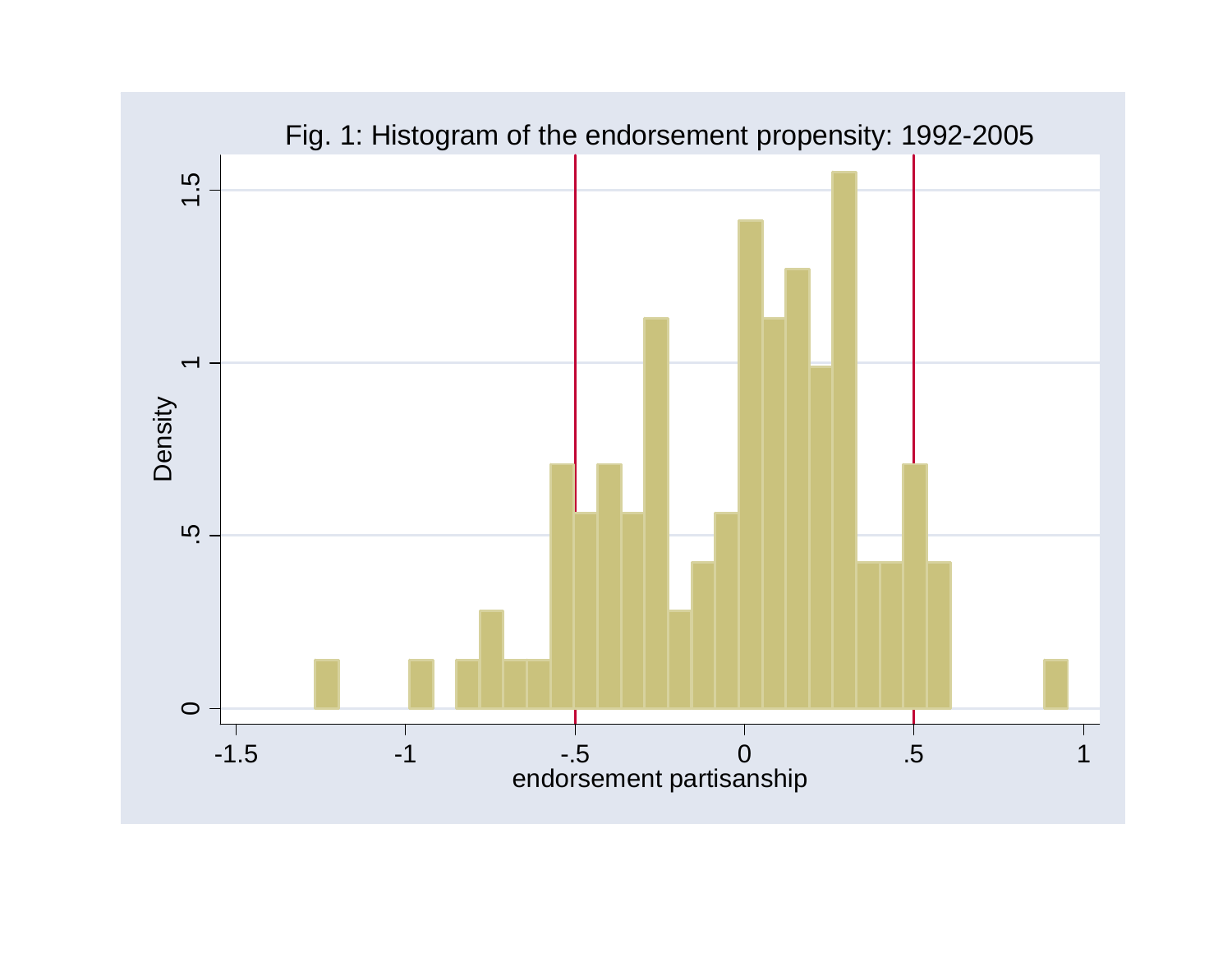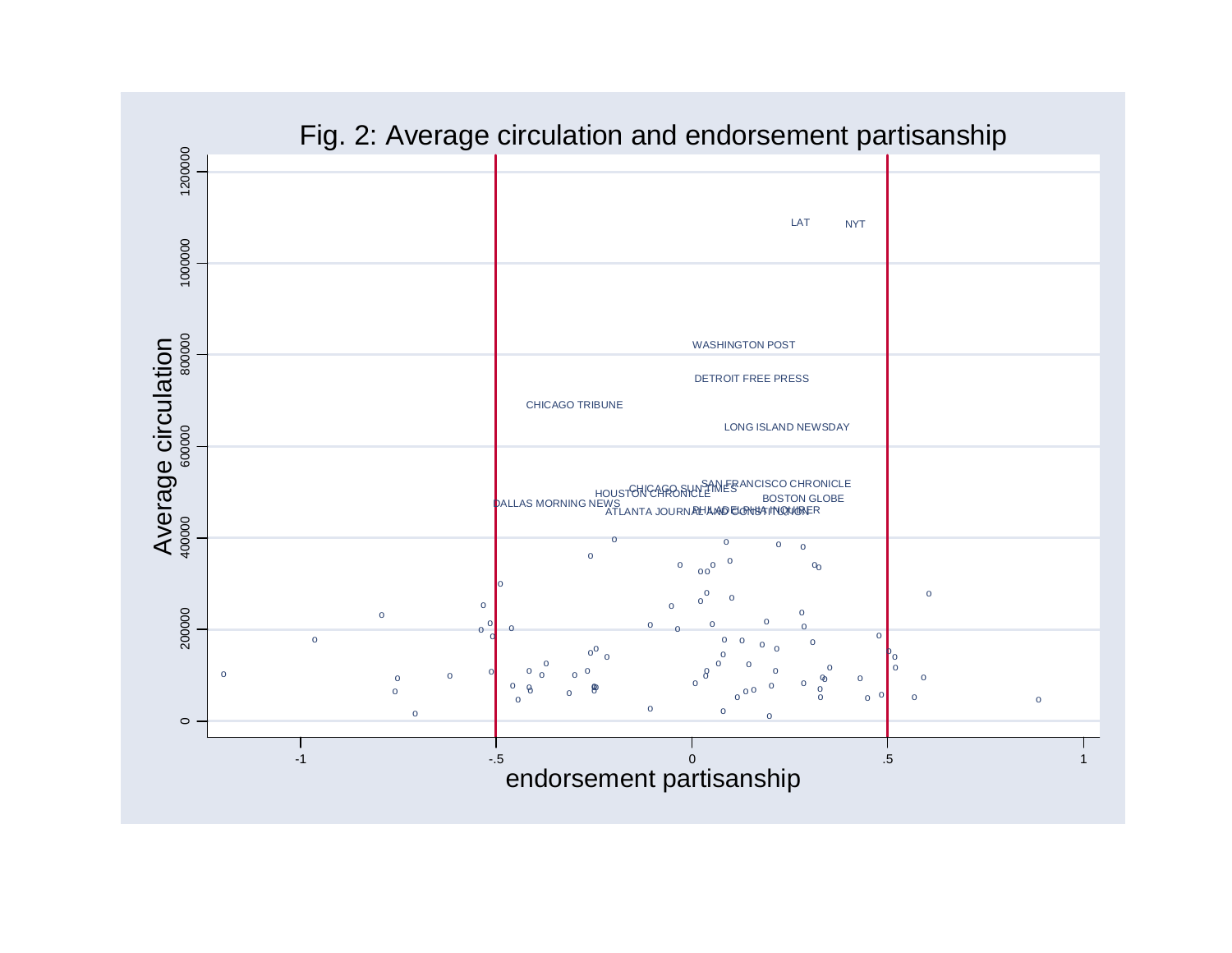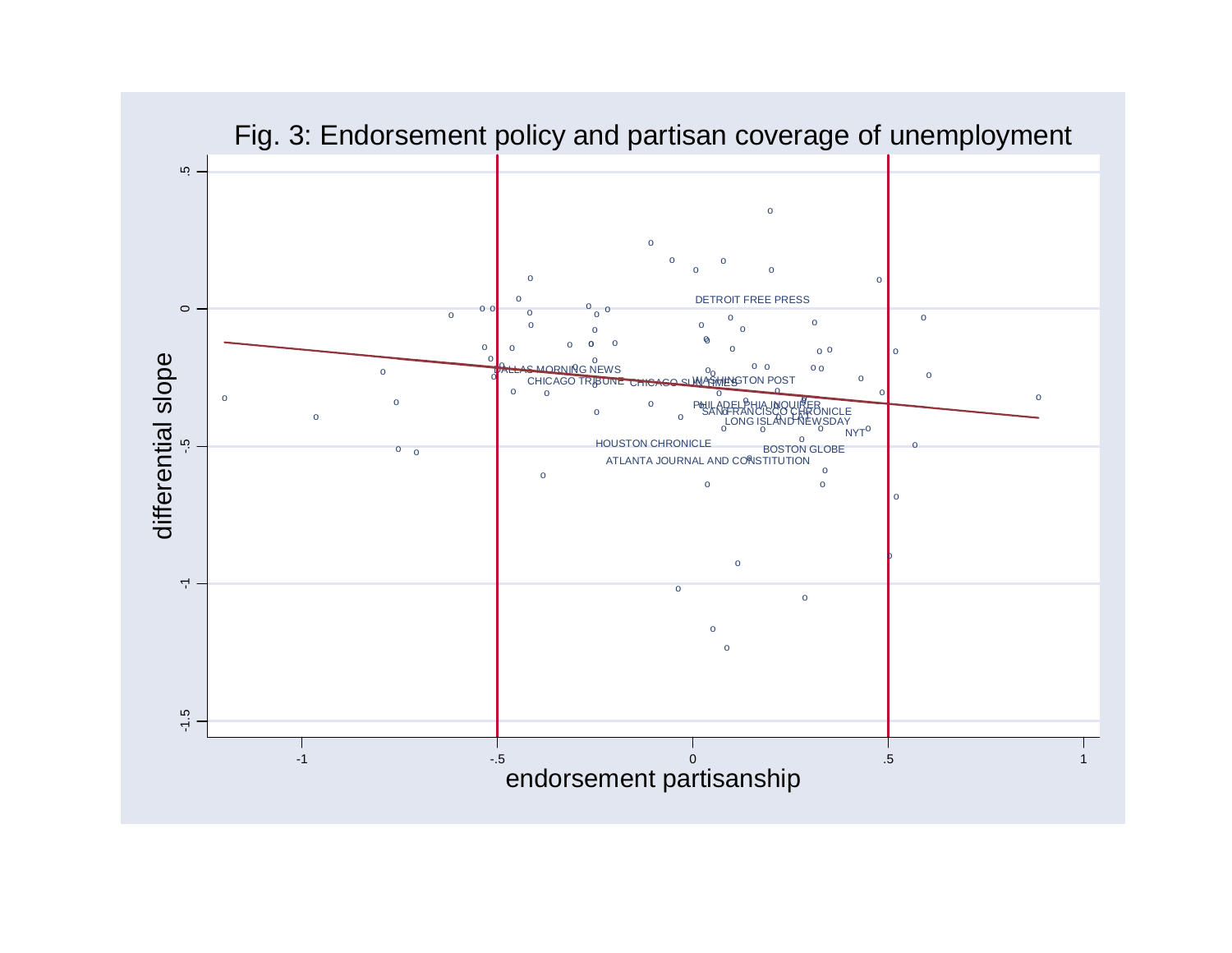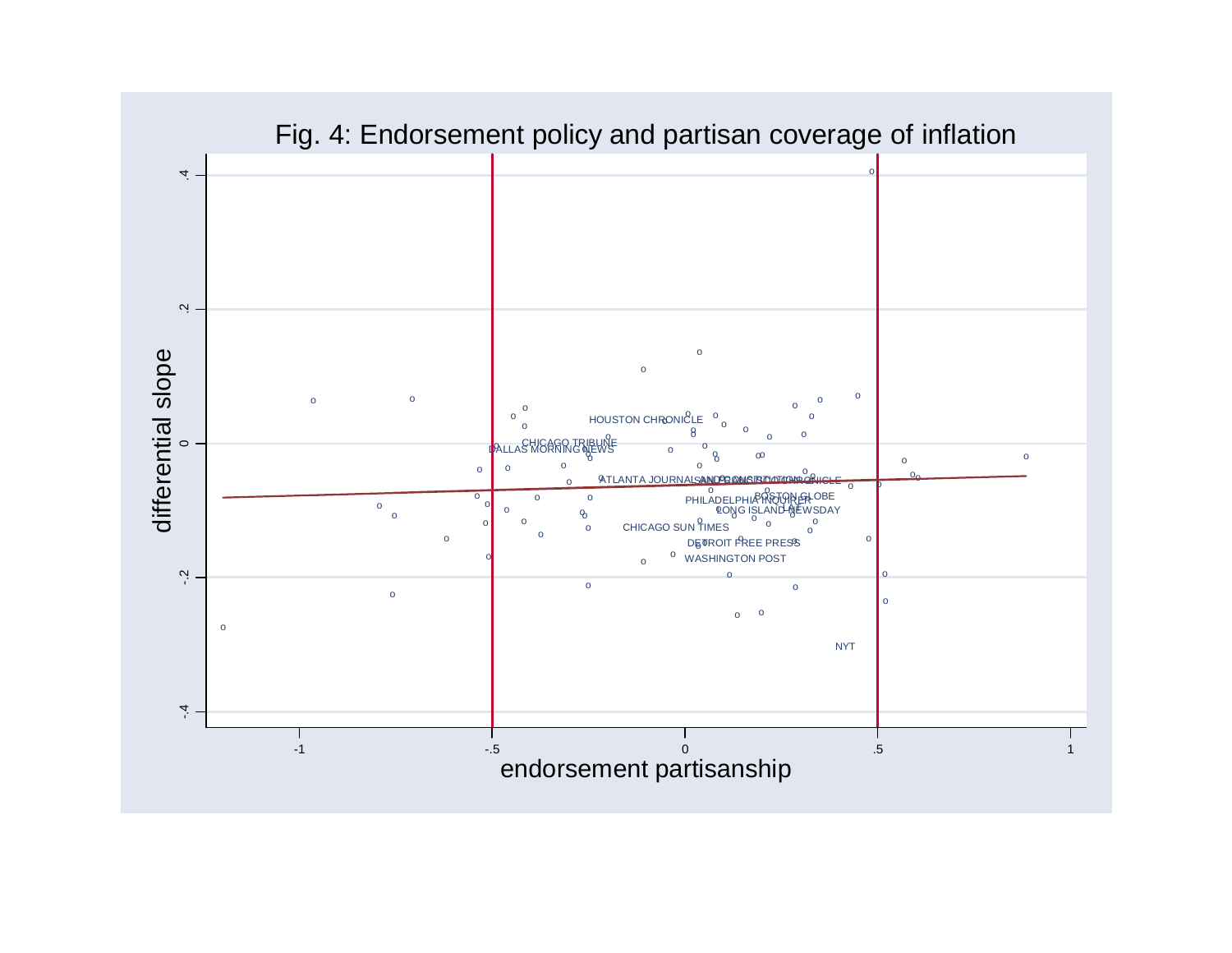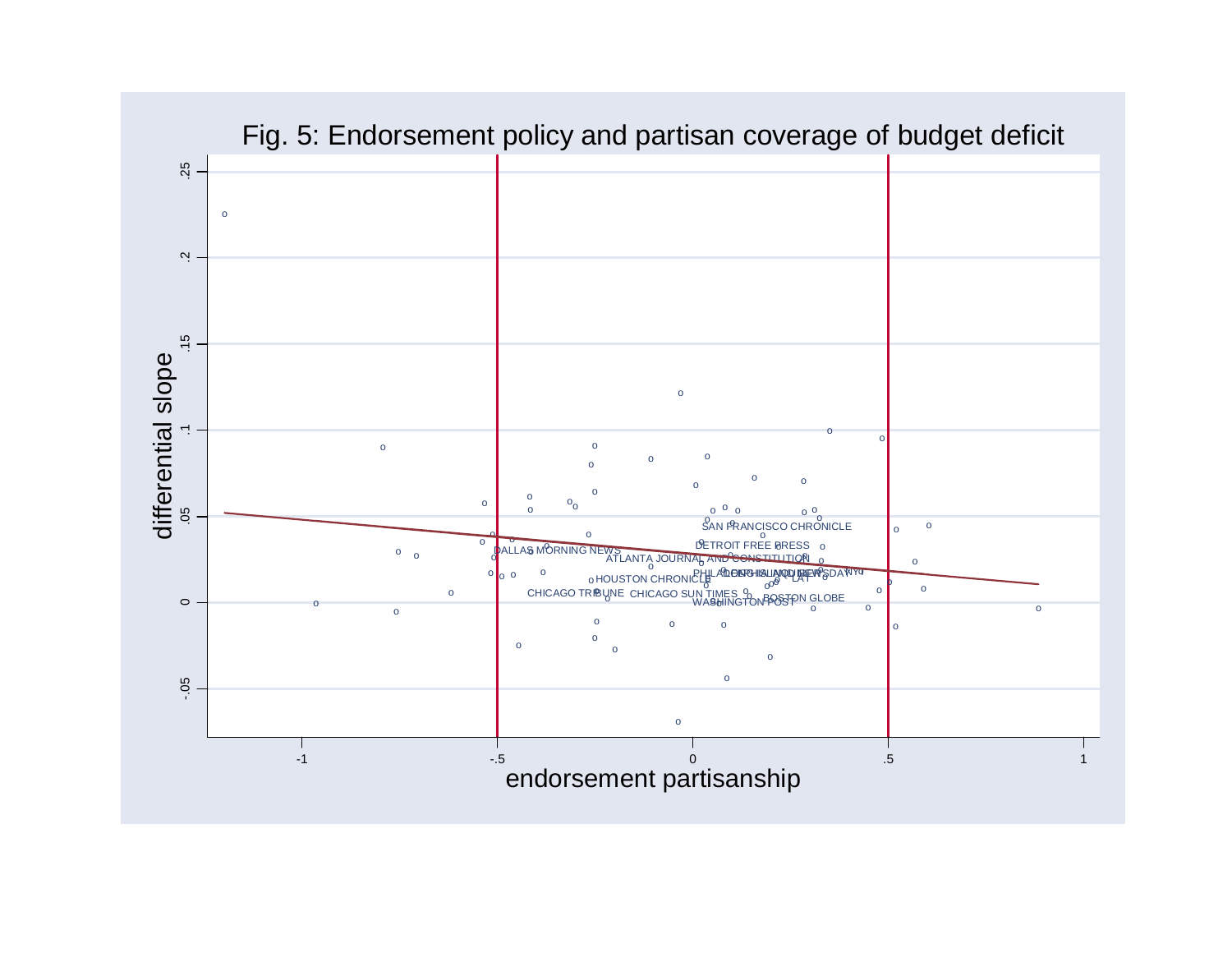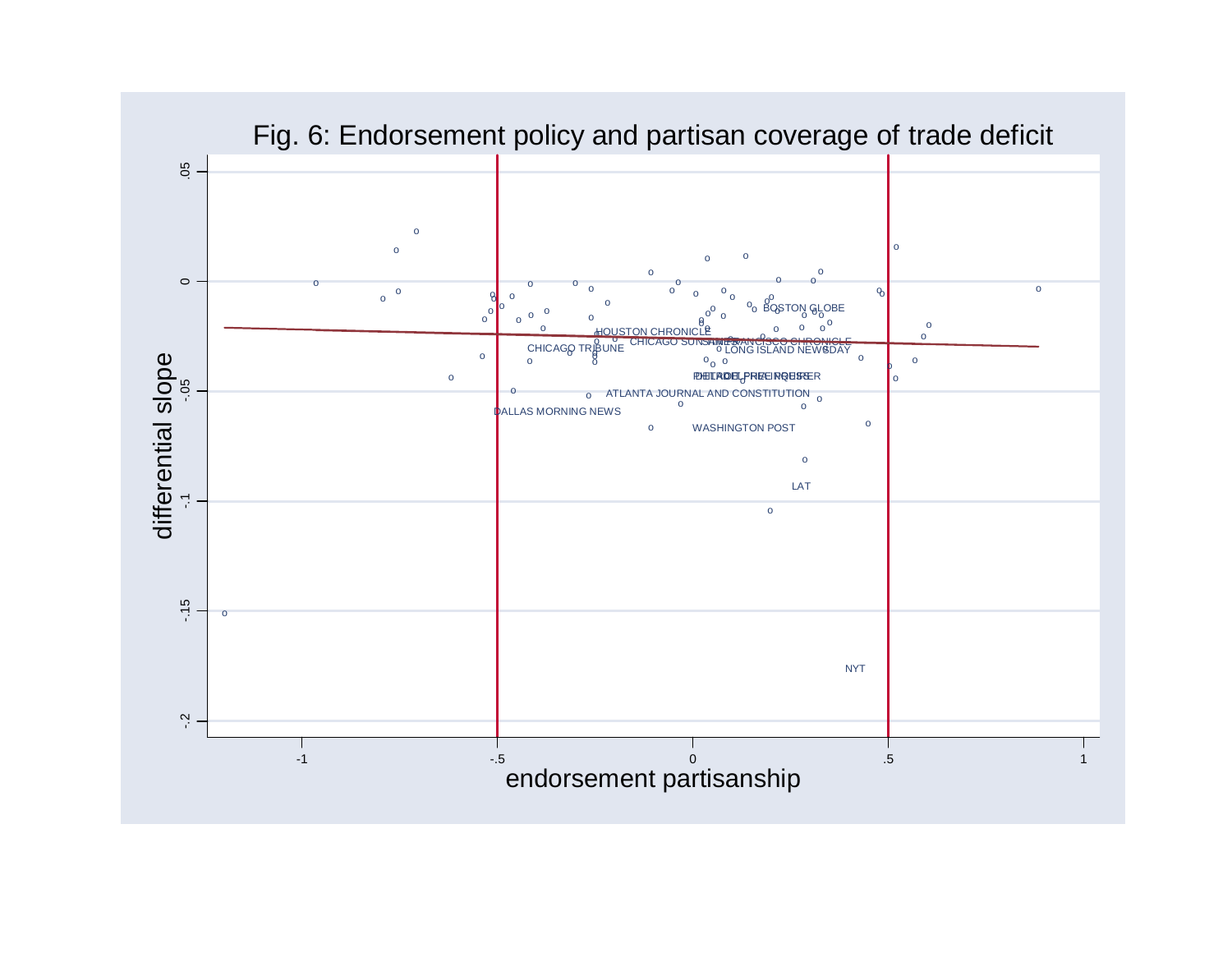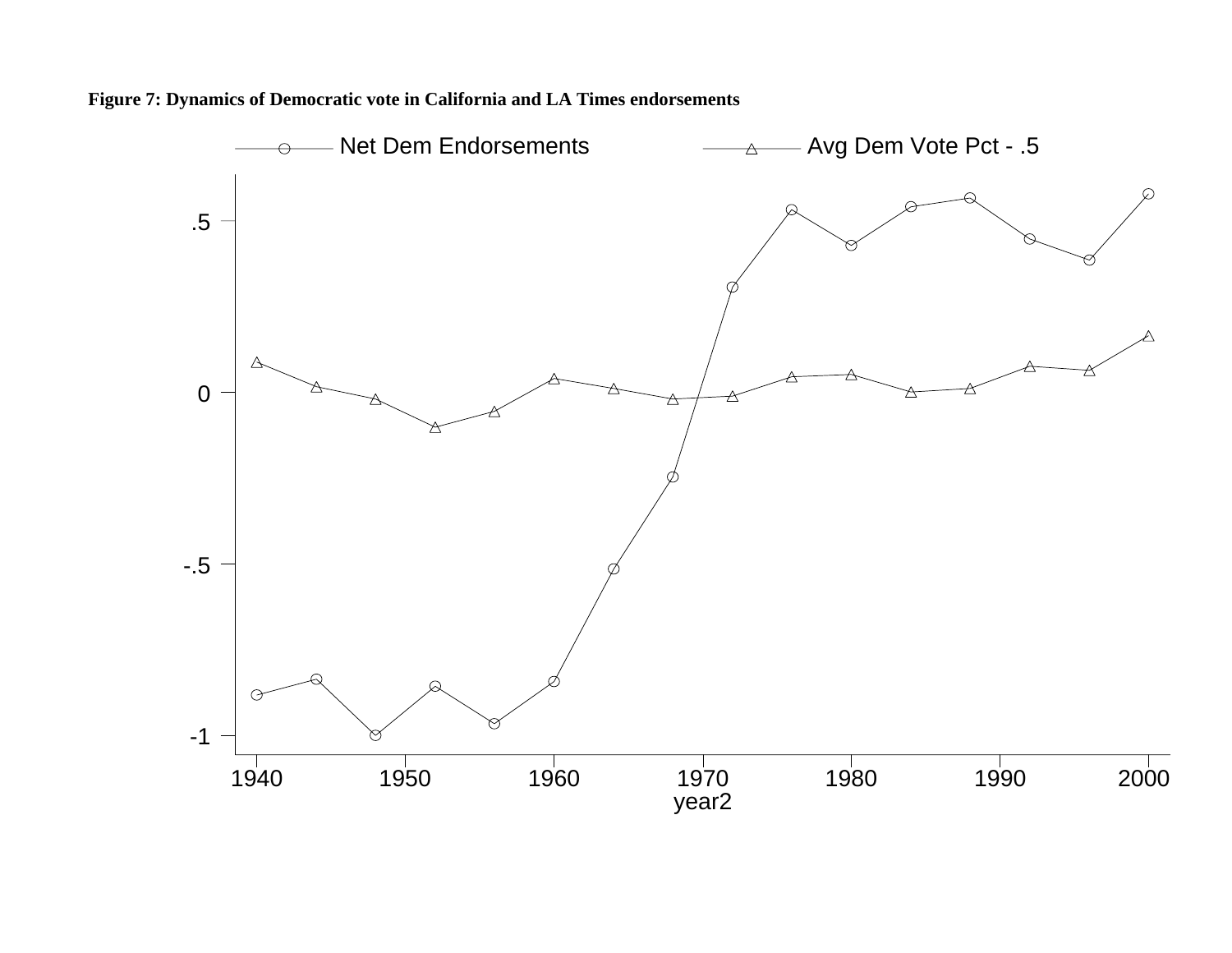

**Figure 7: Dynamics of Democratic vote in California and LA Times endorsements**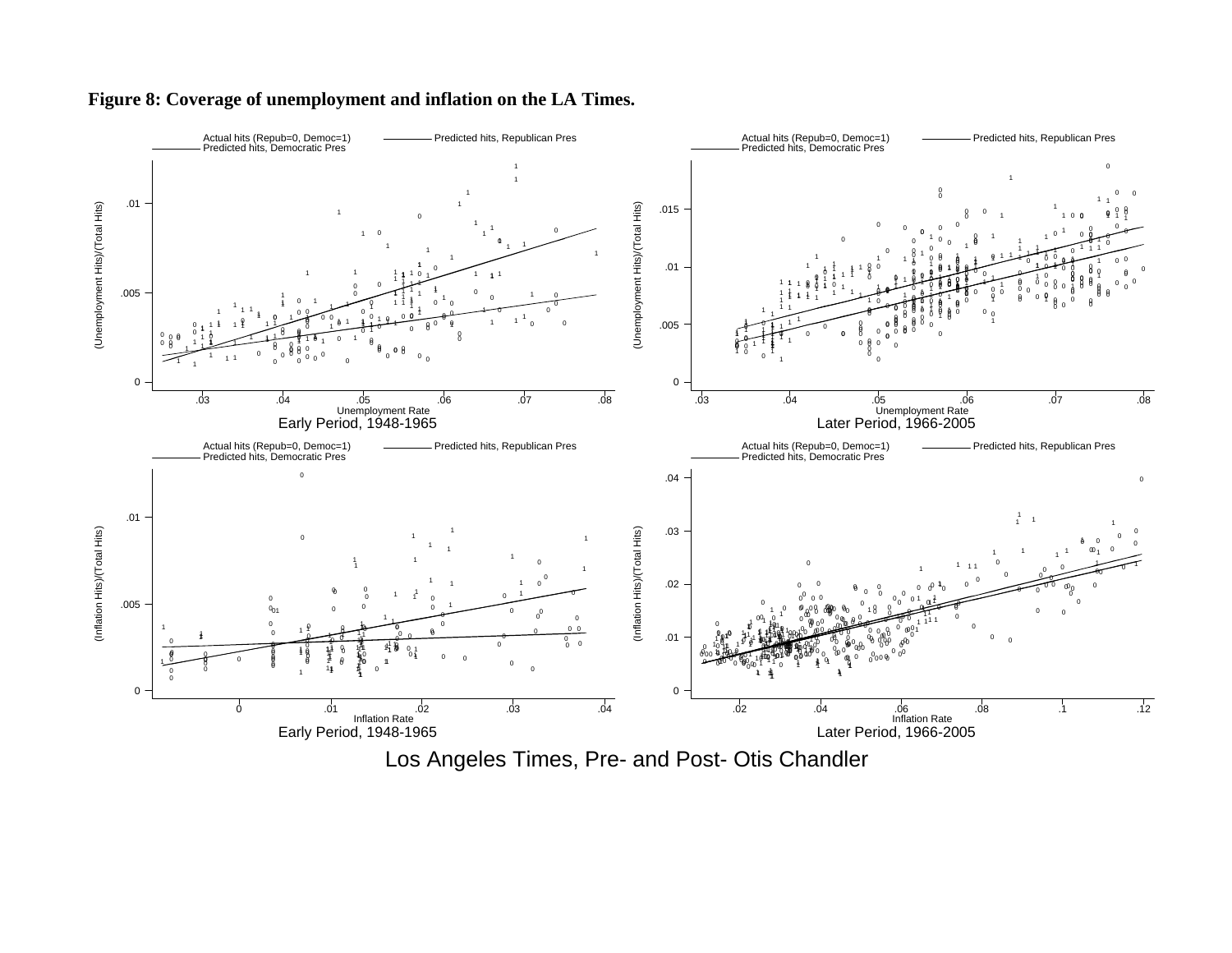

### **Figure 8: Coverage of unemployment and inflation on the LA Times.**

Los Angeles Times, Pre- and Post- Otis Chandler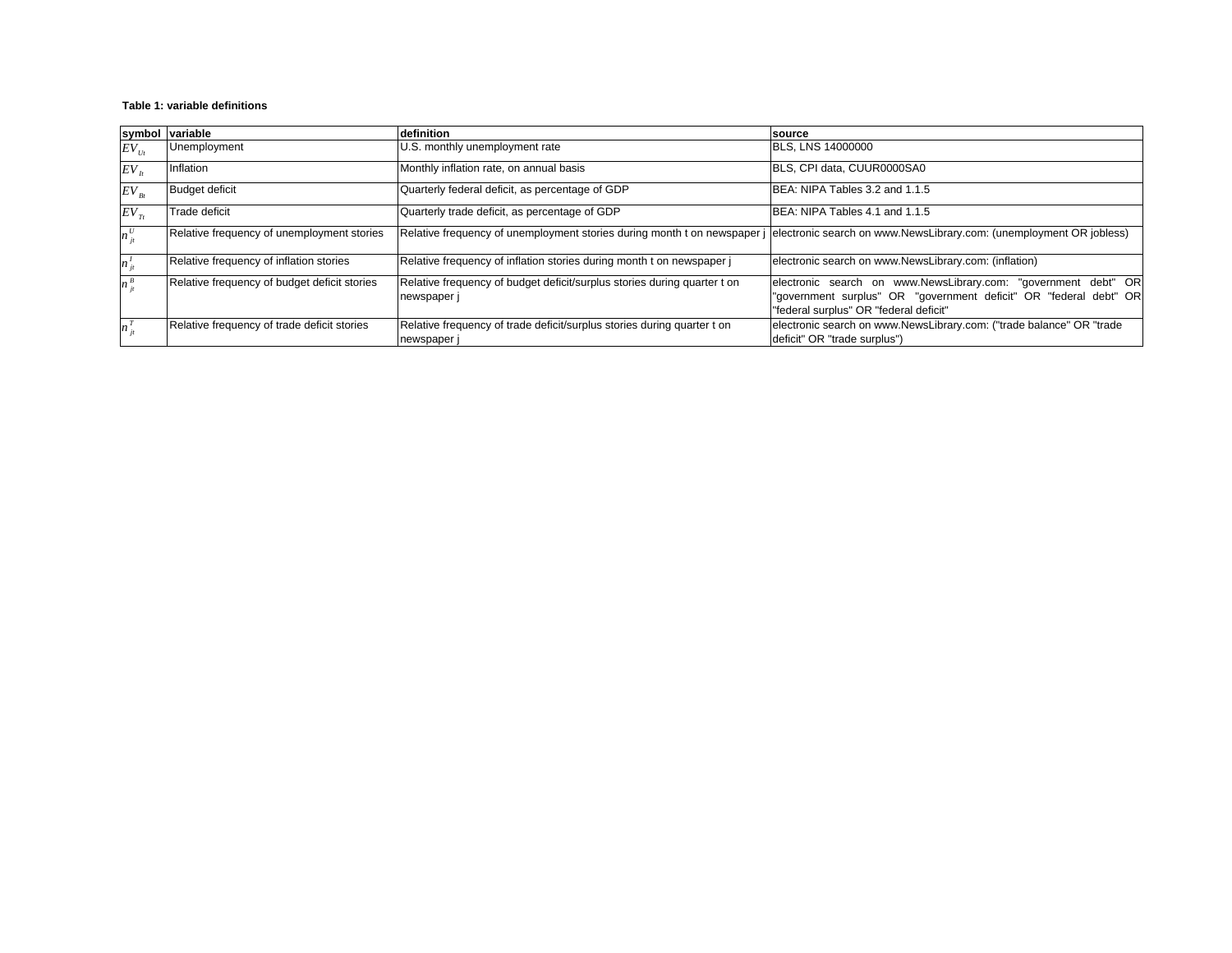#### **Table 1: variable definitions**

|                   | symbol variable                              | definition                                                                                                                                   | <b>source</b>                                                                                                                                                                 |
|-------------------|----------------------------------------------|----------------------------------------------------------------------------------------------------------------------------------------------|-------------------------------------------------------------------------------------------------------------------------------------------------------------------------------|
| $EV_{Ut}$         | Unemployment                                 | U.S. monthly unemployment rate                                                                                                               | <b>BLS, LNS 14000000</b>                                                                                                                                                      |
| $EV_{h}$          | Inflation                                    | Monthly inflation rate, on annual basis                                                                                                      | BLS, CPI data, CUUR0000SA0                                                                                                                                                    |
| $EV_{Bi}$         | <b>Budget deficit</b>                        | Quarterly federal deficit, as percentage of GDP                                                                                              | BEA: NIPA Tables 3.2 and 1.1.5                                                                                                                                                |
| $EV_{\tau}$       | Trade deficit                                | Quarterly trade deficit, as percentage of GDP                                                                                                | BEA: NIPA Tables 4.1 and 1.1.5                                                                                                                                                |
| $n_{ii}^U$        | Relative frequency of unemployment stories   | Relative frequency of unemployment stories during month t on newspaper j electronic search on www.NewsLibrary.com: (unemployment OR jobless) |                                                                                                                                                                               |
| n'                | Relative frequency of inflation stories      | Relative frequency of inflation stories during month t on newspaper j                                                                        | electronic search on www.NewsLibrary.com: (inflation)                                                                                                                         |
| $n_{ii}^B$        | Relative frequency of budget deficit stories | Relative frequency of budget deficit/surplus stories during quarter t on<br>newspaper j                                                      | electronic search on www.NewsLibrary.com: "government debt" OR<br>"government surplus" OR "government deficit" OR "federal debt" OR<br>"federal surplus" OR "federal deficit" |
| $n_{ii}^{\prime}$ | Relative frequency of trade deficit stories  | Relative frequency of trade deficit/surplus stories during quarter t on<br>newspaper j                                                       | electronic search on www.NewsLibrary.com: ("trade balance" OR "trade<br>deficit" OR "trade surplus")                                                                          |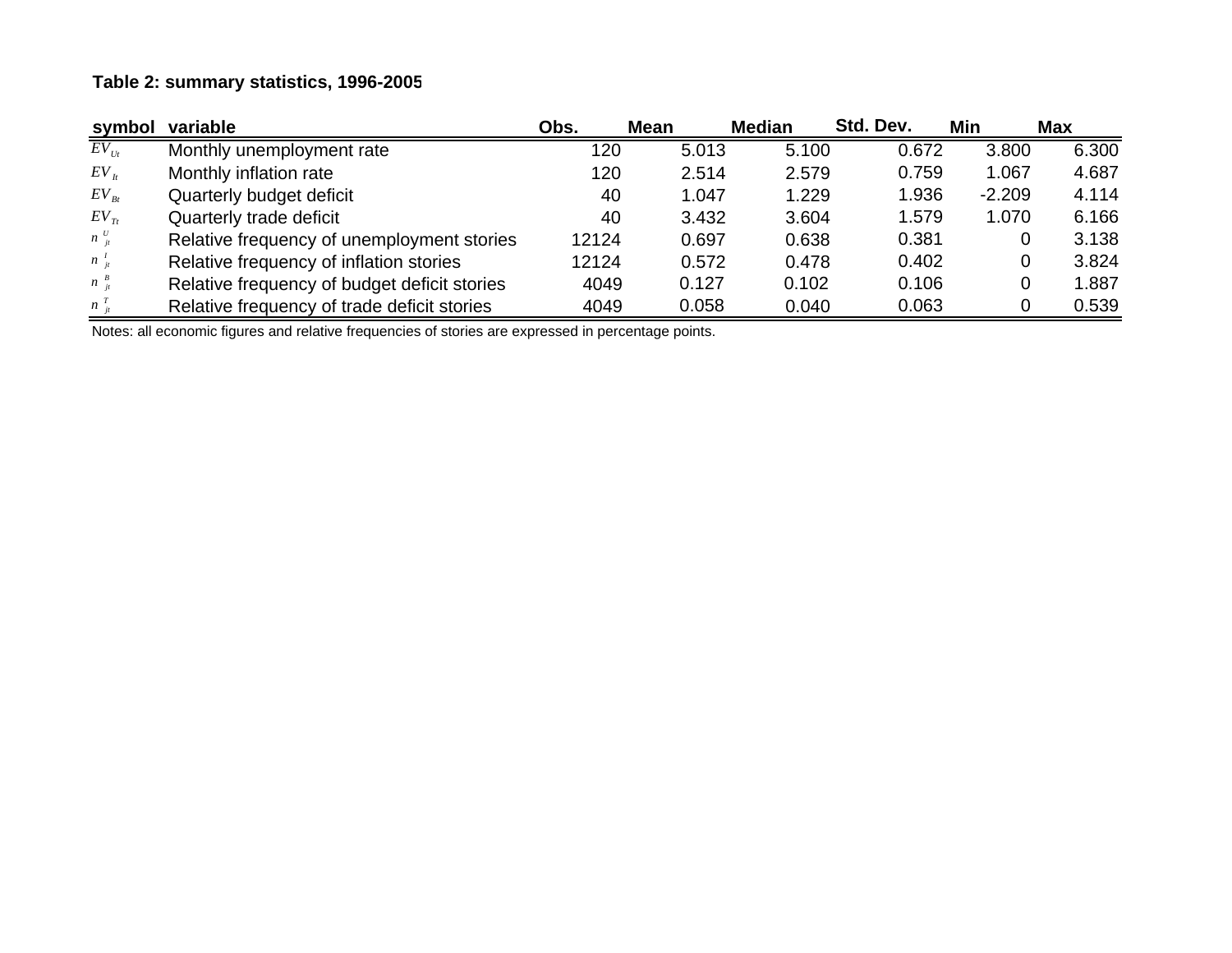# **Table 2: summary statistics, 1996-2005**

| symbol               | variable                                     | Obs.  | Mean  | <b>Median</b> | Std. Dev. | Min      | <b>Max</b> |
|----------------------|----------------------------------------------|-------|-------|---------------|-----------|----------|------------|
| $\overline{EV_{Ut}}$ | Monthly unemployment rate                    | 120   | 5.013 | 5.100         | 0.672     | 3.800    | 6.300      |
| $EV_{tt}$            | Monthly inflation rate                       | 120   | 2.514 | 2.579         | 0.759     | 1.067    | 4.687      |
| $EV_{Bt}$            | Quarterly budget deficit                     | 40    | 1.047 | 1.229         | 1.936     | $-2.209$ | 4.114      |
| $EV_{Tt}$            | Quarterly trade deficit                      | 40    | 3.432 | 3.604         | 1.579     | 1.070    | 6.166      |
| $n \frac{U}{it}$     | Relative frequency of unemployment stories   | 12124 | 0.697 | 0.638         | 0.381     | 0        | 3.138      |
| $n_{ii}$             | Relative frequency of inflation stories      | 12124 | 0.572 | 0.478         | 0.402     | 0        | 3.824      |
| $n \frac{B}{it}$     | Relative frequency of budget deficit stories | 4049  | 0.127 | 0.102         | 0.106     | 0        | 1.887      |
| $n_{ii}^T$           | Relative frequency of trade deficit stories  | 4049  | 0.058 | 0.040         | 0.063     | 0        | 0.539      |

Notes: all economic figures and relative frequencies of stories are expressed in percentage points.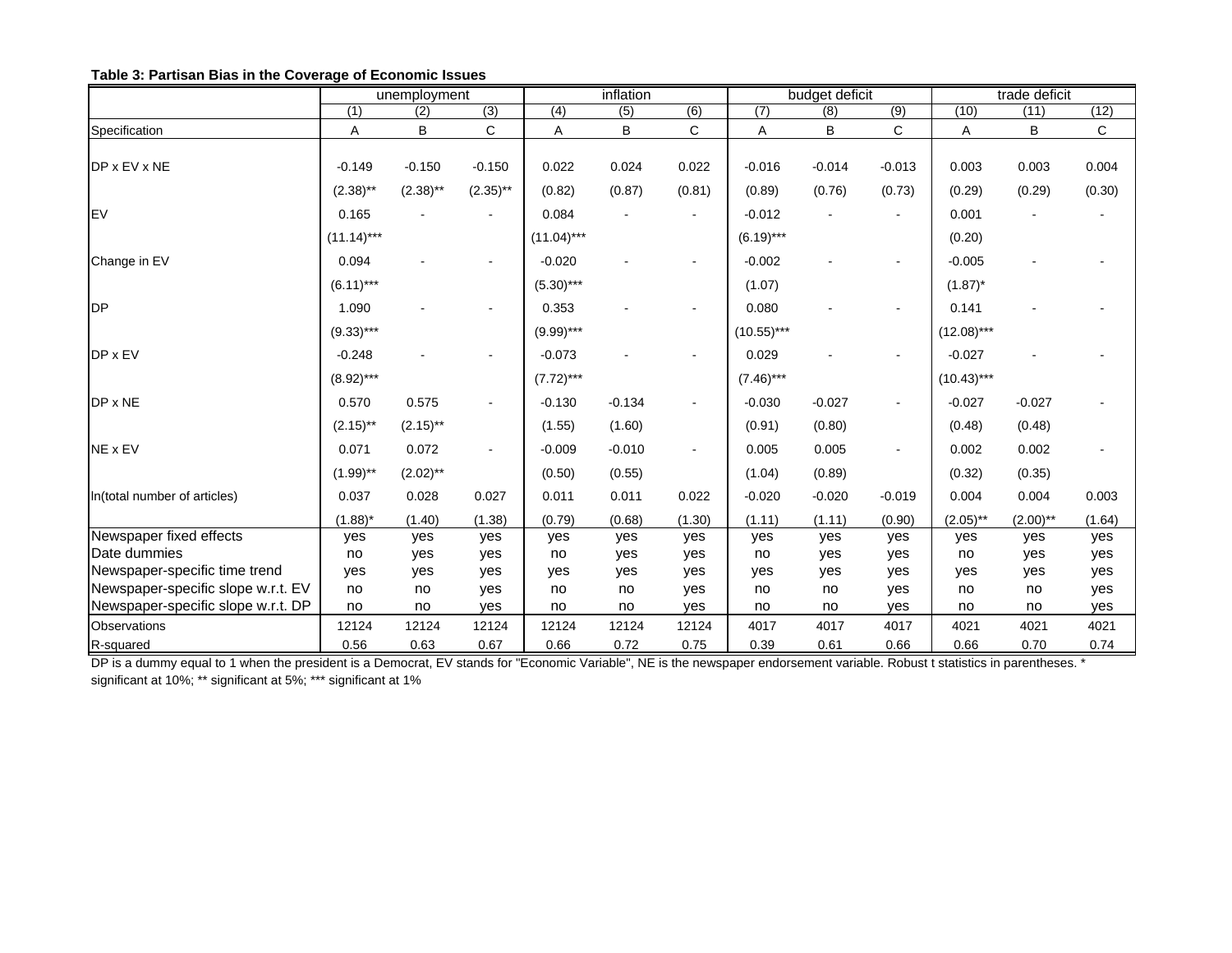### **Table 3: Partisan Bias in the Coverage of Economic Issues**

|                                    | unemployment |             |             | inflation    |          |        | budget deficit |          |                | trade deficit |             |        |
|------------------------------------|--------------|-------------|-------------|--------------|----------|--------|----------------|----------|----------------|---------------|-------------|--------|
|                                    | (1)          | (2)         | (3)         | (4)          | (5)      | (6)    | (7)            | (8)      | (9)            | (10)          | (11)        | (12)   |
| Specification                      | Α            | B           | С           | Α            | B        | C      | Α              | В        | $\mathsf C$    | A             | B           | С      |
|                                    |              |             |             |              |          |        |                |          |                |               |             |        |
| DP x EV x NE                       | $-0.149$     | $-0.150$    | $-0.150$    | 0.022        | 0.024    | 0.022  | $-0.016$       | $-0.014$ | $-0.013$       | 0.003         | 0.003       | 0.004  |
|                                    | $(2.38)$ **  | $(2.38)$ ** | $(2.35)$ ** | (0.82)       | (0.87)   | (0.81) | (0.89)         | (0.76)   | (0.73)         | (0.29)        | (0.29)      | (0.30) |
| EV                                 | 0.165        |             |             | 0.084        |          |        | $-0.012$       |          |                | 0.001         |             |        |
|                                    | $(11.14)***$ |             |             | $(11.04)***$ |          |        | $(6.19)***$    |          |                | (0.20)        |             |        |
| Change in EV                       | 0.094        |             |             | $-0.020$     |          |        | $-0.002$       |          |                | $-0.005$      |             |        |
|                                    | $(6.11)***$  |             |             | $(5.30)***$  |          |        | (1.07)         |          |                | $(1.87)^*$    |             |        |
| <b>I</b> DP                        | 1.090        |             |             | 0.353        |          |        | 0.080          |          | $\blacksquare$ | 0.141         |             |        |
|                                    | $(9.33)***$  |             |             | $(9.99)***$  |          |        | $(10.55)***$   |          |                | $(12.08)***$  |             |        |
| DP x EV                            | $-0.248$     |             |             | $-0.073$     |          |        | 0.029          |          |                | $-0.027$      |             |        |
|                                    | $(8.92)***$  |             |             | $(7.72)***$  |          |        | $(7.46)***$    |          |                | $(10.43)***$  |             |        |
| DP x NE                            | 0.570        | 0.575       |             | $-0.130$     | $-0.134$ |        | $-0.030$       | $-0.027$ |                | $-0.027$      | $-0.027$    |        |
|                                    | $(2.15)$ **  | $(2.15)$ ** |             | (1.55)       | (1.60)   |        | (0.91)         | (0.80)   |                | (0.48)        | (0.48)      |        |
| NE x EV                            | 0.071        | 0.072       |             | $-0.009$     | $-0.010$ |        | 0.005          | 0.005    | $\sim$         | 0.002         | 0.002       |        |
|                                    | $(1.99)$ **  | $(2.02)$ ** |             | (0.50)       | (0.55)   |        | (1.04)         | (0.89)   |                | (0.32)        | (0.35)      |        |
| In(total number of articles)       | 0.037        | 0.028       | 0.027       | 0.011        | 0.011    | 0.022  | $-0.020$       | $-0.020$ | $-0.019$       | 0.004         | 0.004       | 0.003  |
|                                    | $(1.88)^*$   | (1.40)      | (1.38)      | (0.79)       | (0.68)   | (1.30) | (1.11)         | (1.11)   | (0.90)         | $(2.05)$ **   | $(2.00)$ ** | (1.64) |
| Newspaper fixed effects            | yes          | yes         | yes         | yes          | yes      | yes    | yes            | yes      | yes            | yes           | yes         | yes    |
| Date dummies                       | no           | yes         | yes         | no           | yes      | yes    | no             | yes      | yes            | no            | yes         | yes    |
| Newspaper-specific time trend      | yes          | yes         | yes         | yes          | yes      | yes    | yes            | yes      | yes            | yes           | yes         | yes    |
| Newspaper-specific slope w.r.t. EV | no           | no          | yes         | no           | no       | yes    | no             | no       | yes            | no            | no          | yes    |
| Newspaper-specific slope w.r.t. DP | no           | no          | yes         | no           | no       | yes    | no             | no       | yes            | no            | no          | yes    |
| <b>Observations</b>                | 12124        | 12124       | 12124       | 12124        | 12124    | 12124  | 4017           | 4017     | 4017           | 4021          | 4021        | 4021   |
| R-squared                          | 0.56         | 0.63        | 0.67        | 0.66         | 0.72     | 0.75   | 0.39           | 0.61     | 0.66           | 0.66          | 0.70        | 0.74   |

DP is a dummy equal to 1 when the president is a Democrat, EV stands for "Economic Variable", NE is the newspaper endorsement variable. Robust t statistics in parentheses. \* significant at 10%; \*\* significant at 5%; \*\*\* significant at 1%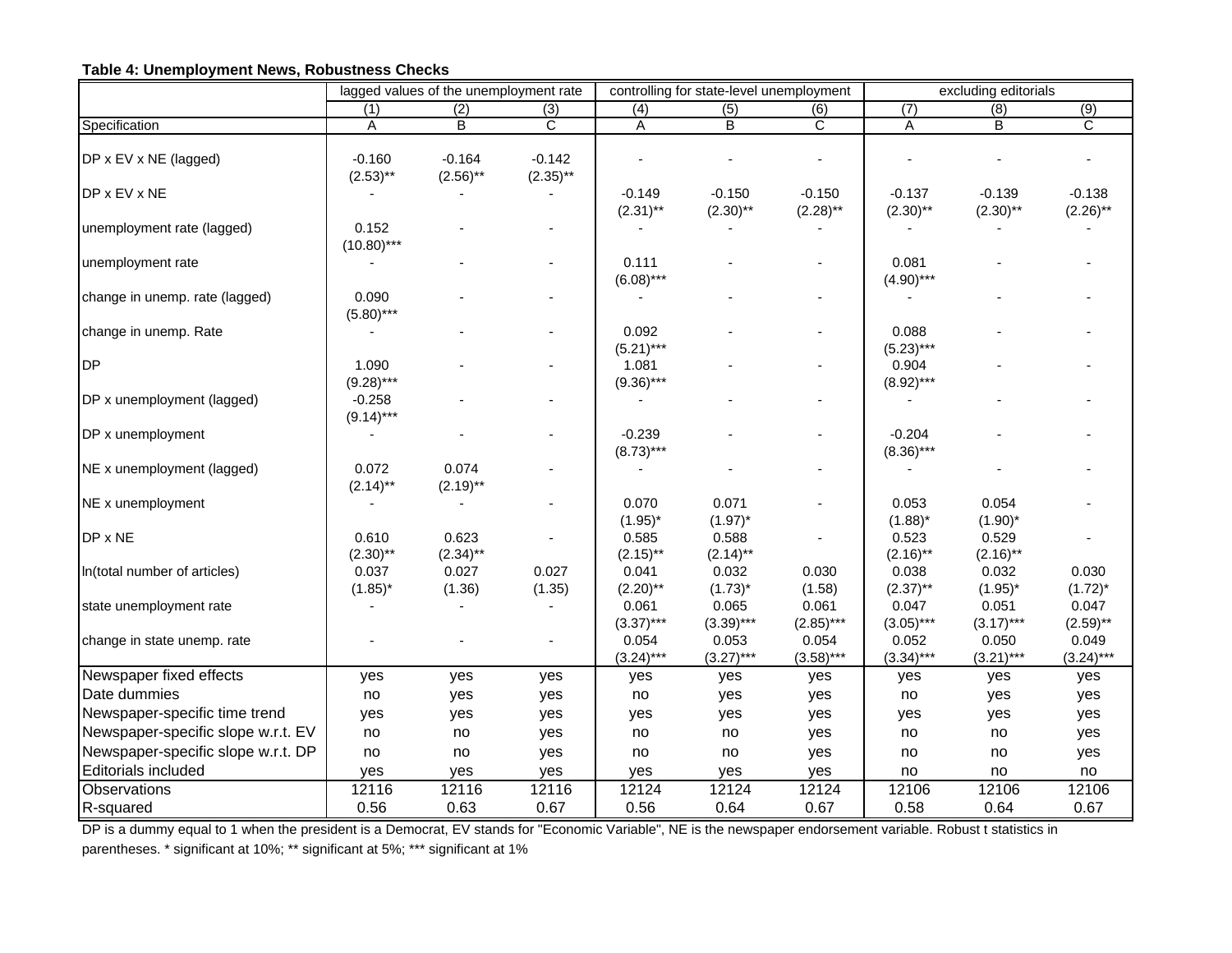|                                    | lagged values of the unemployment rate |                         | controlling for state-level unemployment |                         |                         | excluding editorials    |                         |                         |                         |
|------------------------------------|----------------------------------------|-------------------------|------------------------------------------|-------------------------|-------------------------|-------------------------|-------------------------|-------------------------|-------------------------|
|                                    | (1)                                    | (2)                     | (3)                                      | (4)                     | (5)                     | (6)                     | $\overline{(7)}$        | $\overline{(8)}$        | $\overline{(9)}$        |
| Specification                      | Α                                      | B                       | C                                        | Α                       | $\overline{B}$          | C                       | A                       | B                       | C                       |
| DP x EV x NE (lagged)              | $-0.160$<br>$(2.53)$ **                | $-0.164$<br>$(2.56)$ ** | $-0.142$<br>$(2.35)$ **                  |                         |                         |                         |                         |                         |                         |
| DP x EV x NE                       |                                        |                         |                                          | $-0.149$<br>$(2.31)$ ** | $-0.150$<br>$(2.30)$ ** | $-0.150$<br>$(2.28)$ ** | $-0.137$<br>$(2.30)$ ** | $-0.139$<br>$(2.30)$ ** | $-0.138$<br>$(2.26)$ ** |
| unemployment rate (lagged)         | 0.152<br>$(10.80)$ ***                 |                         |                                          |                         |                         |                         |                         |                         |                         |
| unemployment rate                  |                                        |                         |                                          | 0.111<br>$(6.08)***$    |                         |                         | 0.081<br>$(4.90)***$    |                         |                         |
| change in unemp. rate (lagged)     | 0.090<br>$(5.80)***$                   |                         |                                          |                         |                         |                         |                         |                         |                         |
| change in unemp. Rate              |                                        |                         |                                          | 0.092<br>$(5.21)***$    |                         |                         | 0.088<br>$(5.23)***$    |                         |                         |
| <b>DP</b>                          | 1.090<br>$(9.28)***$                   |                         | $\blacksquare$                           | 1.081<br>$(9.36)***$    |                         |                         | 0.904<br>$(8.92)***$    |                         |                         |
| DP x unemployment (lagged)         | $-0.258$<br>$(9.14)***$                |                         |                                          |                         |                         |                         |                         |                         |                         |
| DP x unemployment                  |                                        |                         |                                          | $-0.239$<br>$(8.73)***$ |                         |                         | $-0.204$<br>$(8.36)***$ |                         |                         |
| NE x unemployment (lagged)         | 0.072<br>$(2.14)$ **                   | 0.074<br>$(2.19)$ **    |                                          |                         |                         |                         |                         |                         |                         |
| NE x unemployment                  |                                        |                         |                                          | 0.070<br>$(1.95)^*$     | 0.071<br>$(1.97)^*$     |                         | 0.053<br>$(1.88)^*$     | 0.054<br>$(1.90)^*$     |                         |
| DP x NE                            | 0.610<br>$(2.30)$ **                   | 0.623<br>$(2.34)$ **    | $\blacksquare$                           | 0.585<br>$(2.15)$ **    | 0.588<br>$(2.14)$ **    | $\blacksquare$          | 0.523<br>$(2.16)$ **    | 0.529<br>$(2.16)$ **    |                         |
| In(total number of articles)       | 0.037<br>$(1.85)^*$                    | 0.027<br>(1.36)         | 0.027<br>(1.35)                          | 0.041<br>$(2.20)$ **    | 0.032<br>$(1.73)^*$     | 0.030<br>(1.58)         | 0.038<br>$(2.37)$ **    | 0.032<br>$(1.95)^*$     | 0.030<br>$(1.72)^*$     |
| state unemployment rate            |                                        | $\sim$                  | $\sim$                                   | 0.061<br>$(3.37)***$    | 0.065<br>$(3.39)***$    | 0.061<br>$(2.85)***$    | 0.047<br>$(3.05)***$    | 0.051<br>$(3.17)***$    | 0.047<br>$(2.59)$ **    |
| change in state unemp. rate        |                                        |                         | $\blacksquare$                           | 0.054<br>$(3.24)***$    | 0.053<br>$(3.27)***$    | 0.054<br>$(3.58)***$    | 0.052<br>$(3.34)***$    | 0.050<br>$(3.21)***$    | 0.049<br>$(3.24)***$    |
| Newspaper fixed effects            | yes                                    | yes                     | yes                                      | yes                     | yes                     | yes                     | yes                     | yes                     | yes                     |
| Date dummies                       | no                                     | yes                     | yes                                      | no                      | yes                     | yes                     | no                      | yes                     | yes                     |
| Newspaper-specific time trend      | yes                                    | yes                     | yes                                      | yes                     | yes                     | yes                     | yes                     | yes                     | yes                     |
| Newspaper-specific slope w.r.t. EV | no                                     | no                      | yes                                      | no                      | no                      | yes                     | no                      | no                      | yes                     |
| Newspaper-specific slope w.r.t. DP | no                                     | no                      | yes                                      | no                      | no                      | yes                     | no                      | no                      | yes                     |
| Editorials included                | yes                                    | yes                     | yes                                      | yes                     | yes                     | yes                     | no                      | no                      | no                      |
| Observations                       | 12116                                  | 12116                   | 12116                                    | 12124                   | 12124                   | 12124                   | 12106                   | 12106                   | 12106                   |
| R-squared                          | 0.56                                   | 0.63                    | 0.67                                     | 0.56                    | 0.64                    | 0.67                    | 0.58                    | 0.64                    | 0.67                    |

### **Table 4: Unemployment News, Robustness Checks**

DP is a dummy equal to 1 when the president is a Democrat, EV stands for "Economic Variable", NE is the newspaper endorsement variable. Robust t statistics in parentheses. \* significant at 10%; \*\* significant at 5%; \*\*\* significant at 1%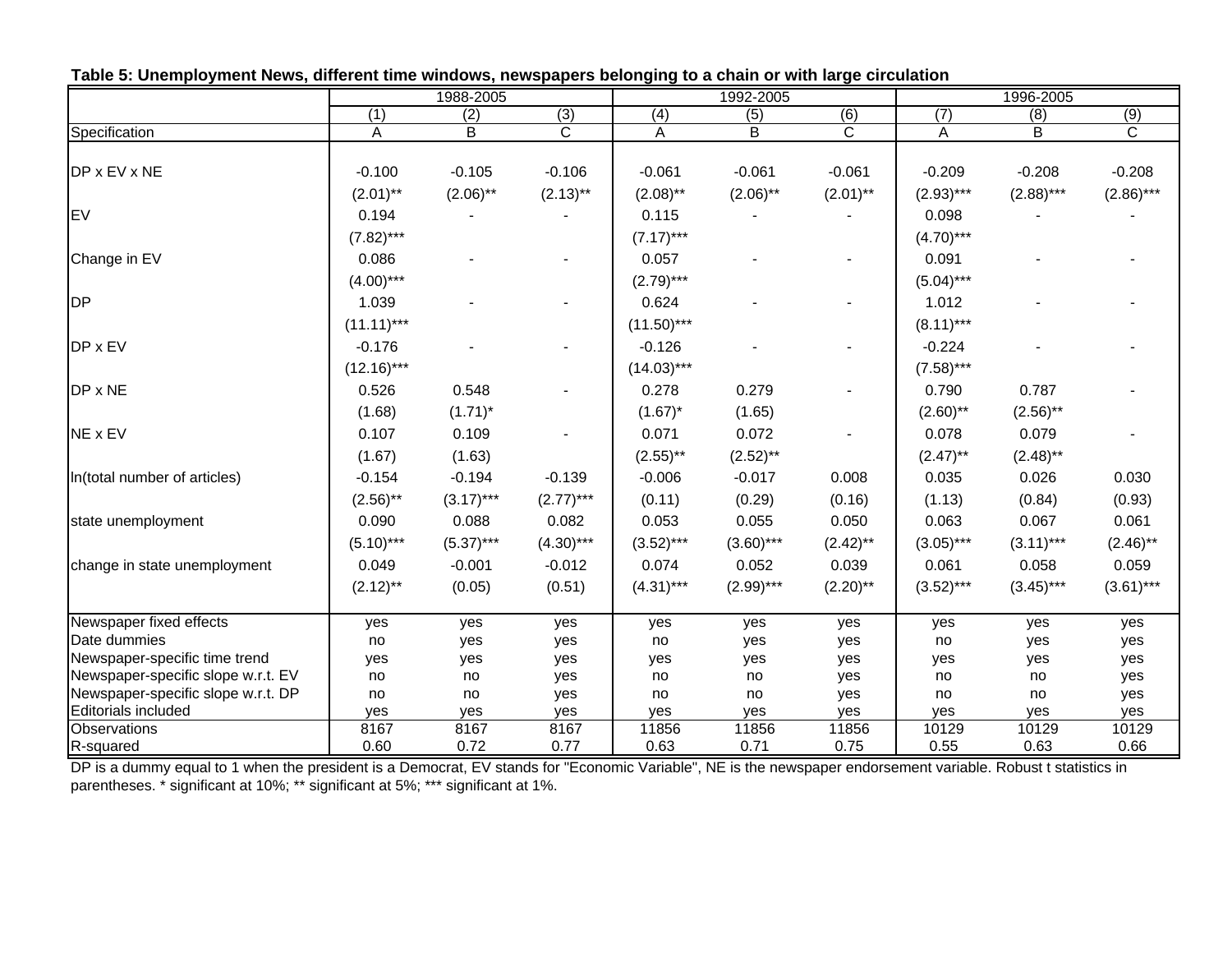|                                    |              | 1988-2005   |                          |              | 1992-2005    |                |             | 1996-2005   |                |
|------------------------------------|--------------|-------------|--------------------------|--------------|--------------|----------------|-------------|-------------|----------------|
|                                    | (1)          | (2)         | (3)                      | (4)          | (5)          | (6)            | (7)         | (8)         | (9)            |
| Specification                      | Α            | B           | $\overline{\text{c}}$    | A            | B            | $\overline{C}$ | A           | B           | $\overline{C}$ |
|                                    |              |             |                          |              |              |                |             |             |                |
| DP x EV x NE                       | $-0.100$     | $-0.105$    | $-0.106$                 | $-0.061$     | $-0.061$     | $-0.061$       | $-0.209$    | $-0.208$    | $-0.208$       |
|                                    | $(2.01)$ **  | $(2.06)$ ** | $(2.13)$ **              | $(2.08)$ **  | $(2.06)$ **  | $(2.01)$ **    | $(2.93)***$ | $(2.88)***$ | $(2.86)***$    |
| <b>EV</b>                          | 0.194        |             |                          | 0.115        |              |                | 0.098       |             |                |
|                                    | $(7.82)***$  |             |                          | $(7.17)***$  |              |                | $(4.70***$  |             |                |
| Change in EV                       | 0.086        |             | $\overline{\phantom{a}}$ | 0.057        |              |                | 0.091       |             |                |
|                                    | $(4.00)***$  |             |                          | $(2.79)***$  |              |                | $(5.04)***$ |             |                |
| DP                                 | 1.039        |             |                          | 0.624        |              |                | 1.012       |             |                |
|                                    | $(11.11)***$ |             |                          | $(11.50)***$ |              |                | $(8.11)***$ |             |                |
| DP x EV                            | $-0.176$     |             |                          | $-0.126$     |              |                | $-0.224$    |             |                |
|                                    | $(12.16)***$ |             |                          | $(14.03)***$ |              |                | $(7.58)***$ |             |                |
| DP x NE                            | 0.526        | 0.548       |                          | 0.278        | 0.279        |                | 0.790       | 0.787       |                |
|                                    | (1.68)       | $(1.71)^*$  |                          | $(1.67)^*$   | (1.65)       |                | $(2.60)$ ** | $(2.56)$ ** |                |
| NE x EV                            | 0.107        | 0.109       |                          | 0.071        | 0.072        |                | 0.078       | 0.079       |                |
|                                    | (1.67)       | (1.63)      |                          | $(2.55)$ **  | $(2.52)$ **  |                | $(2.47)$ ** | $(2.48)$ ** |                |
| In(total number of articles)       | $-0.154$     | $-0.194$    | $-0.139$                 | $-0.006$     | $-0.017$     | 0.008          | 0.035       | 0.026       | 0.030          |
|                                    | $(2.56)$ **  | $(3.17)***$ | $(2.77)***$              | (0.11)       | (0.29)       | (0.16)         | (1.13)      | (0.84)      | (0.93)         |
| state unemployment                 | 0.090        | 0.088       | 0.082                    | 0.053        | 0.055        | 0.050          | 0.063       | 0.067       | 0.061          |
|                                    | $(5.10)***$  | $(5.37)***$ | $(4.30***$               | $(3.52)***$  | $(3.60)$ *** | $(2.42)$ **    | $(3.05)***$ | $(3.11)***$ | $(2.46)$ **    |
| change in state unemployment       | 0.049        | $-0.001$    | $-0.012$                 | 0.074        | 0.052        | 0.039          | 0.061       | 0.058       | 0.059          |
|                                    | $(2.12)$ **  | (0.05)      | (0.51)                   | $(4.31***$   | $(2.99)***$  | $(2.20)$ **    | $(3.52)***$ | $(3.45)***$ | $(3.61)***$    |
| Newspaper fixed effects            | yes          | yes         | yes                      | yes          | yes          | yes            | yes         | yes         | yes            |
| Date dummies                       | no           | yes         | yes                      | no           | yes          | yes            | no          | yes         | yes            |
| Newspaper-specific time trend      | yes          | yes         | yes                      | yes          | yes          | yes            | yes         | yes         | yes            |
| Newspaper-specific slope w.r.t. EV | no           | no          | yes                      | no           | no           | yes            | no          | no          | yes            |
| Newspaper-specific slope w.r.t. DP | no           | no          | yes                      | no           | no           | yes            | no          | no          | yes            |
| Editorials included                | yes          | yes         | yes                      | yes          | yes          | yes            | yes         | yes         | yes            |
| <b>Observations</b>                | 8167         | 8167        | 8167                     | 11856        | 11856        | 11856          | 10129       | 10129       | 10129          |
| R-squared                          | 0.60         | 0.72        | 0.77                     | 0.63         | 0.71         | 0.75           | 0.55        | 0.63        | 0.66           |

**Table 5: Unemployment News, different time windows, newspapers belonging to a chain or with large circulation**

DP is a dummy equal to 1 when the president is a Democrat, EV stands for "Economic Variable", NE is the newspaper endorsement variable. Robust t statistics in parentheses. \* significant at 10%; \*\* significant at 5%; \*\*\* significant at 1%.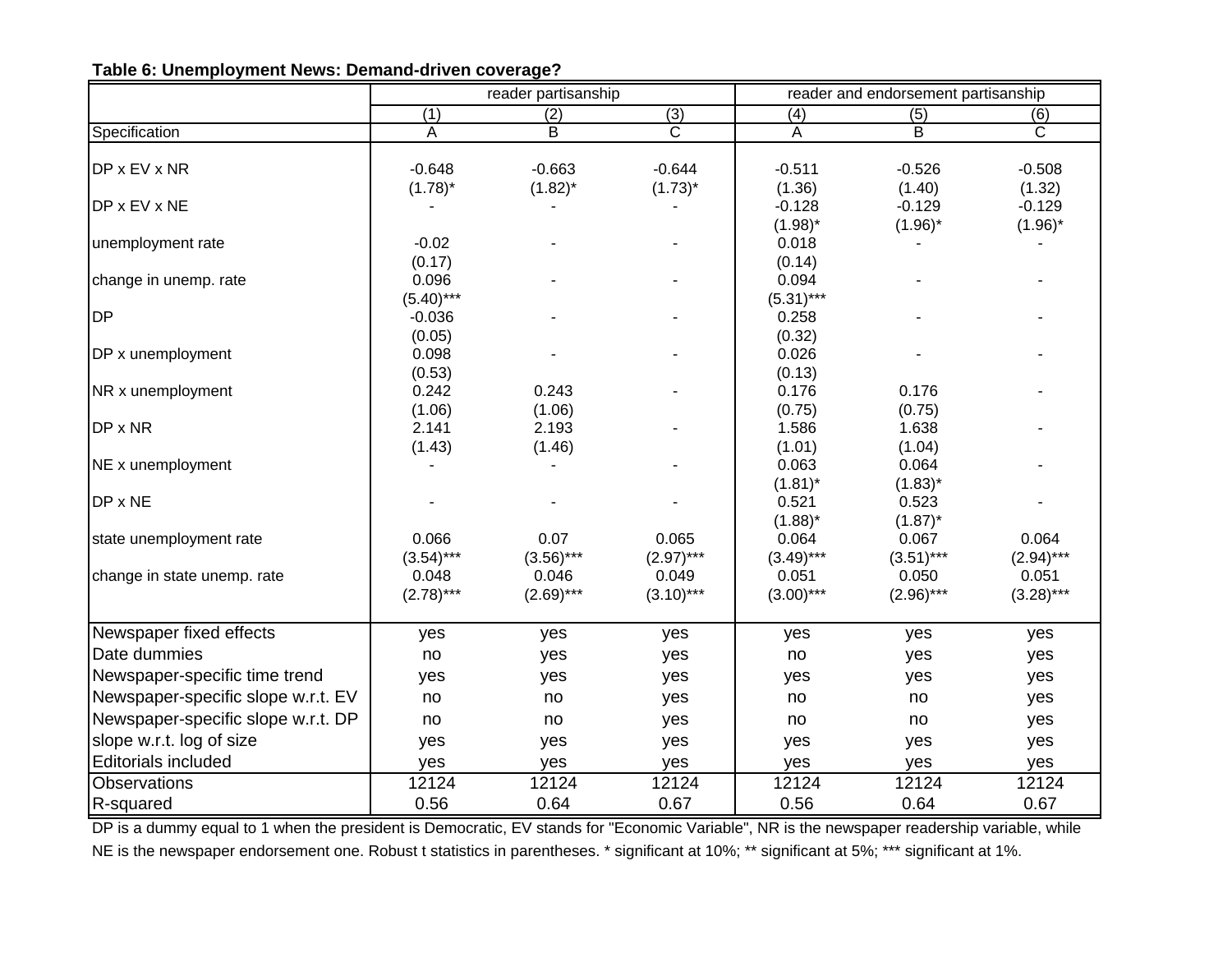|                                    | reader partisanship |                |                         | reader and endorsement partisanship |                  |                       |  |  |
|------------------------------------|---------------------|----------------|-------------------------|-------------------------------------|------------------|-----------------------|--|--|
|                                    | (1)                 | (2)            | (3)                     | (4)                                 | $\overline{(5)}$ | (6)                   |  |  |
| Specification                      | Α                   | $\overline{B}$ | $\overline{\mathsf{C}}$ | A                                   | $\overline{B}$   | $\overline{\text{c}}$ |  |  |
|                                    |                     |                |                         |                                     |                  |                       |  |  |
| DP x EV x NR                       | $-0.648$            | $-0.663$       | $-0.644$                | $-0.511$                            | $-0.526$         | $-0.508$              |  |  |
|                                    | $(1.78)^*$          | $(1.82)^*$     | $(1.73)^*$              | (1.36)                              | (1.40)           | (1.32)                |  |  |
| DP x EV x NE                       |                     |                |                         | $-0.128$                            | $-0.129$         | $-0.129$              |  |  |
|                                    |                     |                |                         | $(1.98)^*$                          | $(1.96)^*$       | $(1.96)^*$            |  |  |
| unemployment rate                  | $-0.02$             |                |                         | 0.018<br>(0.14)                     |                  |                       |  |  |
|                                    | (0.17)<br>0.096     |                |                         | 0.094                               |                  |                       |  |  |
| change in unemp. rate              | $(5.40)***$         |                |                         | $(5.31)***$                         |                  |                       |  |  |
| <b>DP</b>                          | $-0.036$            |                |                         | 0.258                               |                  |                       |  |  |
|                                    | (0.05)              |                |                         | (0.32)                              |                  |                       |  |  |
| DP x unemployment                  | 0.098               |                |                         | 0.026                               |                  |                       |  |  |
|                                    | (0.53)              |                |                         | (0.13)                              |                  |                       |  |  |
| NR x unemployment                  | 0.242               | 0.243          |                         | 0.176                               | 0.176            |                       |  |  |
|                                    | (1.06)              | (1.06)         |                         | (0.75)                              | (0.75)           |                       |  |  |
| DP x NR                            | 2.141               | 2.193          |                         | 1.586                               | 1.638            |                       |  |  |
|                                    | (1.43)              | (1.46)         |                         | (1.01)                              | (1.04)           |                       |  |  |
| NE x unemployment                  |                     |                |                         | 0.063                               | 0.064            |                       |  |  |
|                                    |                     |                |                         | $(1.81)^*$                          | $(1.83)^*$       |                       |  |  |
| DP x NE                            |                     |                |                         | 0.521                               | 0.523            |                       |  |  |
|                                    |                     |                |                         | $(1.88)^*$                          | $(1.87)^*$       |                       |  |  |
| state unemployment rate            | 0.066               | 0.07           | 0.065                   | 0.064                               | 0.067            | 0.064                 |  |  |
|                                    | $(3.54)***$         | $(3.56)***$    | $(2.97)***$             | $(3.49)***$                         | $(3.51)***$      | $(2.94)***$           |  |  |
| change in state unemp. rate        | 0.048               | 0.046          | 0.049                   | 0.051                               | 0.050            | 0.051                 |  |  |
|                                    | $(2.78)***$         | $(2.69)***$    | $(3.10)***$             | $(3.00)$ ***                        | $(2.96)***$      | $(3.28)***$           |  |  |
| Newspaper fixed effects            | yes                 | yes            | yes                     | yes                                 | yes              | yes                   |  |  |
| Date dummies                       | no                  | yes            | yes                     | no                                  | yes              | yes                   |  |  |
| Newspaper-specific time trend      | yes                 | yes            | yes                     | yes                                 | yes              | yes                   |  |  |
| Newspaper-specific slope w.r.t. EV |                     |                |                         |                                     |                  |                       |  |  |
|                                    | no                  | no             | yes                     | no                                  | no               | yes                   |  |  |
| Newspaper-specific slope w.r.t. DP | no                  | no             | yes                     | no                                  | no               | yes                   |  |  |
| slope w.r.t. log of size           | yes                 | yes            | yes                     | yes                                 | yes              | yes                   |  |  |
| <b>Editorials included</b>         | yes                 | yes            | yes                     | yes                                 | yes              | yes                   |  |  |
| <b>Observations</b>                | 12124               | 12124          | 12124                   | 12124                               | 12124            | 12124                 |  |  |
| R-squared                          | 0.56                | 0.64           | 0.67                    | 0.56                                | 0.64             | 0.67                  |  |  |

## **Table 6: Unemployment News: Demand-driven coverage?**

DP is a dummy equal to 1 when the president is Democratic, EV stands for "Economic Variable", NR is the newspaper readership variable, while NE is the newspaper endorsement one. Robust t statistics in parentheses. \* significant at 10%; \*\* significant at 5%; \*\*\* significant at 1%.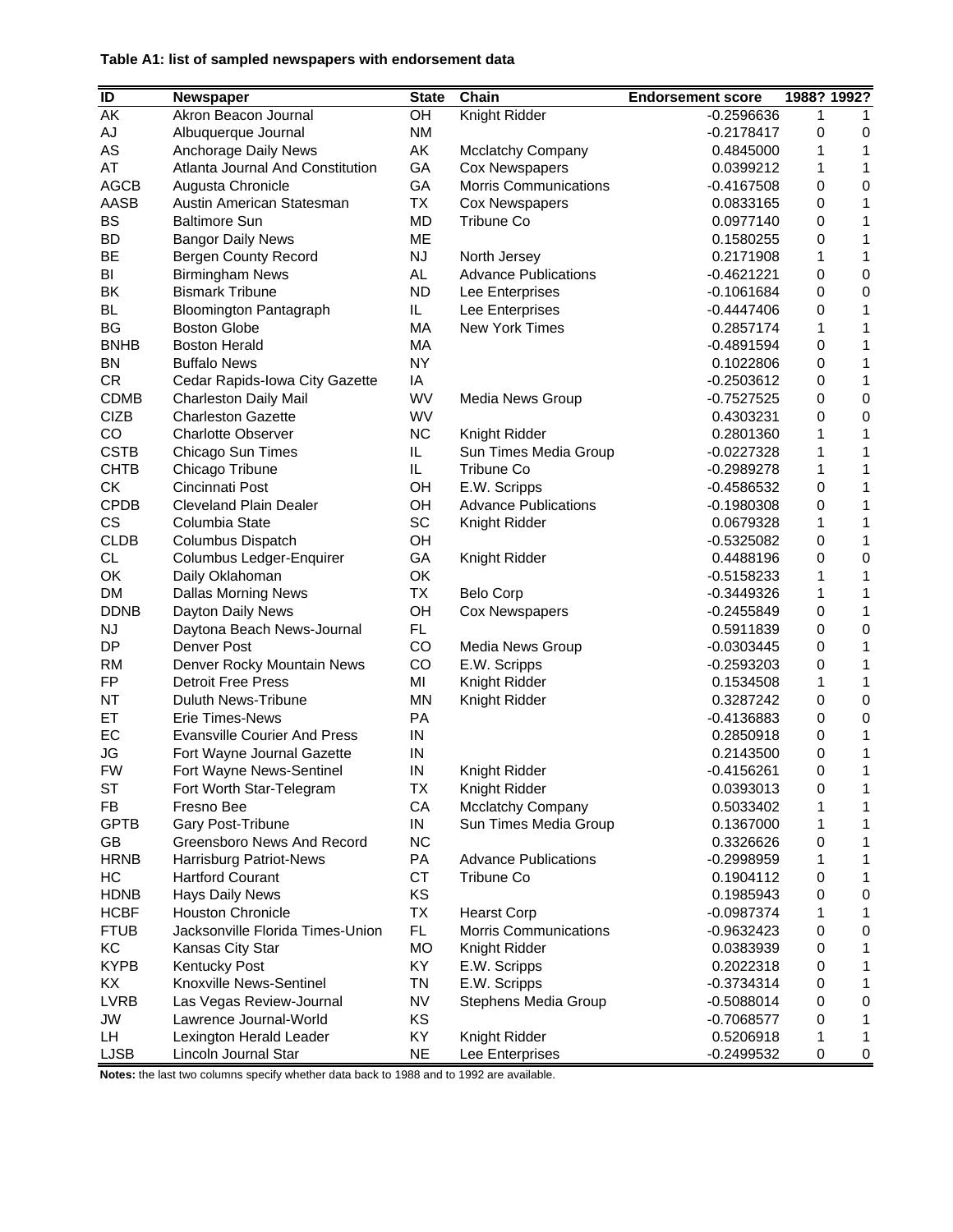### **Table A1: list of sampled newspapers with endorsement data**

| $\overline{\mathbb{D}}$ | Newspaper                           | <b>State</b> | Chain                        | <b>Endorsement score</b> |              | 1988? 1992?      |
|-------------------------|-------------------------------------|--------------|------------------------------|--------------------------|--------------|------------------|
| $\overline{AK}$         | Akron Beacon Journal                | OH           | Knight Ridder                | $-0.2596636$             | 1            | 1                |
| AJ                      | Albuquerque Journal                 | <b>NM</b>    |                              | $-0.2178417$             | 0            | $\pmb{0}$        |
| AS                      | Anchorage Daily News                | AK           | <b>Mcclatchy Company</b>     | 0.4845000                | 1            | 1                |
| AT                      | Atlanta Journal And Constitution    | GA           | Cox Newspapers               | 0.0399212                | 1            | 1                |
| <b>AGCB</b>             | Augusta Chronicle                   | GA           | <b>Morris Communications</b> | $-0.4167508$             | 0            | $\pmb{0}$        |
| <b>AASB</b>             | Austin American Statesman           | <b>TX</b>    | Cox Newspapers               | 0.0833165                | 0            | 1                |
| <b>BS</b>               | <b>Baltimore Sun</b>                | <b>MD</b>    | <b>Tribune Co</b>            | 0.0977140                | 0            | 1                |
| BD                      | <b>Bangor Daily News</b>            | ME           |                              | 0.1580255                | 0            | 1                |
| <b>BE</b>               | <b>Bergen County Record</b>         | <b>NJ</b>    | North Jersey                 | 0.2171908                | $\mathbf{1}$ | 1                |
| BI                      | <b>Birmingham News</b>              | AL           | <b>Advance Publications</b>  | $-0.4621221$             | 0            | $\pmb{0}$        |
| ΒK                      | <b>Bismark Tribune</b>              | ND.          | Lee Enterprises              | $-0.1061684$             | 0            | $\pmb{0}$        |
| BL                      | <b>Bloomington Pantagraph</b>       | IL           | Lee Enterprises              | $-0.4447406$             | 0            | 1                |
| BG                      | <b>Boston Globe</b>                 | MA           | <b>New York Times</b>        | 0.2857174                | 1            | 1                |
| <b>BNHB</b>             | <b>Boston Herald</b>                | МA           |                              | $-0.4891594$             | 0            | 1                |
| BN                      | <b>Buffalo News</b>                 | NY           |                              | 0.1022806                | 0            | 1                |
| CR.                     | Cedar Rapids-Iowa City Gazette      | IA           |                              | $-0.2503612$             | 0            | 1                |
| <b>CDMB</b>             | <b>Charleston Daily Mail</b>        | WV           | Media News Group             | $-0.7527525$             | 0            | $\pmb{0}$        |
| <b>CIZB</b>             | <b>Charleston Gazette</b>           | WV           |                              | 0.4303231                | 0            | $\pmb{0}$        |
| CO                      | <b>Charlotte Observer</b>           | <b>NC</b>    | Knight Ridder                | 0.2801360                | $\mathbf{1}$ | 1                |
| <b>CSTB</b>             | Chicago Sun Times                   | IL.          | Sun Times Media Group        | $-0.0227328$             | 1            | 1                |
| <b>CHTB</b>             | Chicago Tribune                     | IL.          | <b>Tribune Co</b>            | $-0.2989278$             | 1            | 1                |
| <b>CK</b>               | Cincinnati Post                     | OH           | E.W. Scripps                 | $-0.4586532$             | 0            | 1                |
| <b>CPDB</b>             | <b>Cleveland Plain Dealer</b>       | OH           | <b>Advance Publications</b>  | $-0.1980308$             | 0            | 1                |
| <b>CS</b>               | Columbia State                      | SC           | Knight Ridder                | 0.0679328                | 1            | 1                |
| <b>CLDB</b>             | Columbus Dispatch                   | OH           |                              | $-0.5325082$             | 0            | 1                |
| <b>CL</b>               | Columbus Ledger-Enquirer            | GA           | Knight Ridder                | 0.4488196                | 0            | $\pmb{0}$        |
| OK                      | Daily Oklahoman                     | OK           |                              | $-0.5158233$             | 1            | 1                |
| DM                      | <b>Dallas Morning News</b>          | ТX           | <b>Belo Corp</b>             | $-0.3449326$             | 1            | $\mathbf 1$      |
| <b>DDNB</b>             | Dayton Daily News                   | OH           | Cox Newspapers               | $-0.2455849$             | 0            | 1                |
| NJ                      | Daytona Beach News-Journal          | FL.          |                              | 0.5911839                | 0            | $\pmb{0}$        |
| DP                      | Denver Post                         | CO           | Media News Group             | $-0.0303445$             | 0            | 1                |
| <b>RM</b>               | Denver Rocky Mountain News          | CO           | E.W. Scripps                 | $-0.2593203$             | 0            | 1                |
| FP                      | <b>Detroit Free Press</b>           | MI           | Knight Ridder                | 0.1534508                | 1            | 1                |
| ΝT                      | Duluth News-Tribune                 | MN           | Knight Ridder                | 0.3287242                | 0            | $\pmb{0}$        |
| ET                      | Erie Times-News                     | PA           |                              | $-0.4136883$             | 0            | $\boldsymbol{0}$ |
| EC                      | <b>Evansville Courier And Press</b> | IN           |                              | 0.2850918                | 0            | 1                |
| JG                      | Fort Wayne Journal Gazette          | IN           |                              | 0.2143500                | 0            | 1                |
| <b>FW</b>               | Fort Wayne News-Sentinel            | IN           | Knight Ridder                | $-0.4156261$             | 0            | 1                |
| ST                      | Fort Worth Star-Telegram            | ТX           | Knight Ridder                | 0.0393013                | 0            | 1                |
| <b>FB</b>               | Fresno Bee                          | CA           | Mcclatchy Company            | 0.5033402                | 1            | 1                |
| <b>GPTB</b>             | Gary Post-Tribune                   | IN           | Sun Times Media Group        | 0.1367000                | 1            | 1                |
| GB                      | <b>Greensboro News And Record</b>   | <b>NC</b>    |                              | 0.3326626                | 0            | 1                |
| <b>HRNB</b>             | <b>Harrisburg Patriot-News</b>      | PA           | <b>Advance Publications</b>  | $-0.2998959$             | 1            | 1                |
| HC                      | <b>Hartford Courant</b>             | <b>CT</b>    | <b>Tribune Co</b>            | 0.1904112                | 0            | 1                |
| <b>HDNB</b>             | <b>Hays Daily News</b>              | KS           |                              | 0.1985943                | 0            | 0                |
| <b>HCBF</b>             | <b>Houston Chronicle</b>            | TX           | <b>Hearst Corp</b>           | $-0.0987374$             | 1            | 1                |
| <b>FTUB</b>             | Jacksonville Florida Times-Union    | FL.          | Morris Communications        | $-0.9632423$             | 0            | 0                |
| KC                      | Kansas City Star                    | <b>MO</b>    | Knight Ridder                | 0.0383939                | 0            | 1                |
| <b>KYPB</b>             | <b>Kentucky Post</b>                | KY           | E.W. Scripps                 | 0.2022318                | 0            | 1                |
| ΚX                      | Knoxville News-Sentinel             | TN           | E.W. Scripps                 | $-0.3734314$             | 0            | 1                |
| <b>LVRB</b>             | Las Vegas Review-Journal            | <b>NV</b>    | Stephens Media Group         | $-0.5088014$             | 0            | 0                |
| JW                      | Lawrence Journal-World              | KS           |                              | $-0.7068577$             | 0            | 1                |
| LH                      | Lexington Herald Leader             | KY           | Knight Ridder                | 0.5206918                | 1            | 1                |
| <b>LJSB</b>             | Lincoln Journal Star                | <b>NE</b>    | Lee Enterprises              | $-0.2499532$             | 0            | $\pmb{0}$        |

**Notes:** the last two columns specify whether data back to 1988 and to 1992 are available.